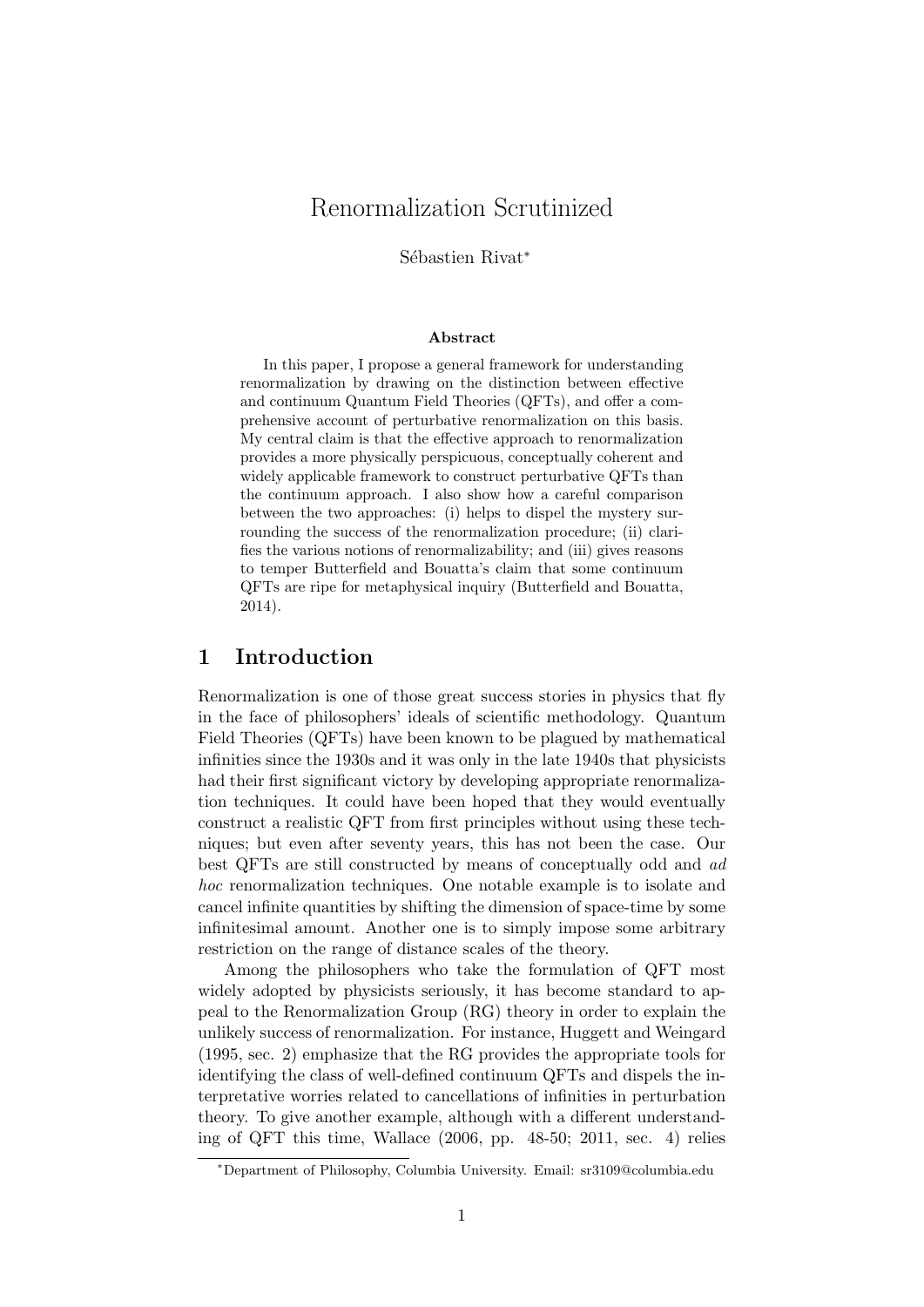# Renormalization Scrutinized

Sébastien Rivat<sup>\*</sup>

#### Abstract

In this paper, I propose a general framework for understanding renormalization by drawing on the distinction between effective and continuum Quantum Field Theories (QFTs), and offer a comprehensive account of perturbative renormalization on this basis. My central claim is that the effective approach to renormalization provides a more physically perspicuous, conceptually coherent and widely applicable framework to construct perturbative QFTs than the continuum approach. I also show how a careful comparison between the two approaches: (i) helps to dispel the mystery surrounding the success of the renormalization procedure; (ii) clarifies the various notions of renormalizability; and (iii) gives reasons to temper Butterfield and Bouatta's claim that some continuum QFTs are ripe for metaphysical inquiry (Butterfield and Bouatta, 2014).

### 1 Introduction

Renormalization is one of those great success stories in physics that fly in the face of philosophers' ideals of scientific methodology. Quantum Field Theories (QFTs) have been known to be plagued by mathematical infinities since the 1930s and it was only in the late 1940s that physicists had their first significant victory by developing appropriate renormalization techniques. It could have been hoped that they would eventually construct a realistic QFT from first principles without using these techniques; but even after seventy years, this has not been the case. Our best QFTs are still constructed by means of conceptually odd and ad hoc renormalization techniques. One notable example is to isolate and cancel infinite quantities by shifting the dimension of space-time by some infinitesimal amount. Another one is to simply impose some arbitrary restriction on the range of distance scales of the theory.

Among the philosophers who take the formulation of QFT most widely adopted by physicists seriously, it has become standard to appeal to the Renormalization Group (RG) theory in order to explain the unlikely success of renormalization. For instance, Huggett and Weingard (1995, sec. 2) emphasize that the RG provides the appropriate tools for identifying the class of well-defined continuum QFTs and dispels the interpretative worries related to cancellations of infinities in perturbation theory. To give another example, although with a different understanding of QFT this time, Wallace (2006, pp. 48-50; 2011, sec. 4) relies

<sup>∗</sup>Department of Philosophy, Columbia University. Email: sr3109@columbia.edu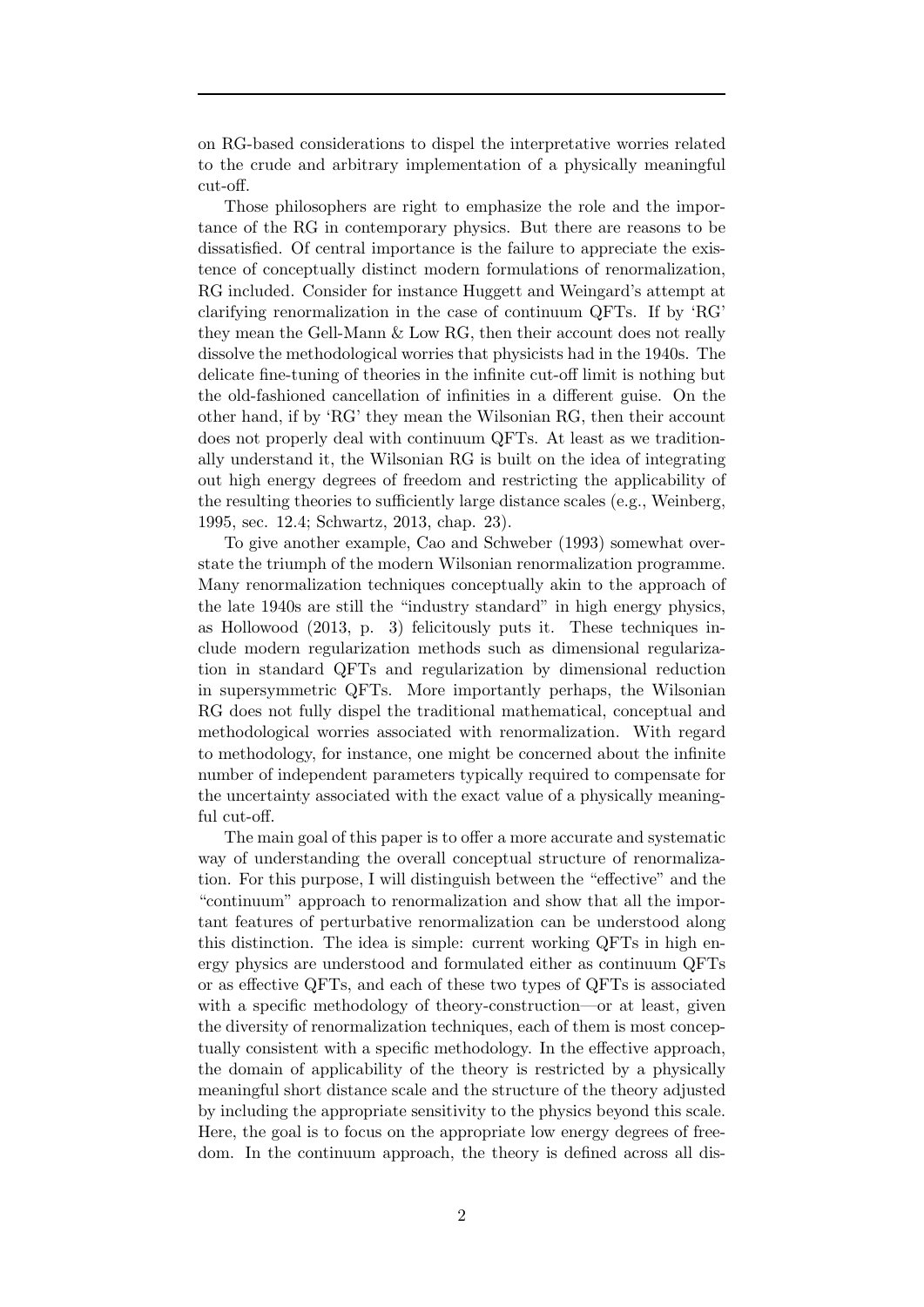on RG-based considerations to dispel the interpretative worries related to the crude and arbitrary implementation of a physically meaningful cut-off.

Those philosophers are right to emphasize the role and the importance of the RG in contemporary physics. But there are reasons to be dissatisfied. Of central importance is the failure to appreciate the existence of conceptually distinct modern formulations of renormalization, RG included. Consider for instance Huggett and Weingard's attempt at clarifying renormalization in the case of continuum QFTs. If by 'RG' they mean the Gell-Mann & Low RG, then their account does not really dissolve the methodological worries that physicists had in the 1940s. The delicate fine-tuning of theories in the infinite cut-off limit is nothing but the old-fashioned cancellation of infinities in a different guise. On the other hand, if by 'RG' they mean the Wilsonian RG, then their account does not properly deal with continuum QFTs. At least as we traditionally understand it, the Wilsonian RG is built on the idea of integrating out high energy degrees of freedom and restricting the applicability of the resulting theories to sufficiently large distance scales (e.g., Weinberg, 1995, sec. 12.4; Schwartz, 2013, chap. 23).

To give another example, Cao and Schweber (1993) somewhat overstate the triumph of the modern Wilsonian renormalization programme. Many renormalization techniques conceptually akin to the approach of the late 1940s are still the "industry standard" in high energy physics, as Hollowood (2013, p. 3) felicitously puts it. These techniques include modern regularization methods such as dimensional regularization in standard QFTs and regularization by dimensional reduction in supersymmetric QFTs. More importantly perhaps, the Wilsonian RG does not fully dispel the traditional mathematical, conceptual and methodological worries associated with renormalization. With regard to methodology, for instance, one might be concerned about the infinite number of independent parameters typically required to compensate for the uncertainty associated with the exact value of a physically meaningful cut-off.

The main goal of this paper is to offer a more accurate and systematic way of understanding the overall conceptual structure of renormalization. For this purpose, I will distinguish between the "effective" and the "continuum" approach to renormalization and show that all the important features of perturbative renormalization can be understood along this distinction. The idea is simple: current working QFTs in high energy physics are understood and formulated either as continuum QFTs or as effective QFTs, and each of these two types of QFTs is associated with a specific methodology of theory-construction—or at least, given the diversity of renormalization techniques, each of them is most conceptually consistent with a specific methodology. In the effective approach, the domain of applicability of the theory is restricted by a physically meaningful short distance scale and the structure of the theory adjusted by including the appropriate sensitivity to the physics beyond this scale. Here, the goal is to focus on the appropriate low energy degrees of freedom. In the continuum approach, the theory is defined across all dis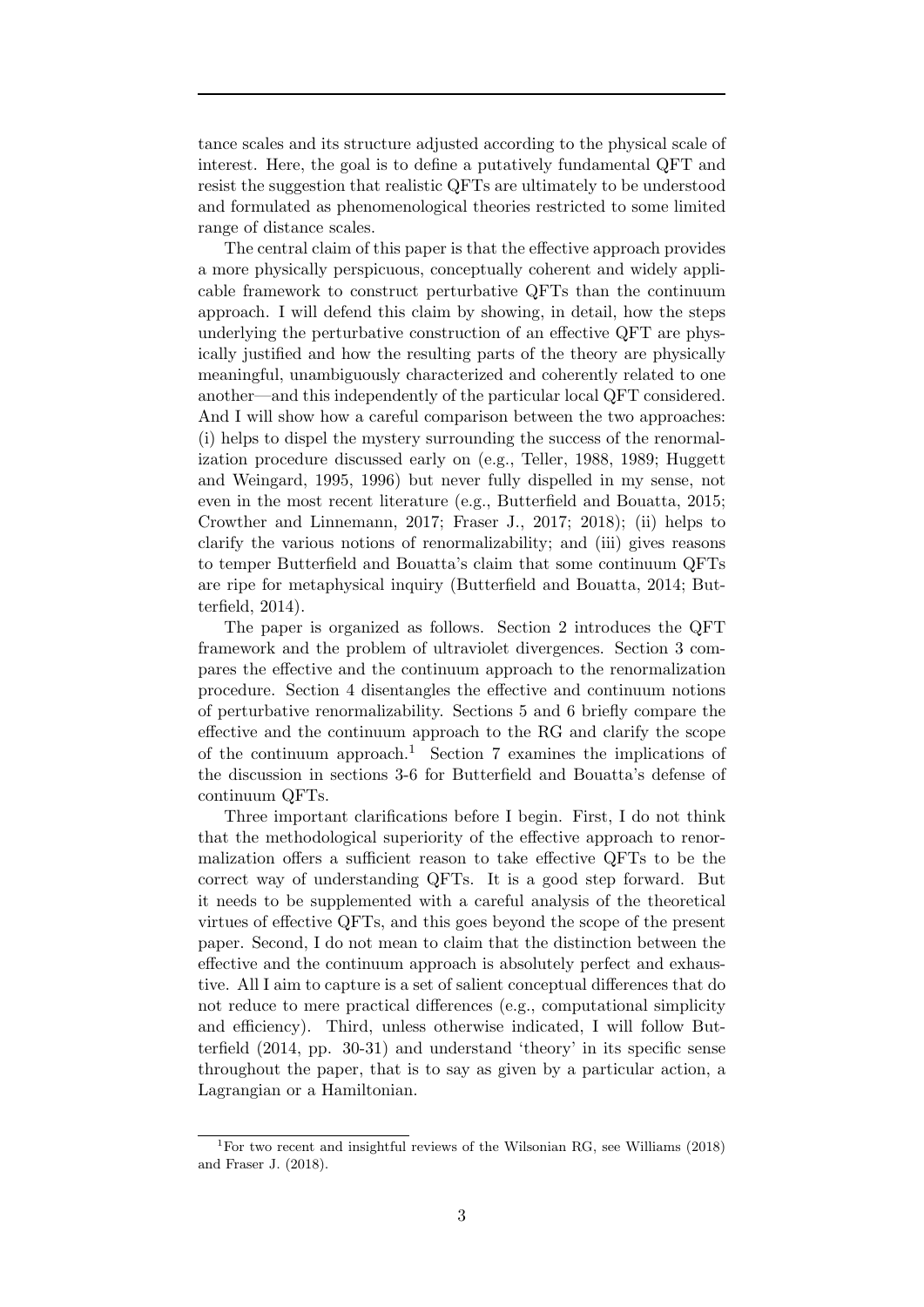tance scales and its structure adjusted according to the physical scale of interest. Here, the goal is to define a putatively fundamental QFT and resist the suggestion that realistic QFTs are ultimately to be understood and formulated as phenomenological theories restricted to some limited range of distance scales.

The central claim of this paper is that the effective approach provides a more physically perspicuous, conceptually coherent and widely applicable framework to construct perturbative QFTs than the continuum approach. I will defend this claim by showing, in detail, how the steps underlying the perturbative construction of an effective QFT are physically justified and how the resulting parts of the theory are physically meaningful, unambiguously characterized and coherently related to one another—and this independently of the particular local QFT considered. And I will show how a careful comparison between the two approaches: (i) helps to dispel the mystery surrounding the success of the renormalization procedure discussed early on (e.g., Teller, 1988, 1989; Huggett and Weingard, 1995, 1996) but never fully dispelled in my sense, not even in the most recent literature (e.g., Butterfield and Bouatta, 2015; Crowther and Linnemann, 2017; Fraser J., 2017; 2018); (ii) helps to clarify the various notions of renormalizability; and (iii) gives reasons to temper Butterfield and Bouatta's claim that some continuum QFTs are ripe for metaphysical inquiry (Butterfield and Bouatta, 2014; Butterfield, 2014).

The paper is organized as follows. Section 2 introduces the QFT framework and the problem of ultraviolet divergences. Section 3 compares the effective and the continuum approach to the renormalization procedure. Section 4 disentangles the effective and continuum notions of perturbative renormalizability. Sections 5 and 6 briefly compare the effective and the continuum approach to the RG and clarify the scope of the continuum approach.<sup>1</sup> Section 7 examines the implications of the discussion in sections 3-6 for Butterfield and Bouatta's defense of continuum QFTs.

Three important clarifications before I begin. First, I do not think that the methodological superiority of the effective approach to renormalization offers a sufficient reason to take effective QFTs to be the correct way of understanding QFTs. It is a good step forward. But it needs to be supplemented with a careful analysis of the theoretical virtues of effective QFTs, and this goes beyond the scope of the present paper. Second, I do not mean to claim that the distinction between the effective and the continuum approach is absolutely perfect and exhaustive. All I aim to capture is a set of salient conceptual differences that do not reduce to mere practical differences (e.g., computational simplicity and efficiency). Third, unless otherwise indicated, I will follow Butterfield (2014, pp. 30-31) and understand 'theory' in its specific sense throughout the paper, that is to say as given by a particular action, a Lagrangian or a Hamiltonian.

<sup>1</sup>For two recent and insightful reviews of the Wilsonian RG, see Williams (2018) and Fraser J. (2018).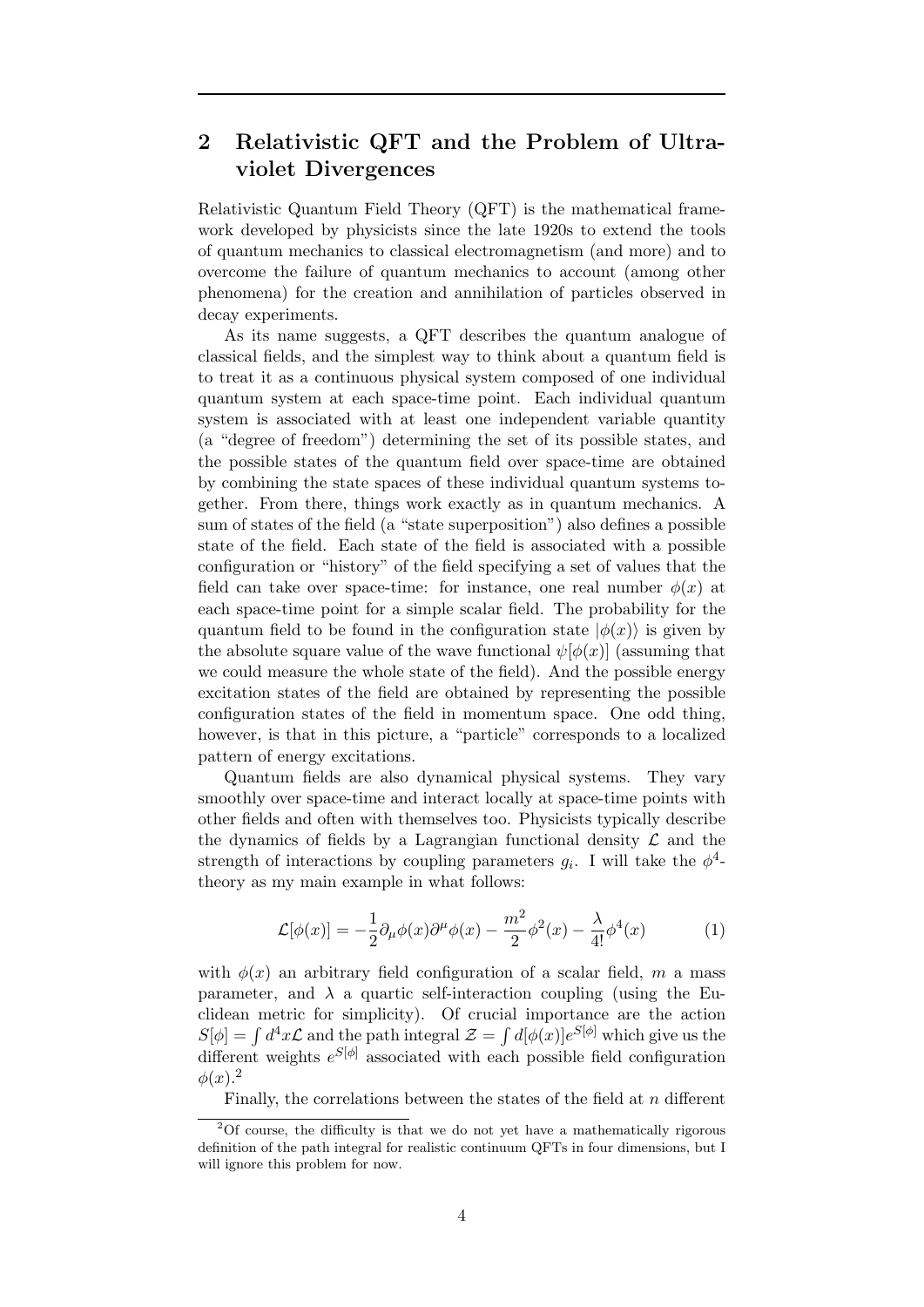# 2 Relativistic QFT and the Problem of Ultraviolet Divergences

Relativistic Quantum Field Theory (QFT) is the mathematical framework developed by physicists since the late 1920s to extend the tools of quantum mechanics to classical electromagnetism (and more) and to overcome the failure of quantum mechanics to account (among other phenomena) for the creation and annihilation of particles observed in decay experiments.

As its name suggests, a QFT describes the quantum analogue of classical fields, and the simplest way to think about a quantum field is to treat it as a continuous physical system composed of one individual quantum system at each space-time point. Each individual quantum system is associated with at least one independent variable quantity (a "degree of freedom") determining the set of its possible states, and the possible states of the quantum field over space-time are obtained by combining the state spaces of these individual quantum systems together. From there, things work exactly as in quantum mechanics. A sum of states of the field (a "state superposition") also defines a possible state of the field. Each state of the field is associated with a possible configuration or "history" of the field specifying a set of values that the field can take over space-time: for instance, one real number  $\phi(x)$  at each space-time point for a simple scalar field. The probability for the quantum field to be found in the configuration state  $|\phi(x)\rangle$  is given by the absolute square value of the wave functional  $\psi[\phi(x)]$  (assuming that we could measure the whole state of the field). And the possible energy excitation states of the field are obtained by representing the possible configuration states of the field in momentum space. One odd thing, however, is that in this picture, a "particle" corresponds to a localized pattern of energy excitations.

Quantum fields are also dynamical physical systems. They vary smoothly over space-time and interact locally at space-time points with other fields and often with themselves too. Physicists typically describe the dynamics of fields by a Lagrangian functional density  $\mathcal L$  and the strength of interactions by coupling parameters  $g_i$ . I will take the  $\phi^4$ theory as my main example in what follows:

$$
\mathcal{L}[\phi(x)] = -\frac{1}{2}\partial_{\mu}\phi(x)\partial^{\mu}\phi(x) - \frac{m^2}{2}\phi^2(x) - \frac{\lambda}{4!}\phi^4(x)
$$
 (1)

with  $\phi(x)$  an arbitrary field configuration of a scalar field, m a mass parameter, and  $\lambda$  a quartic self-interaction coupling (using the Euclidean metric for simplicity). Of crucial importance are the action  $S[\phi] = \int d^4x \mathcal{L}$  and the path integral  $\mathcal{Z} = \int d[\phi(x)]e^{S[\phi]}$  which give us the different weights  $e^{S[\phi]}$  associated with each possible field configuration  $\phi(x)$ <sup>2</sup>

Finally, the correlations between the states of the field at  $n$  different

<sup>&</sup>lt;sup>2</sup>Of course, the difficulty is that we do not yet have a mathematically rigorous definition of the path integral for realistic continuum QFTs in four dimensions, but I will ignore this problem for now.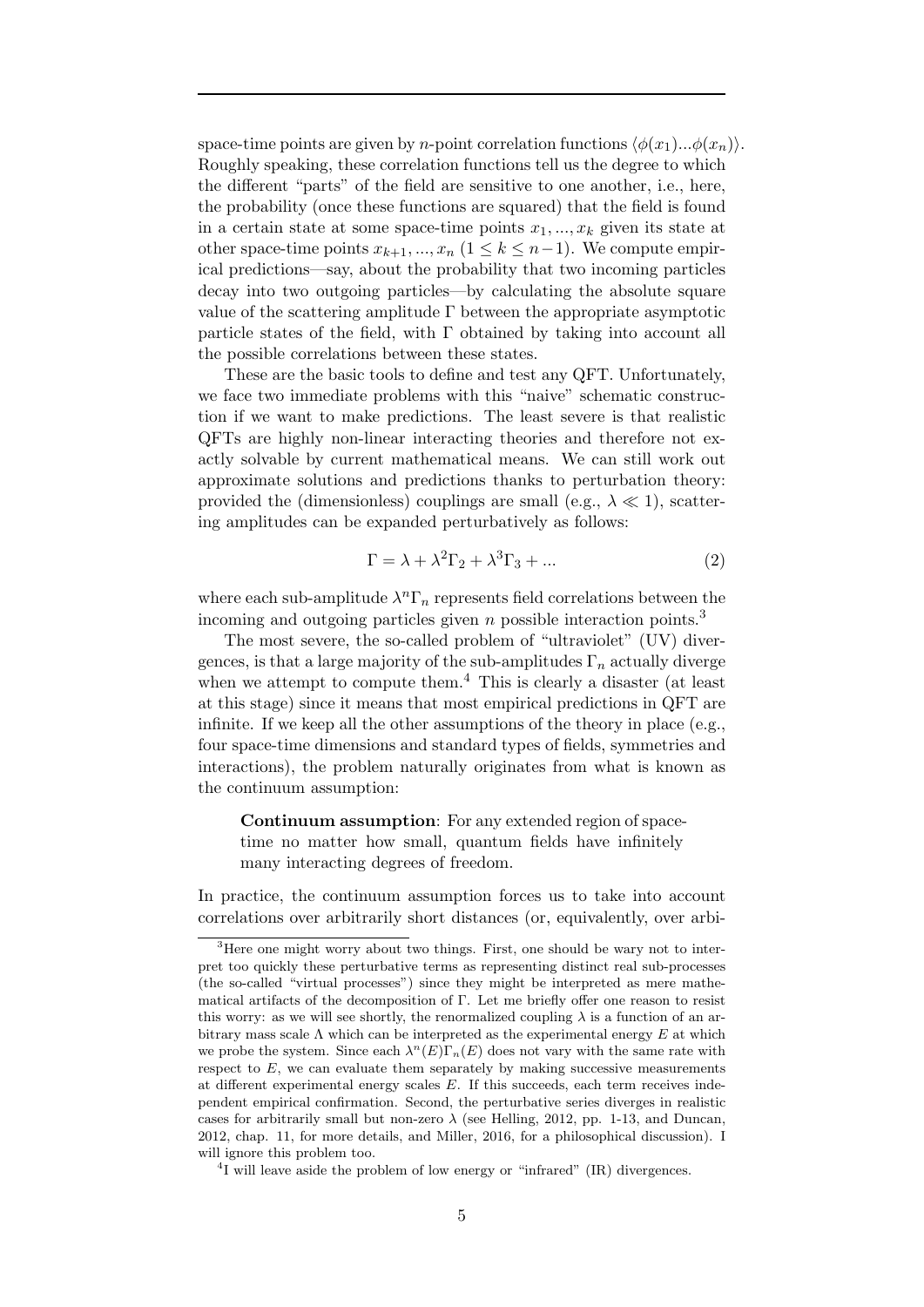space-time points are given by *n*-point correlation functions  $\langle \phi(x_1)...\phi(x_n)\rangle$ . Roughly speaking, these correlation functions tell us the degree to which the different "parts" of the field are sensitive to one another, i.e., here, the probability (once these functions are squared) that the field is found in a certain state at some space-time points  $x_1, ..., x_k$  given its state at other space-time points  $x_{k+1},...,x_n$  ( $1 \leq k \leq n-1$ ). We compute empirical predictions—say, about the probability that two incoming particles decay into two outgoing particles—by calculating the absolute square value of the scattering amplitude  $\Gamma$  between the appropriate asymptotic particle states of the field, with  $\Gamma$  obtained by taking into account all the possible correlations between these states.

These are the basic tools to define and test any QFT. Unfortunately, we face two immediate problems with this "naive" schematic construction if we want to make predictions. The least severe is that realistic QFTs are highly non-linear interacting theories and therefore not exactly solvable by current mathematical means. We can still work out approximate solutions and predictions thanks to perturbation theory: provided the (dimensionless) couplings are small (e.g.,  $\lambda \ll 1$ ), scattering amplitudes can be expanded perturbatively as follows:

$$
\Gamma = \lambda + \lambda^2 \Gamma_2 + \lambda^3 \Gamma_3 + \dots \tag{2}
$$

where each sub-amplitude  $\lambda^n \Gamma_n$  represents field correlations between the incoming and outgoing particles given n possible interaction points.<sup>3</sup>

The most severe, the so-called problem of "ultraviolet" (UV) divergences, is that a large majority of the sub-amplitudes  $\Gamma_n$  actually diverge when we attempt to compute them.<sup>4</sup> This is clearly a disaster (at least at this stage) since it means that most empirical predictions in QFT are infinite. If we keep all the other assumptions of the theory in place (e.g., four space-time dimensions and standard types of fields, symmetries and interactions), the problem naturally originates from what is known as the continuum assumption:

Continuum assumption: For any extended region of spacetime no matter how small, quantum fields have infinitely many interacting degrees of freedom.

In practice, the continuum assumption forces us to take into account correlations over arbitrarily short distances (or, equivalently, over arbi-

<sup>4</sup>I will leave aside the problem of low energy or "infrared" (IR) divergences.

<sup>&</sup>lt;sup>3</sup>Here one might worry about two things. First, one should be wary not to interpret too quickly these perturbative terms as representing distinct real sub-processes (the so-called "virtual processes") since they might be interpreted as mere mathematical artifacts of the decomposition of Γ. Let me briefly offer one reason to resist this worry: as we will see shortly, the renormalized coupling  $\lambda$  is a function of an arbitrary mass scale  $\Lambda$  which can be interpreted as the experimental energy E at which we probe the system. Since each  $\lambda^{n}(E)\Gamma_{n}(E)$  does not vary with the same rate with respect to  $E$ , we can evaluate them separately by making successive measurements at different experimental energy scales  $E$ . If this succeeds, each term receives independent empirical confirmation. Second, the perturbative series diverges in realistic cases for arbitrarily small but non-zero  $\lambda$  (see Helling, 2012, pp. 1-13, and Duncan, 2012, chap. 11, for more details, and Miller, 2016, for a philosophical discussion). I will ignore this problem too.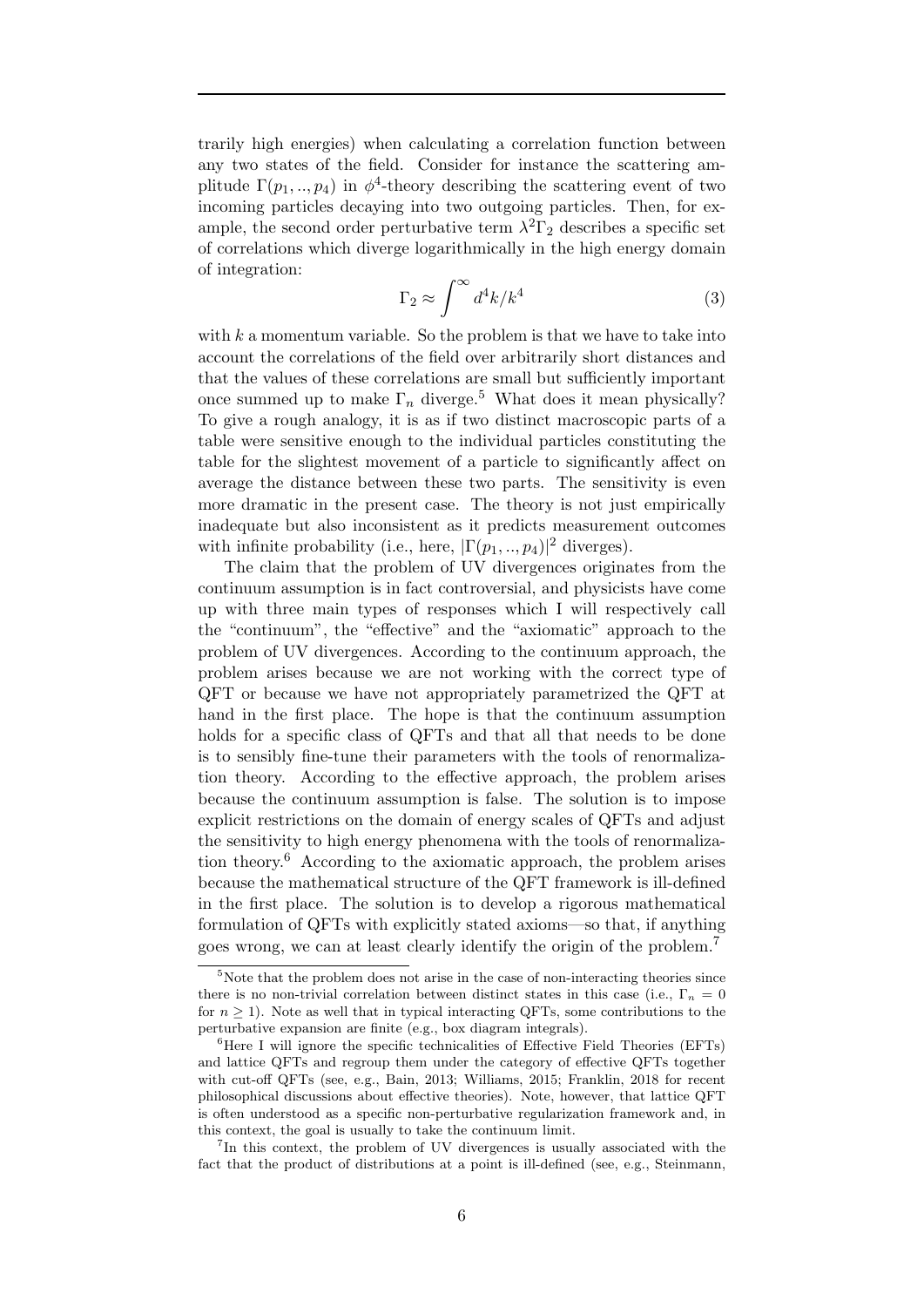trarily high energies) when calculating a correlation function between any two states of the field. Consider for instance the scattering amplitude  $\Gamma(p_1, ..., p_4)$  in  $\phi^4$ -theory describing the scattering event of two incoming particles decaying into two outgoing particles. Then, for example, the second order perturbative term  $\lambda^2 \Gamma_2$  describes a specific set of correlations which diverge logarithmically in the high energy domain of integration:

$$
\Gamma_2 \approx \int^{\infty} d^4k / k^4 \tag{3}
$$

with  $k$  a momentum variable. So the problem is that we have to take into account the correlations of the field over arbitrarily short distances and that the values of these correlations are small but sufficiently important once summed up to make  $\Gamma_n$  diverge.<sup>5</sup> What does it mean physically? To give a rough analogy, it is as if two distinct macroscopic parts of a table were sensitive enough to the individual particles constituting the table for the slightest movement of a particle to significantly affect on average the distance between these two parts. The sensitivity is even more dramatic in the present case. The theory is not just empirically inadequate but also inconsistent as it predicts measurement outcomes with infinite probability (i.e., here,  $|\Gamma(p_1,..,p_4)|^2$  diverges).

The claim that the problem of UV divergences originates from the continuum assumption is in fact controversial, and physicists have come up with three main types of responses which I will respectively call the "continuum", the "effective" and the "axiomatic" approach to the problem of UV divergences. According to the continuum approach, the problem arises because we are not working with the correct type of QFT or because we have not appropriately parametrized the QFT at hand in the first place. The hope is that the continuum assumption holds for a specific class of QFTs and that all that needs to be done is to sensibly fine-tune their parameters with the tools of renormalization theory. According to the effective approach, the problem arises because the continuum assumption is false. The solution is to impose explicit restrictions on the domain of energy scales of QFTs and adjust the sensitivity to high energy phenomena with the tools of renormalization theory.<sup>6</sup> According to the axiomatic approach, the problem arises because the mathematical structure of the QFT framework is ill-defined in the first place. The solution is to develop a rigorous mathematical formulation of QFTs with explicitly stated axioms—so that, if anything goes wrong, we can at least clearly identify the origin of the problem.<sup>7</sup>

7 In this context, the problem of UV divergences is usually associated with the fact that the product of distributions at a point is ill-defined (see, e.g., Steinmann,

 $5$ Note that the problem does not arise in the case of non-interacting theories since there is no non-trivial correlation between distinct states in this case (i.e.,  $\Gamma_n = 0$ ) for  $n \geq 1$ ). Note as well that in typical interacting QFTs, some contributions to the perturbative expansion are finite (e.g., box diagram integrals).

 ${}^{6}$ Here I will ignore the specific technicalities of Effective Field Theories (EFTs) and lattice QFTs and regroup them under the category of effective QFTs together with cut-off QFTs (see, e.g., Bain, 2013; Williams, 2015; Franklin, 2018 for recent philosophical discussions about effective theories). Note, however, that lattice QFT is often understood as a specific non-perturbative regularization framework and, in this context, the goal is usually to take the continuum limit.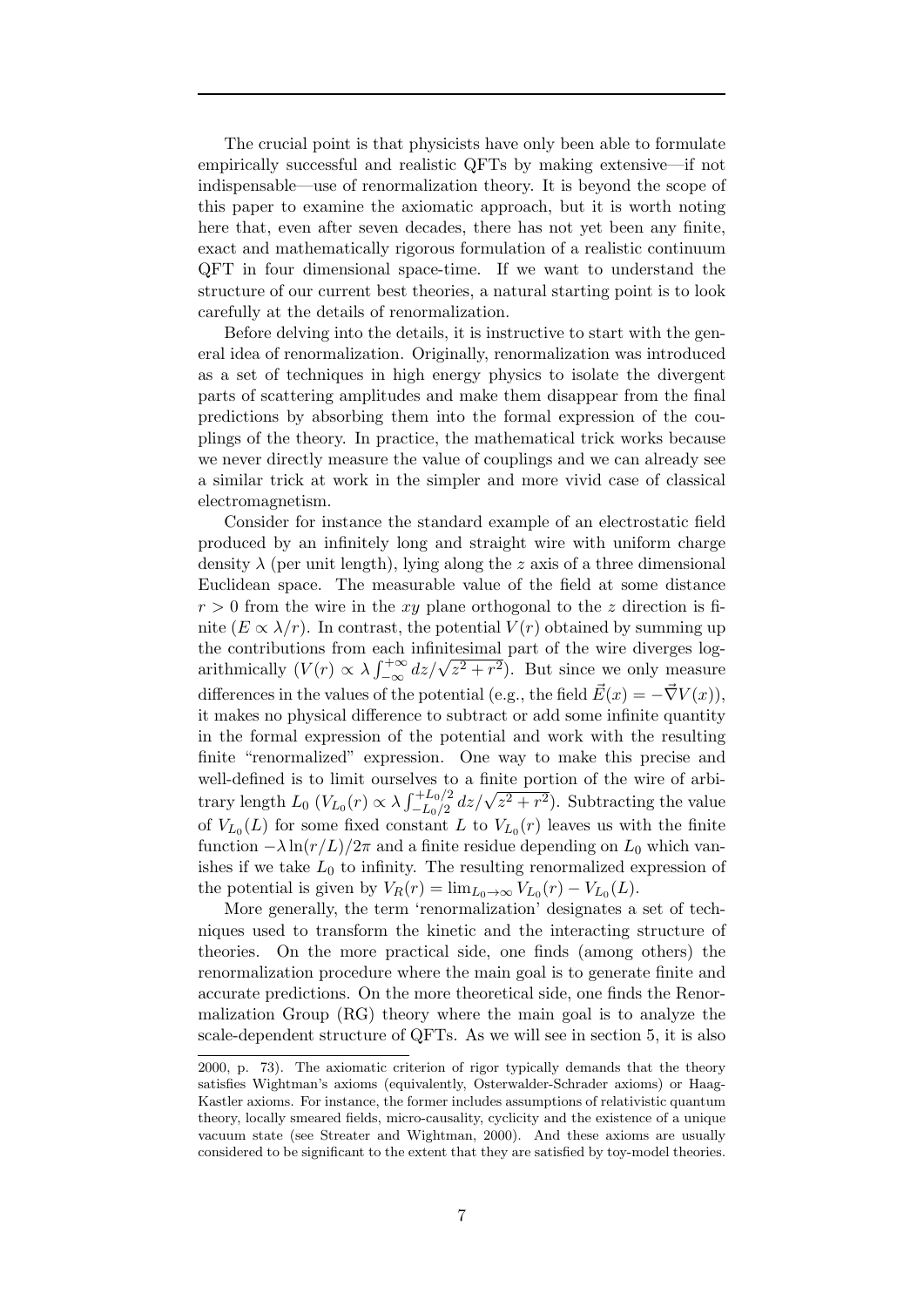The crucial point is that physicists have only been able to formulate empirically successful and realistic QFTs by making extensive—if not indispensable—use of renormalization theory. It is beyond the scope of this paper to examine the axiomatic approach, but it is worth noting here that, even after seven decades, there has not yet been any finite, exact and mathematically rigorous formulation of a realistic continuum QFT in four dimensional space-time. If we want to understand the structure of our current best theories, a natural starting point is to look carefully at the details of renormalization.

Before delving into the details, it is instructive to start with the general idea of renormalization. Originally, renormalization was introduced as a set of techniques in high energy physics to isolate the divergent parts of scattering amplitudes and make them disappear from the final predictions by absorbing them into the formal expression of the couplings of the theory. In practice, the mathematical trick works because we never directly measure the value of couplings and we can already see a similar trick at work in the simpler and more vivid case of classical electromagnetism.

Consider for instance the standard example of an electrostatic field produced by an infinitely long and straight wire with uniform charge density  $\lambda$  (per unit length), lying along the z axis of a three dimensional Euclidean space. The measurable value of the field at some distance  $r > 0$  from the wire in the xy plane orthogonal to the z direction is finite  $(E \propto \lambda/r)$ . In contrast, the potential  $V(r)$  obtained by summing up the contributions from each infinitesimal part of the wire diverges logthe contributions from each infinitesimal part of the wire diverges log-<br>arithmically  $(V(r) \propto \lambda \int_{-\infty}^{+\infty} dz/\sqrt{z^2 + r^2})$ . But since we only measure differences in the values of the potential (e.g., the field  $\vec{E}(x) = -\vec{\nabla}V(x)$ ), it makes no physical difference to subtract or add some infinite quantity in the formal expression of the potential and work with the resulting finite "renormalized" expression. One way to make this precise and well-defined is to limit ourselves to a finite portion of the wire of arbiwen-defined is to finite ourselves to a finite portion of the wife of arbi-<br>trary length  $L_0$   $(V_{L_0}(r) \propto \lambda \int_{-L_0/2}^{+L_0/2} dz/\sqrt{z^2+r^2})$ . Subtracting the value of  $V_{L_0}(L)$  for some fixed constant L to  $V_{L_0}(r)$  leaves us with the finite function  $-\lambda \ln(r/L)/2\pi$  and a finite residue depending on  $L_0$  which vanishes if we take  $L_0$  to infinity. The resulting renormalized expression of the potential is given by  $V_R(r) = \lim_{L_0 \to \infty} V_{L_0}(r) - V_{L_0}(L)$ .

More generally, the term 'renormalization' designates a set of techniques used to transform the kinetic and the interacting structure of theories. On the more practical side, one finds (among others) the renormalization procedure where the main goal is to generate finite and accurate predictions. On the more theoretical side, one finds the Renormalization Group (RG) theory where the main goal is to analyze the scale-dependent structure of QFTs. As we will see in section 5, it is also

<sup>2000,</sup> p. 73). The axiomatic criterion of rigor typically demands that the theory satisfies Wightman's axioms (equivalently, Osterwalder-Schrader axioms) or Haag-Kastler axioms. For instance, the former includes assumptions of relativistic quantum theory, locally smeared fields, micro-causality, cyclicity and the existence of a unique vacuum state (see Streater and Wightman, 2000). And these axioms are usually considered to be significant to the extent that they are satisfied by toy-model theories.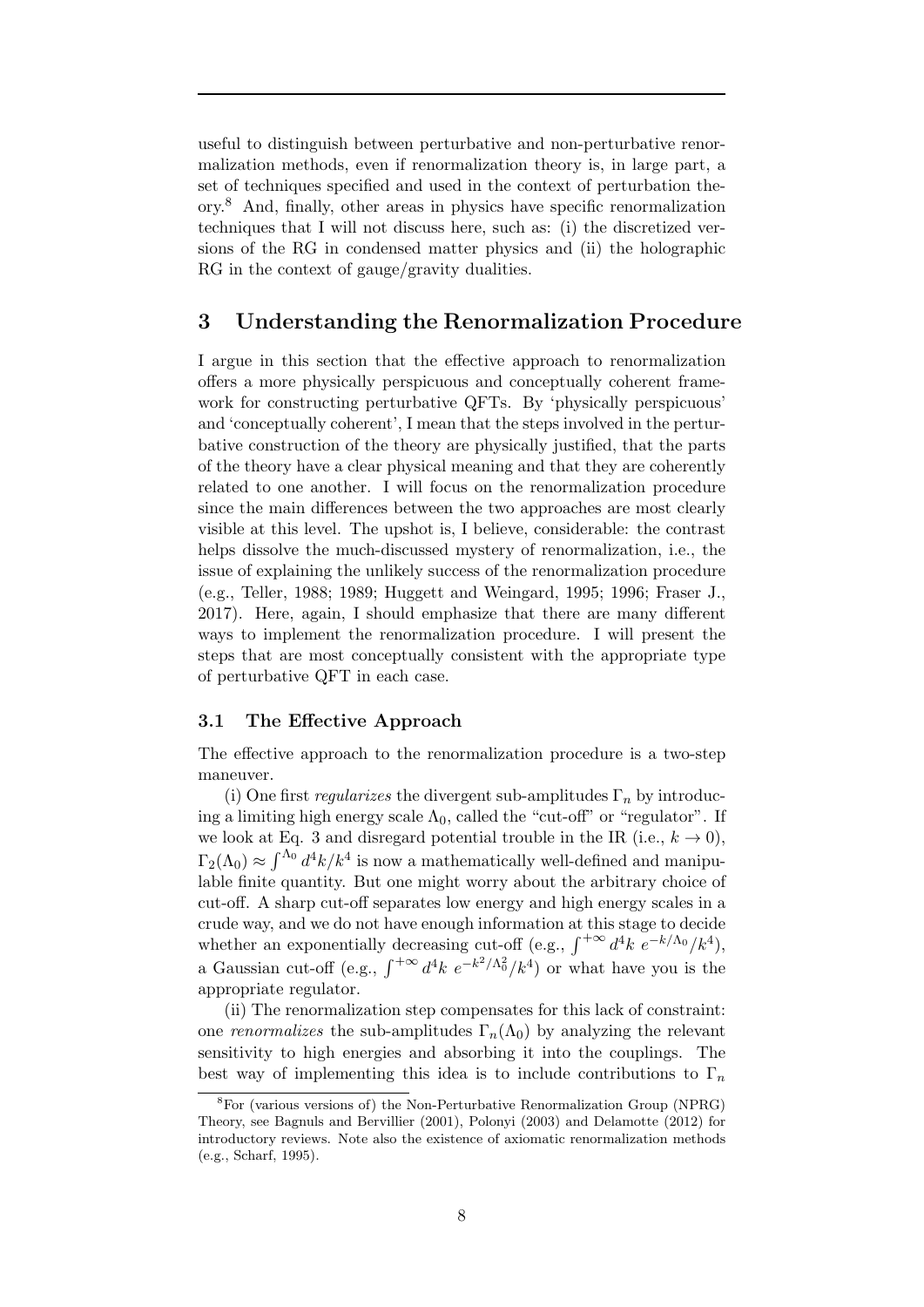useful to distinguish between perturbative and non-perturbative renormalization methods, even if renormalization theory is, in large part, a set of techniques specified and used in the context of perturbation theory.<sup>8</sup> And, finally, other areas in physics have specific renormalization techniques that I will not discuss here, such as: (i) the discretized versions of the RG in condensed matter physics and (ii) the holographic RG in the context of gauge/gravity dualities.

### 3 Understanding the Renormalization Procedure

I argue in this section that the effective approach to renormalization offers a more physically perspicuous and conceptually coherent framework for constructing perturbative QFTs. By 'physically perspicuous' and 'conceptually coherent', I mean that the steps involved in the perturbative construction of the theory are physically justified, that the parts of the theory have a clear physical meaning and that they are coherently related to one another. I will focus on the renormalization procedure since the main differences between the two approaches are most clearly visible at this level. The upshot is, I believe, considerable: the contrast helps dissolve the much-discussed mystery of renormalization, i.e., the issue of explaining the unlikely success of the renormalization procedure (e.g., Teller, 1988; 1989; Huggett and Weingard, 1995; 1996; Fraser J., 2017). Here, again, I should emphasize that there are many different ways to implement the renormalization procedure. I will present the steps that are most conceptually consistent with the appropriate type of perturbative QFT in each case.

### 3.1 The Effective Approach

The effective approach to the renormalization procedure is a two-step maneuver.

(i) One first *regularizes* the divergent sub-amplitudes  $\Gamma_n$  by introducing a limiting high energy scale  $\Lambda_0$ , called the "cut-off" or "regulator". If we look at Eq. 3 and disregard potential trouble in the IR (i.e.,  $k \to 0$ ),  $\Gamma_2(\Lambda_0) \approx \int^{\Lambda_0} d^4k/k^4$  is now a mathematically well-defined and manipulable finite quantity. But one might worry about the arbitrary choice of cut-off. A sharp cut-off separates low energy and high energy scales in a crude way, and we do not have enough information at this stage to decide whether an exponentially decreasing cut-off (e.g.,  $\int^{+\infty} d^4k \, e^{-k/\Lambda_0}/k^4$ ), a Gaussian cut-off (e.g.,  $\int^{+\infty} d^4k \ e^{-k^2/\Lambda_0^2}/k^4$ ) or what have you is the appropriate regulator.

(ii) The renormalization step compensates for this lack of constraint: one *renormalizes* the sub-amplitudes  $\Gamma_n(\Lambda_0)$  by analyzing the relevant sensitivity to high energies and absorbing it into the couplings. The best way of implementing this idea is to include contributions to  $\Gamma_n$ 

<sup>8</sup>For (various versions of) the Non-Perturbative Renormalization Group (NPRG) Theory, see Bagnuls and Bervillier (2001), Polonyi (2003) and Delamotte (2012) for introductory reviews. Note also the existence of axiomatic renormalization methods (e.g., Scharf, 1995).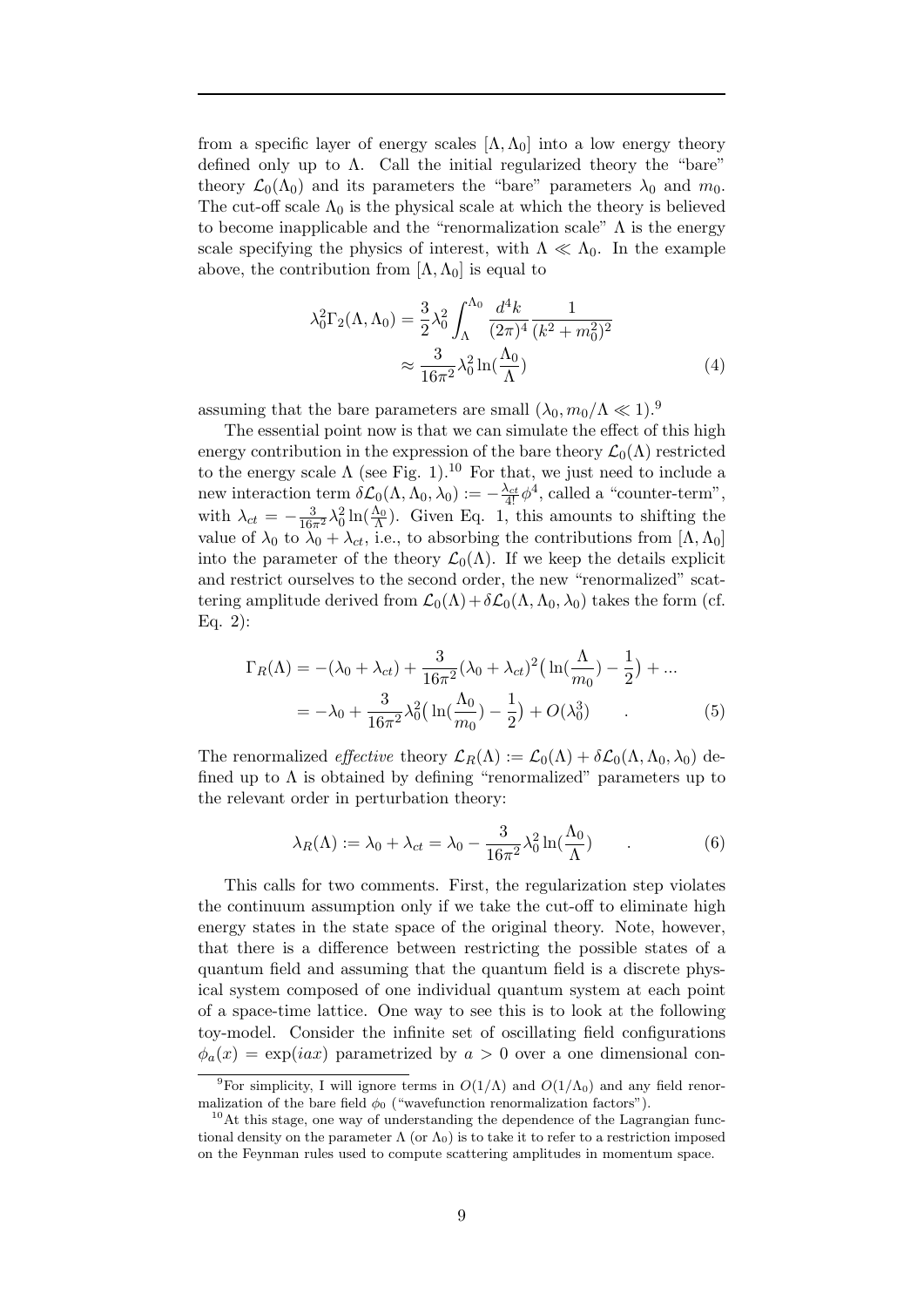from a specific layer of energy scales  $[\Lambda, \Lambda_0]$  into a low energy theory defined only up to  $\Lambda$ . Call the initial regularized theory the "bare" theory  $\mathcal{L}_0(\Lambda_0)$  and its parameters the "bare" parameters  $\lambda_0$  and  $m_0$ . The cut-off scale  $\Lambda_0$  is the physical scale at which the theory is believed to become inapplicable and the "renormalization scale"  $\Lambda$  is the energy scale specifying the physics of interest, with  $\Lambda \ll \Lambda_0$ . In the example above, the contribution from  $[\Lambda, \Lambda_0]$  is equal to

$$
\lambda_0^2 \Gamma_2(\Lambda, \Lambda_0) = \frac{3}{2} \lambda_0^2 \int_{\Lambda}^{\Lambda_0} \frac{d^4 k}{(2\pi)^4} \frac{1}{(k^2 + m_0^2)^2} \approx \frac{3}{16\pi^2} \lambda_0^2 \ln(\frac{\Lambda_0}{\Lambda})
$$
(4)

assuming that the bare parameters are small  $(\lambda_0, m_0/\Lambda \ll 1)^9$ .

The essential point now is that we can simulate the effect of this high energy contribution in the expression of the bare theory  $\mathcal{L}_0(\Lambda)$  restricted to the energy scale  $\Lambda$  (see Fig. 1).<sup>10</sup> For that, we just need to include a new interaction term  $\delta\mathcal{L}_0(\Lambda,\Lambda_0,\lambda_0) := -\frac{\lambda_{ct}}{4!} \phi^4$ , called a "counter-term", with  $\lambda_{ct} = -\frac{3}{16\pi^2} \lambda_0^2 \ln(\frac{\Lambda_0}{\Lambda})$ . Given Eq. 1, this amounts to shifting the value of  $\lambda_0$  to  $\lambda_0 + \lambda_{ct}$ , i.e., to absorbing the contributions from  $[\Lambda, \Lambda_0]$ into the parameter of the theory  $\mathcal{L}_0(\Lambda)$ . If we keep the details explicit and restrict ourselves to the second order, the new "renormalized" scattering amplitude derived from  $\mathcal{L}_0(\Lambda) + \delta \mathcal{L}_0(\Lambda, \Lambda_0, \lambda_0)$  takes the form (cf. Eq. 2):

$$
\Gamma_R(\Lambda) = -(\lambda_0 + \lambda_{ct}) + \frac{3}{16\pi^2} (\lambda_0 + \lambda_{ct})^2 \left( \ln(\frac{\Lambda}{m_0}) - \frac{1}{2} \right) + \dots
$$

$$
= -\lambda_0 + \frac{3}{16\pi^2} \lambda_0^2 \left( \ln(\frac{\Lambda_0}{m_0}) - \frac{1}{2} \right) + O(\lambda_0^3) \tag{5}
$$

The renormalized *effective* theory  $\mathcal{L}_R(\Lambda) := \mathcal{L}_0(\Lambda) + \delta \mathcal{L}_0(\Lambda, \Lambda_0, \lambda_0)$  defined up to  $\Lambda$  is obtained by defining "renormalized" parameters up to the relevant order in perturbation theory:

$$
\lambda_R(\Lambda) := \lambda_0 + \lambda_{ct} = \lambda_0 - \frac{3}{16\pi^2} \lambda_0^2 \ln(\frac{\Lambda_0}{\Lambda}) \tag{6}
$$

This calls for two comments. First, the regularization step violates the continuum assumption only if we take the cut-off to eliminate high energy states in the state space of the original theory. Note, however, that there is a difference between restricting the possible states of a quantum field and assuming that the quantum field is a discrete physical system composed of one individual quantum system at each point of a space-time lattice. One way to see this is to look at the following toy-model. Consider the infinite set of oscillating field configurations  $\phi_a(x) = \exp(iax)$  parametrized by  $a > 0$  over a one dimensional con-

<sup>&</sup>lt;sup>9</sup>For simplicity, I will ignore terms in  $O(1/\Lambda)$  and  $O(1/\Lambda_0)$  and any field renormalization of the bare field  $\phi_0$  ("wavefunction renormalization factors").

 $10$ At this stage, one way of understanding the dependence of the Lagrangian functional density on the parameter  $\Lambda$  (or  $\Lambda_0$ ) is to take it to refer to a restriction imposed on the Feynman rules used to compute scattering amplitudes in momentum space.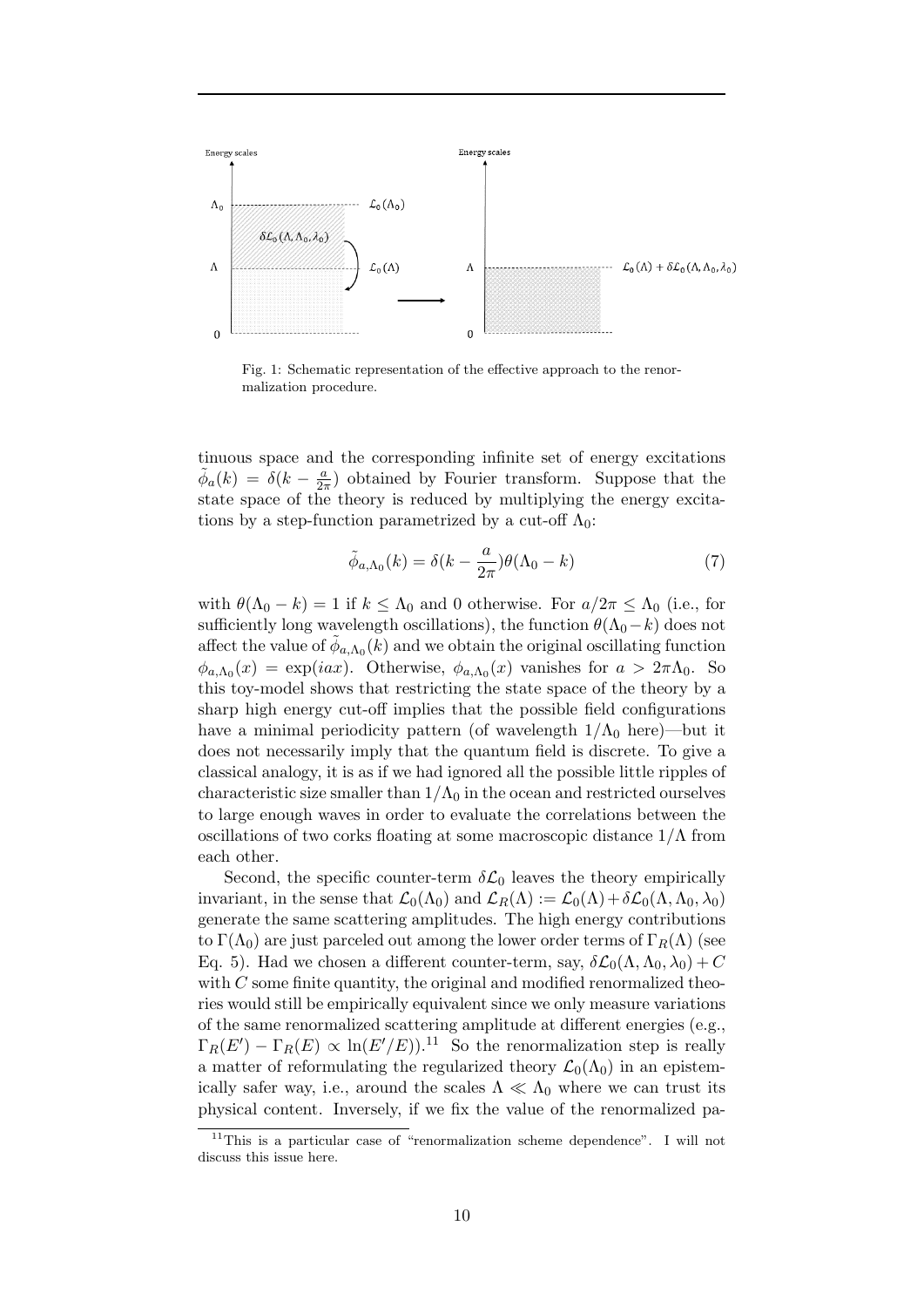

Fig. 1: Schematic representation of the effective approach to the renormalization procedure.

tinuous space and the corresponding infinite set of energy excitations  $\tilde{\phi}_a(k) = \delta(k - \frac{a}{2i})$  $\frac{a}{2\pi}$ ) obtained by Fourier transform. Suppose that the state space of the theory is reduced by multiplying the energy excitations by a step-function parametrized by a cut-off  $\Lambda_0$ :

$$
\tilde{\phi}_{a,\Lambda_0}(k) = \delta(k - \frac{a}{2\pi})\theta(\Lambda_0 - k)
$$
\n(7)

with  $\theta(\Lambda_0 - k) = 1$  if  $k \leq \Lambda_0$  and 0 otherwise. For  $a/2\pi \leq \Lambda_0$  (i.e., for sufficiently long wavelength oscillations), the function  $\theta(\Lambda_0-k)$  does not affect the value of  $\tilde{\phi}_{a,\Lambda_0}(k)$  and we obtain the original oscillating function  $\phi_{a,\Lambda_0}(x) = \exp(iax)$ . Otherwise,  $\phi_{a,\Lambda_0}(x)$  vanishes for  $a > 2\pi\Lambda_0$ . So this toy-model shows that restricting the state space of the theory by a sharp high energy cut-off implies that the possible field configurations have a minimal periodicity pattern (of wavelength  $1/\Lambda_0$  here)—but it does not necessarily imply that the quantum field is discrete. To give a classical analogy, it is as if we had ignored all the possible little ripples of characteristic size smaller than  $1/\Lambda_0$  in the ocean and restricted ourselves to large enough waves in order to evaluate the correlations between the oscillations of two corks floating at some macroscopic distance  $1/\Lambda$  from each other.

Second, the specific counter-term  $\delta\mathcal{L}_0$  leaves the theory empirically invariant, in the sense that  $\mathcal{L}_0(\Lambda_0)$  and  $\mathcal{L}_R(\Lambda) := \mathcal{L}_0(\Lambda) + \delta \mathcal{L}_0(\Lambda, \Lambda_0, \lambda_0)$ generate the same scattering amplitudes. The high energy contributions to  $\Gamma(\Lambda_0)$  are just parceled out among the lower order terms of  $\Gamma_R(\Lambda)$  (see Eq. 5). Had we chosen a different counter-term, say,  $\delta\mathcal{L}_0(\Lambda,\Lambda_0,\lambda_0)+C$ with  $C$  some finite quantity, the original and modified renormalized theories would still be empirically equivalent since we only measure variations of the same renormalized scattering amplitude at different energies (e.g.,  $\Gamma_R(E') - \Gamma_R(E) \propto \ln(E'/E)$ .<sup>11</sup> So the renormalization step is really a matter of reformulating the regularized theory  $\mathcal{L}_0(\Lambda_0)$  in an epistemically safer way, i.e., around the scales  $\Lambda \ll \Lambda_0$  where we can trust its physical content. Inversely, if we fix the value of the renormalized pa-

<sup>11</sup>This is a particular case of "renormalization scheme dependence". I will not discuss this issue here.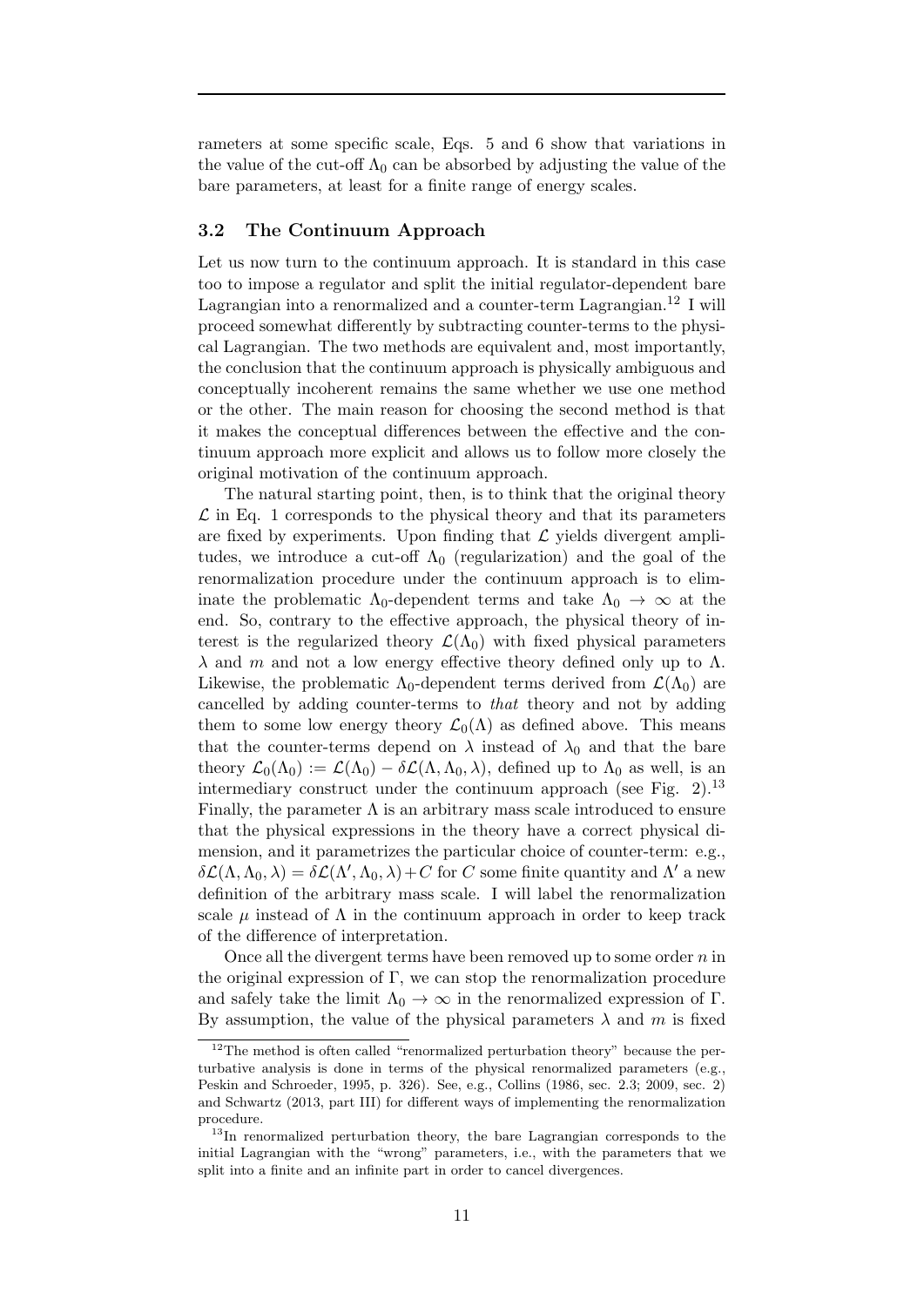rameters at some specific scale, Eqs. 5 and 6 show that variations in the value of the cut-off  $\Lambda_0$  can be absorbed by adjusting the value of the bare parameters, at least for a finite range of energy scales.

### 3.2 The Continuum Approach

Let us now turn to the continuum approach. It is standard in this case too to impose a regulator and split the initial regulator-dependent bare Lagrangian into a renormalized and a counter-term Lagrangian.<sup>12</sup> I will proceed somewhat differently by subtracting counter-terms to the physical Lagrangian. The two methods are equivalent and, most importantly, the conclusion that the continuum approach is physically ambiguous and conceptually incoherent remains the same whether we use one method or the other. The main reason for choosing the second method is that it makes the conceptual differences between the effective and the continuum approach more explicit and allows us to follow more closely the original motivation of the continuum approach.

The natural starting point, then, is to think that the original theory  $\mathcal L$  in Eq. 1 corresponds to the physical theory and that its parameters are fixed by experiments. Upon finding that  $\mathcal L$  yields divergent amplitudes, we introduce a cut-off  $\Lambda_0$  (regularization) and the goal of the renormalization procedure under the continuum approach is to eliminate the problematic  $\Lambda_0$ -dependent terms and take  $\Lambda_0 \to \infty$  at the end. So, contrary to the effective approach, the physical theory of interest is the regularized theory  $\mathcal{L}(\Lambda_0)$  with fixed physical parameters  $\lambda$  and m and not a low energy effective theory defined only up to  $\Lambda$ . Likewise, the problematic  $\Lambda_0$ -dependent terms derived from  $\mathcal{L}(\Lambda_0)$  are cancelled by adding counter-terms to that theory and not by adding them to some low energy theory  $\mathcal{L}_0(\Lambda)$  as defined above. This means that the counter-terms depend on  $\lambda$  instead of  $\lambda_0$  and that the bare theory  $\mathcal{L}_0(\Lambda_0) := \mathcal{L}(\Lambda_0) - \delta \mathcal{L}(\Lambda, \Lambda_0, \lambda)$ , defined up to  $\Lambda_0$  as well, is an intermediary construct under the continuum approach (see Fig.  $2$ ).<sup>13</sup> Finally, the parameter  $\Lambda$  is an arbitrary mass scale introduced to ensure that the physical expressions in the theory have a correct physical dimension, and it parametrizes the particular choice of counter-term: e.g.,  $\delta\mathcal{L}(\Lambda,\Lambda_0,\lambda)=\delta\mathcal{L}(\Lambda',\Lambda_0,\lambda)+C$  for C some finite quantity and  $\Lambda'$  a new definition of the arbitrary mass scale. I will label the renormalization scale  $\mu$  instead of  $\Lambda$  in the continuum approach in order to keep track of the difference of interpretation.

Once all the divergent terms have been removed up to some order  $n$  in the original expression of  $\Gamma$ , we can stop the renormalization procedure and safely take the limit  $\Lambda_0 \to \infty$  in the renormalized expression of Γ. By assumption, the value of the physical parameters  $\lambda$  and m is fixed

 $12$ The method is often called "renormalized perturbation theory" because the perturbative analysis is done in terms of the physical renormalized parameters (e.g., Peskin and Schroeder, 1995, p. 326). See, e.g., Collins (1986, sec. 2.3; 2009, sec. 2) and Schwartz (2013, part III) for different ways of implementing the renormalization procedure.

 $13$ In renormalized perturbation theory, the bare Lagrangian corresponds to the initial Lagrangian with the "wrong" parameters, i.e., with the parameters that we split into a finite and an infinite part in order to cancel divergences.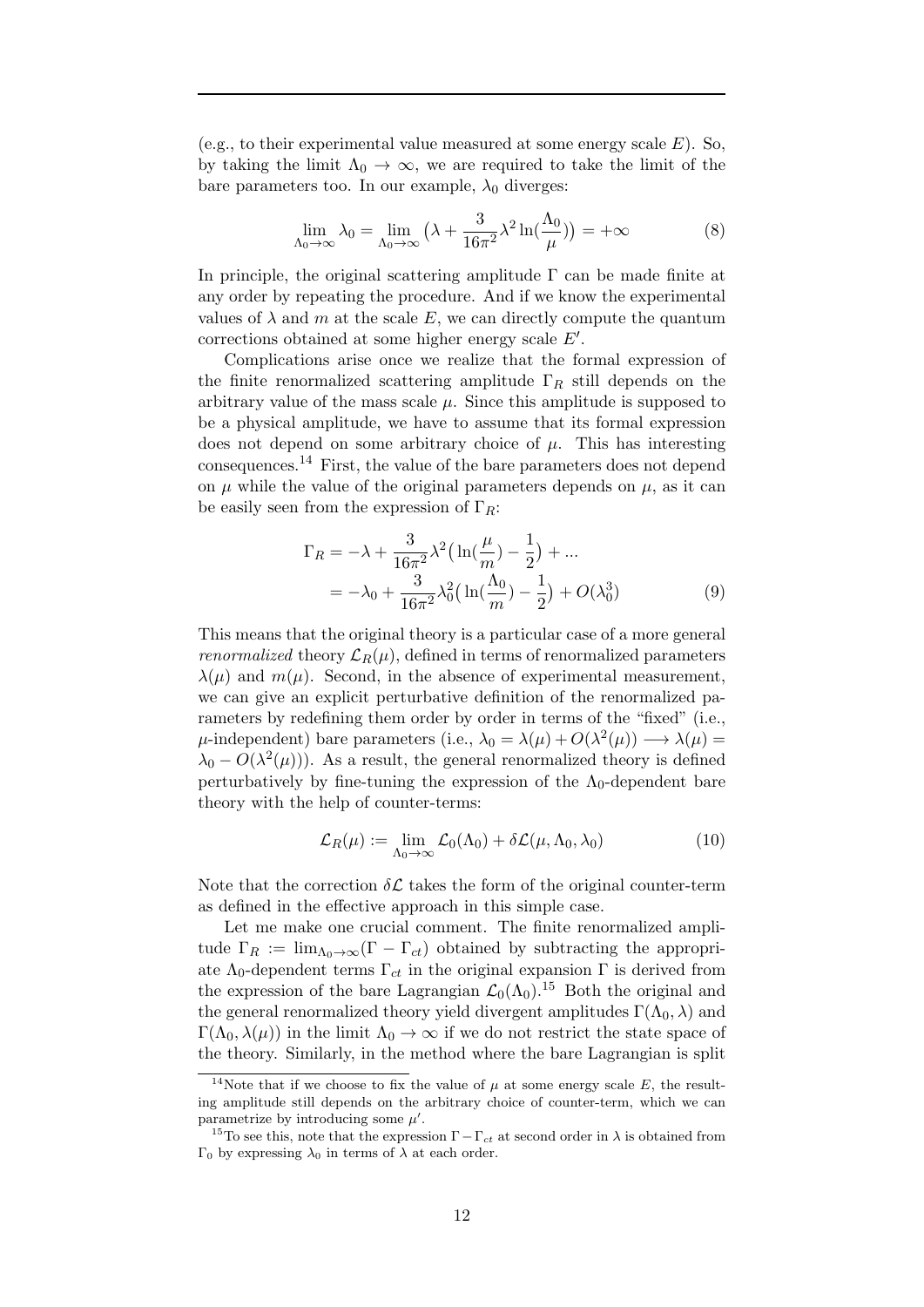(e.g., to their experimental value measured at some energy scale  $E$ ). So, by taking the limit  $\Lambda_0 \to \infty$ , we are required to take the limit of the bare parameters too. In our example,  $\lambda_0$  diverges:

$$
\lim_{\Lambda_0 \to \infty} \lambda_0 = \lim_{\Lambda_0 \to \infty} \left( \lambda + \frac{3}{16\pi^2} \lambda^2 \ln(\frac{\Lambda_0}{\mu}) \right) = +\infty
$$
 (8)

In principle, the original scattering amplitude  $\Gamma$  can be made finite at any order by repeating the procedure. And if we know the experimental values of  $\lambda$  and m at the scale E, we can directly compute the quantum corrections obtained at some higher energy scale  $E'$ .

Complications arise once we realize that the formal expression of the finite renormalized scattering amplitude  $\Gamma_R$  still depends on the arbitrary value of the mass scale  $\mu$ . Since this amplitude is supposed to be a physical amplitude, we have to assume that its formal expression does not depend on some arbitrary choice of  $\mu$ . This has interesting consequences.<sup>14</sup> First, the value of the bare parameters does not depend on  $\mu$  while the value of the original parameters depends on  $\mu$ , as it can be easily seen from the expression of  $\Gamma_R$ :

$$
\Gamma_R = -\lambda + \frac{3}{16\pi^2} \lambda^2 \left( \ln(\frac{\mu}{m}) - \frac{1}{2} \right) + \dots \n= -\lambda_0 + \frac{3}{16\pi^2} \lambda_0^2 \left( \ln(\frac{\Lambda_0}{m}) - \frac{1}{2} \right) + O(\lambda_0^3)
$$
\n(9)

This means that the original theory is a particular case of a more general *renormalized* theory  $\mathcal{L}_R(\mu)$ , defined in terms of renormalized parameters  $\lambda(\mu)$  and  $m(\mu)$ . Second, in the absence of experimental measurement, we can give an explicit perturbative definition of the renormalized parameters by redefining them order by order in terms of the "fixed" (i.e.,  $\mu$ -independent) bare parameters (i.e.,  $\lambda_0 = \lambda(\mu) + O(\lambda^2(\mu)) \longrightarrow \lambda(\mu) =$  $\lambda_0 - O(\lambda^2(\mu))$ . As a result, the general renormalized theory is defined perturbatively by fine-tuning the expression of the  $\Lambda_0$ -dependent bare theory with the help of counter-terms:

$$
\mathcal{L}_R(\mu) := \lim_{\Lambda_0 \to \infty} \mathcal{L}_0(\Lambda_0) + \delta \mathcal{L}(\mu, \Lambda_0, \lambda_0)
$$
 (10)

Note that the correction  $\delta \mathcal{L}$  takes the form of the original counter-term as defined in the effective approach in this simple case.

Let me make one crucial comment. The finite renormalized amplitude  $\Gamma_R := \lim_{\Lambda_0 \to \infty} (\Gamma - \Gamma_{ct})$  obtained by subtracting the appropriate  $\Lambda_0$ -dependent terms  $\Gamma_{ct}$  in the original expansion  $\Gamma$  is derived from the expression of the bare Lagrangian  $\mathcal{L}_0(\Lambda_0)$ .<sup>15</sup> Both the original and the general renormalized theory yield divergent amplitudes  $\Gamma(\Lambda_0, \lambda)$  and  $\Gamma(\Lambda_0, \lambda(\mu))$  in the limit  $\Lambda_0 \to \infty$  if we do not restrict the state space of the theory. Similarly, in the method where the bare Lagrangian is split

<sup>&</sup>lt;sup>14</sup>Note that if we choose to fix the value of  $\mu$  at some energy scale E, the resulting amplitude still depends on the arbitrary choice of counter-term, which we can parametrize by introducing some  $\mu'$ .

<sup>&</sup>lt;sup>15</sup>To see this, note that the expression  $\Gamma - \Gamma_{ct}$  at second order in  $\lambda$  is obtained from Γ<sub>0</sub> by expressing  $\lambda$ <sub>0</sub> in terms of  $\lambda$  at each order.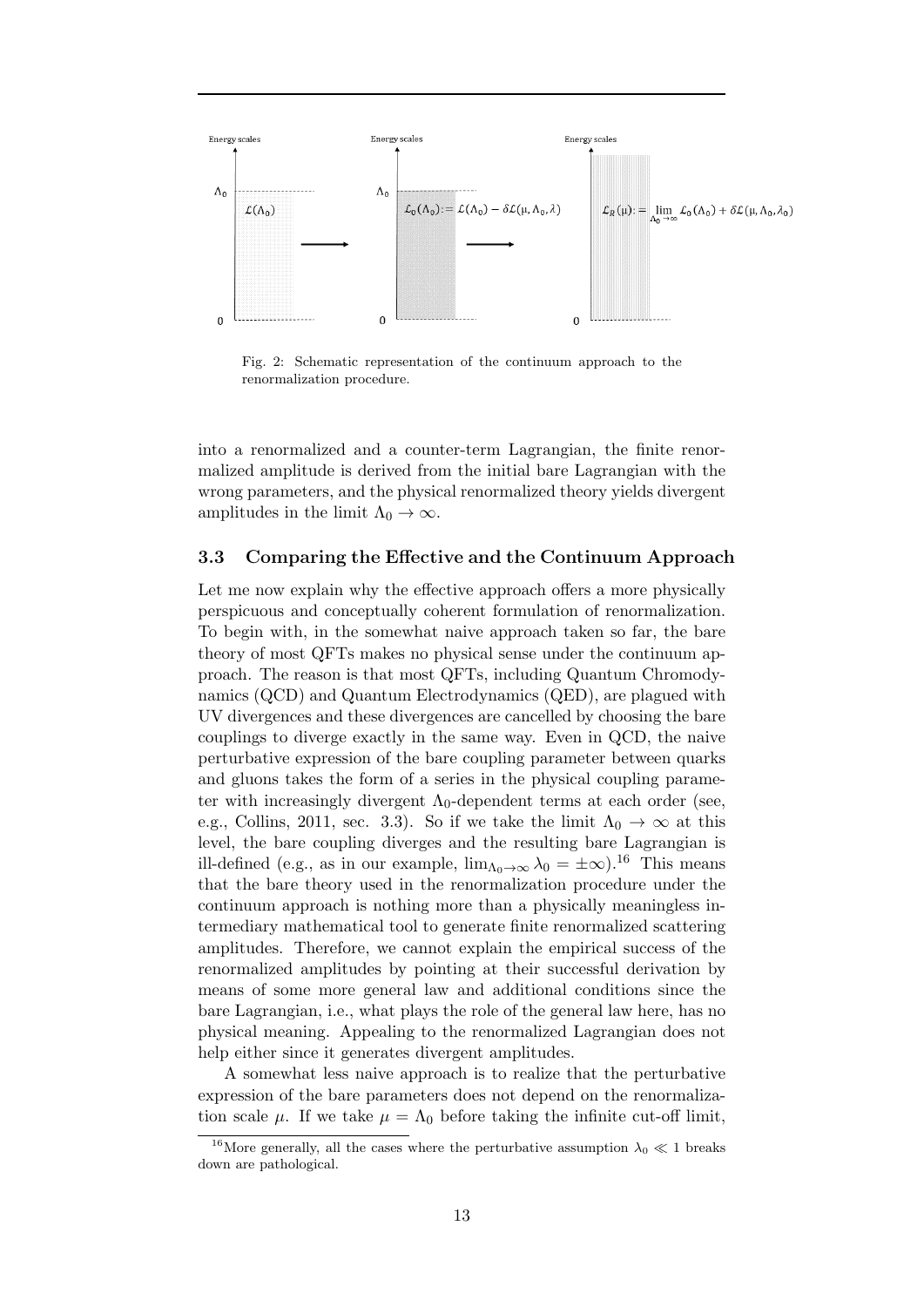

Fig. 2: Schematic representation of the continuum approach to the renormalization procedure.

into a renormalized and a counter-term Lagrangian, the finite renormalized amplitude is derived from the initial bare Lagrangian with the wrong parameters, and the physical renormalized theory yields divergent amplitudes in the limit  $\Lambda_0 \to \infty$ .

### 3.3 Comparing the Effective and the Continuum Approach

Let me now explain why the effective approach offers a more physically perspicuous and conceptually coherent formulation of renormalization. To begin with, in the somewhat naive approach taken so far, the bare theory of most QFTs makes no physical sense under the continuum approach. The reason is that most QFTs, including Quantum Chromodynamics (QCD) and Quantum Electrodynamics (QED), are plagued with UV divergences and these divergences are cancelled by choosing the bare couplings to diverge exactly in the same way. Even in QCD, the naive perturbative expression of the bare coupling parameter between quarks and gluons takes the form of a series in the physical coupling parameter with increasingly divergent  $\Lambda_0$ -dependent terms at each order (see, e.g., Collins, 2011, sec. 3.3). So if we take the limit  $\Lambda_0 \to \infty$  at this level, the bare coupling diverges and the resulting bare Lagrangian is ill-defined (e.g., as in our example,  $\lim_{\Lambda_0 \to \infty} \lambda_0 = \pm \infty$ ).<sup>16</sup> This means that the bare theory used in the renormalization procedure under the continuum approach is nothing more than a physically meaningless intermediary mathematical tool to generate finite renormalized scattering amplitudes. Therefore, we cannot explain the empirical success of the renormalized amplitudes by pointing at their successful derivation by means of some more general law and additional conditions since the bare Lagrangian, i.e., what plays the role of the general law here, has no physical meaning. Appealing to the renormalized Lagrangian does not help either since it generates divergent amplitudes.

A somewhat less naive approach is to realize that the perturbative expression of the bare parameters does not depend on the renormalization scale  $\mu$ . If we take  $\mu = \Lambda_0$  before taking the infinite cut-off limit,

<sup>&</sup>lt;sup>16</sup>More generally, all the cases where the perturbative assumption  $\lambda_0 \ll 1$  breaks down are pathological.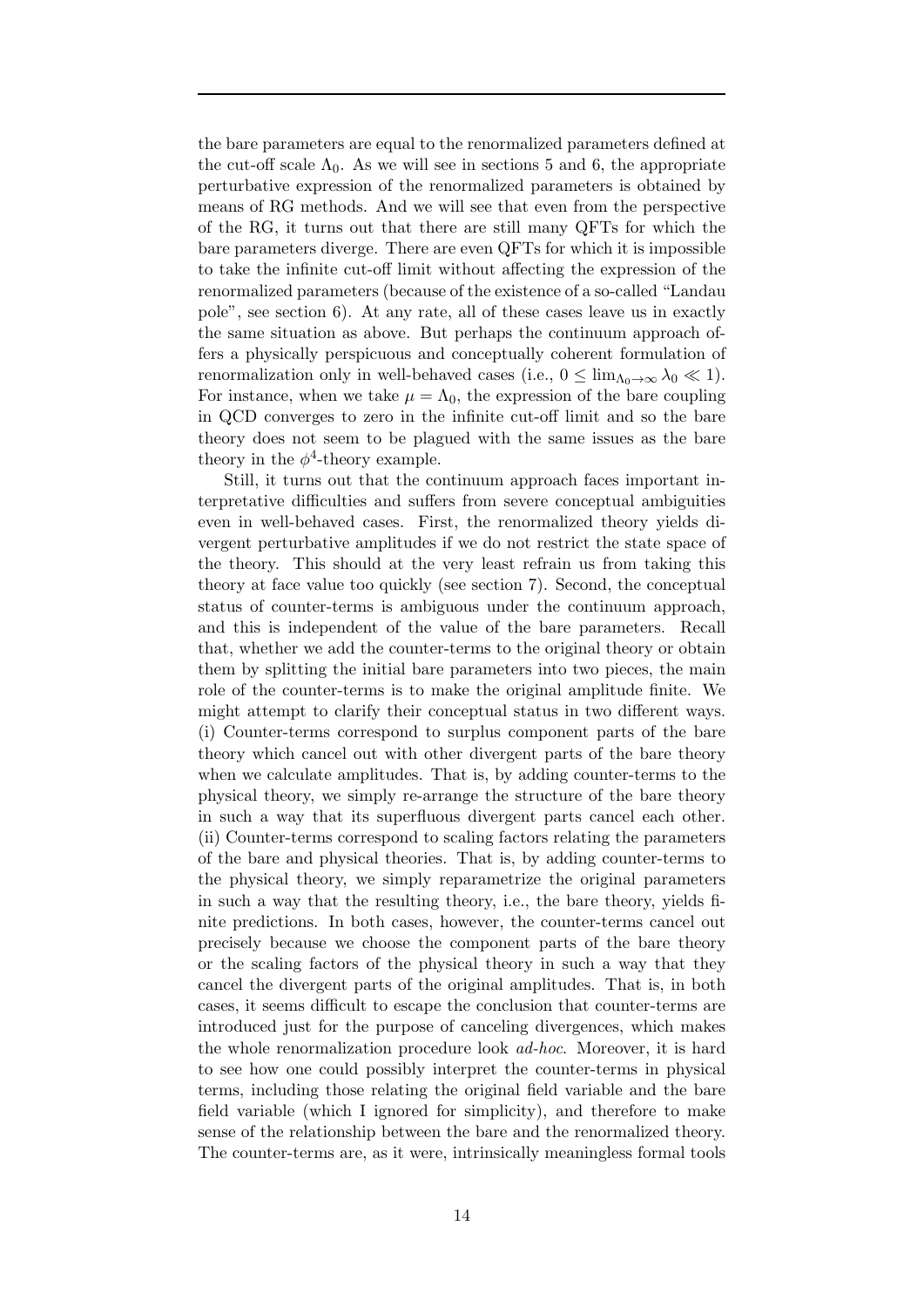the bare parameters are equal to the renormalized parameters defined at the cut-off scale  $\Lambda_0$ . As we will see in sections 5 and 6, the appropriate perturbative expression of the renormalized parameters is obtained by means of RG methods. And we will see that even from the perspective of the RG, it turns out that there are still many QFTs for which the bare parameters diverge. There are even QFTs for which it is impossible to take the infinite cut-off limit without affecting the expression of the renormalized parameters (because of the existence of a so-called "Landau pole", see section 6). At any rate, all of these cases leave us in exactly the same situation as above. But perhaps the continuum approach offers a physically perspicuous and conceptually coherent formulation of renormalization only in well-behaved cases (i.e.,  $0 \leq \lim_{\Lambda_0 \to \infty} \lambda_0 \ll 1$ ). For instance, when we take  $\mu = \Lambda_0$ , the expression of the bare coupling in QCD converges to zero in the infinite cut-off limit and so the bare theory does not seem to be plagued with the same issues as the bare theory in the  $\phi^4$ -theory example.

Still, it turns out that the continuum approach faces important interpretative difficulties and suffers from severe conceptual ambiguities even in well-behaved cases. First, the renormalized theory yields divergent perturbative amplitudes if we do not restrict the state space of the theory. This should at the very least refrain us from taking this theory at face value too quickly (see section 7). Second, the conceptual status of counter-terms is ambiguous under the continuum approach, and this is independent of the value of the bare parameters. Recall that, whether we add the counter-terms to the original theory or obtain them by splitting the initial bare parameters into two pieces, the main role of the counter-terms is to make the original amplitude finite. We might attempt to clarify their conceptual status in two different ways. (i) Counter-terms correspond to surplus component parts of the bare theory which cancel out with other divergent parts of the bare theory when we calculate amplitudes. That is, by adding counter-terms to the physical theory, we simply re-arrange the structure of the bare theory in such a way that its superfluous divergent parts cancel each other. (ii) Counter-terms correspond to scaling factors relating the parameters of the bare and physical theories. That is, by adding counter-terms to the physical theory, we simply reparametrize the original parameters in such a way that the resulting theory, i.e., the bare theory, yields finite predictions. In both cases, however, the counter-terms cancel out precisely because we choose the component parts of the bare theory or the scaling factors of the physical theory in such a way that they cancel the divergent parts of the original amplitudes. That is, in both cases, it seems difficult to escape the conclusion that counter-terms are introduced just for the purpose of canceling divergences, which makes the whole renormalization procedure look ad-hoc. Moreover, it is hard to see how one could possibly interpret the counter-terms in physical terms, including those relating the original field variable and the bare field variable (which I ignored for simplicity), and therefore to make sense of the relationship between the bare and the renormalized theory. The counter-terms are, as it were, intrinsically meaningless formal tools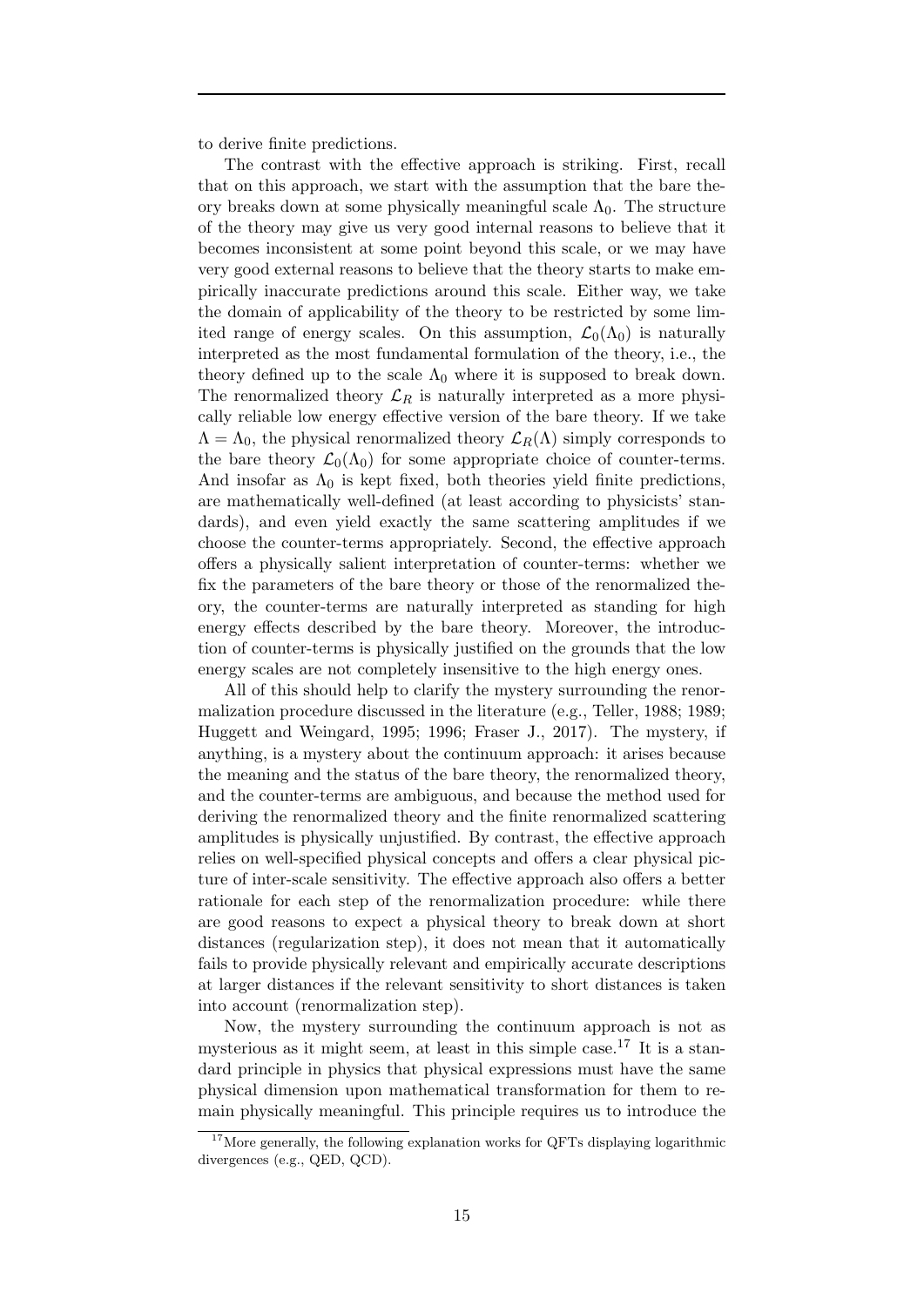to derive finite predictions.

The contrast with the effective approach is striking. First, recall that on this approach, we start with the assumption that the bare theory breaks down at some physically meaningful scale  $\Lambda_0$ . The structure of the theory may give us very good internal reasons to believe that it becomes inconsistent at some point beyond this scale, or we may have very good external reasons to believe that the theory starts to make empirically inaccurate predictions around this scale. Either way, we take the domain of applicability of the theory to be restricted by some limited range of energy scales. On this assumption,  $\mathcal{L}_0(\Lambda_0)$  is naturally interpreted as the most fundamental formulation of the theory, i.e., the theory defined up to the scale  $\Lambda_0$  where it is supposed to break down. The renormalized theory  $\mathcal{L}_R$  is naturally interpreted as a more physically reliable low energy effective version of the bare theory. If we take  $\Lambda = \Lambda_0$ , the physical renormalized theory  $\mathcal{L}_R(\Lambda)$  simply corresponds to the bare theory  $\mathcal{L}_0(\Lambda_0)$  for some appropriate choice of counter-terms. And insofar as  $\Lambda_0$  is kept fixed, both theories yield finite predictions, are mathematically well-defined (at least according to physicists' standards), and even yield exactly the same scattering amplitudes if we choose the counter-terms appropriately. Second, the effective approach offers a physically salient interpretation of counter-terms: whether we fix the parameters of the bare theory or those of the renormalized theory, the counter-terms are naturally interpreted as standing for high energy effects described by the bare theory. Moreover, the introduction of counter-terms is physically justified on the grounds that the low energy scales are not completely insensitive to the high energy ones.

All of this should help to clarify the mystery surrounding the renormalization procedure discussed in the literature (e.g., Teller, 1988; 1989; Huggett and Weingard, 1995; 1996; Fraser J., 2017). The mystery, if anything, is a mystery about the continuum approach: it arises because the meaning and the status of the bare theory, the renormalized theory, and the counter-terms are ambiguous, and because the method used for deriving the renormalized theory and the finite renormalized scattering amplitudes is physically unjustified. By contrast, the effective approach relies on well-specified physical concepts and offers a clear physical picture of inter-scale sensitivity. The effective approach also offers a better rationale for each step of the renormalization procedure: while there are good reasons to expect a physical theory to break down at short distances (regularization step), it does not mean that it automatically fails to provide physically relevant and empirically accurate descriptions at larger distances if the relevant sensitivity to short distances is taken into account (renormalization step).

Now, the mystery surrounding the continuum approach is not as mysterious as it might seem, at least in this simple case.<sup>17</sup> It is a standard principle in physics that physical expressions must have the same physical dimension upon mathematical transformation for them to remain physically meaningful. This principle requires us to introduce the

 $17$ More generally, the following explanation works for QFTs displaying logarithmic divergences (e.g., QED, QCD).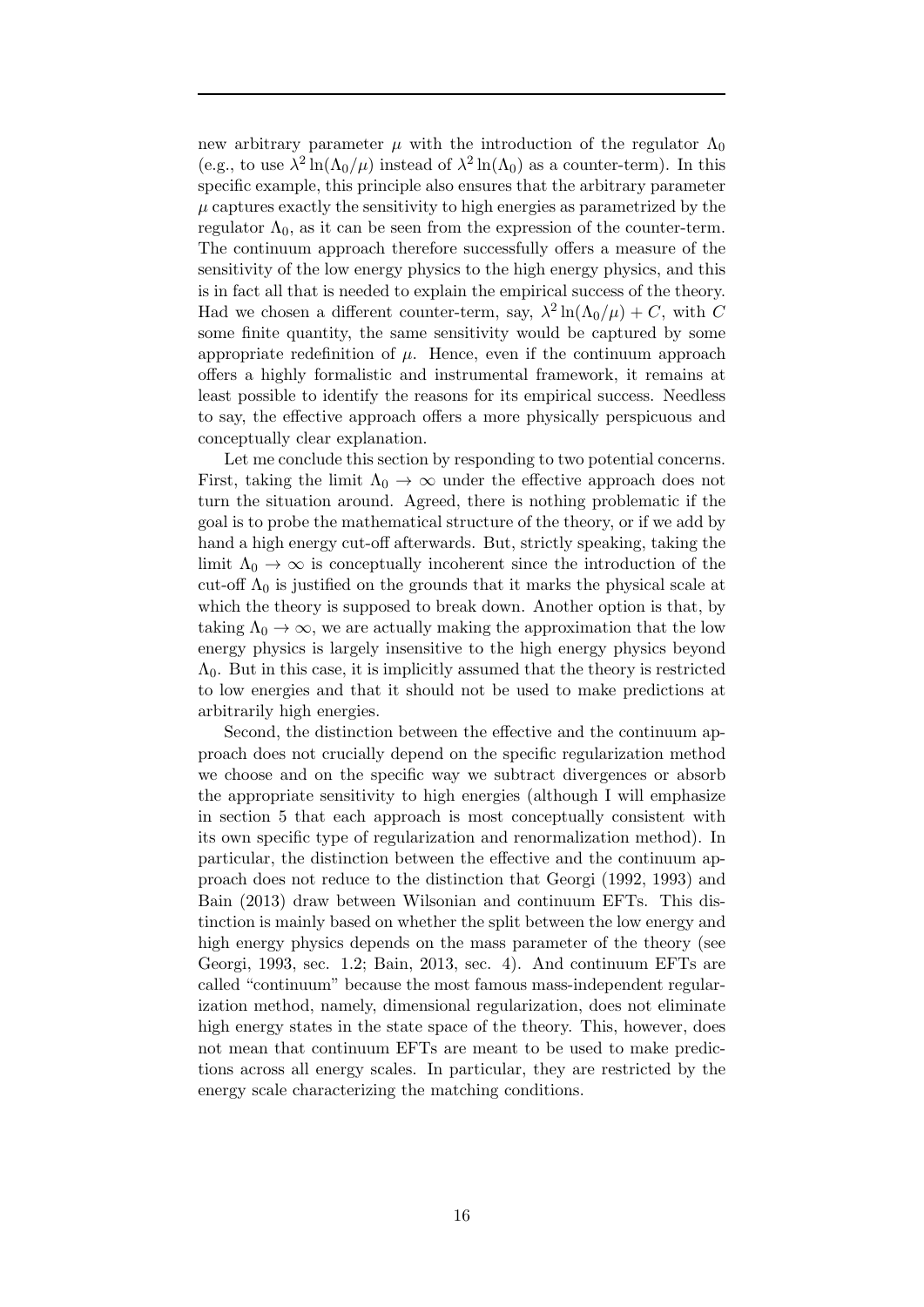new arbitrary parameter  $\mu$  with the introduction of the regulator  $Λ_0$ (e.g., to use  $\lambda^2 \ln(\Lambda_0/\mu)$  instead of  $\lambda^2 \ln(\Lambda_0)$  as a counter-term). In this specific example, this principle also ensures that the arbitrary parameter  $\mu$  captures exactly the sensitivity to high energies as parametrized by the regulator  $\Lambda_0$ , as it can be seen from the expression of the counter-term. The continuum approach therefore successfully offers a measure of the sensitivity of the low energy physics to the high energy physics, and this is in fact all that is needed to explain the empirical success of the theory. Had we chosen a different counter-term, say,  $\lambda^2 \ln(\Lambda_0/\mu) + C$ , with C some finite quantity, the same sensitivity would be captured by some appropriate redefinition of  $\mu$ . Hence, even if the continuum approach offers a highly formalistic and instrumental framework, it remains at least possible to identify the reasons for its empirical success. Needless to say, the effective approach offers a more physically perspicuous and conceptually clear explanation.

Let me conclude this section by responding to two potential concerns. First, taking the limit  $\Lambda_0 \to \infty$  under the effective approach does not turn the situation around. Agreed, there is nothing problematic if the goal is to probe the mathematical structure of the theory, or if we add by hand a high energy cut-off afterwards. But, strictly speaking, taking the limit  $\Lambda_0 \to \infty$  is conceptually incoherent since the introduction of the cut-off  $\Lambda_0$  is justified on the grounds that it marks the physical scale at which the theory is supposed to break down. Another option is that, by taking  $\Lambda_0 \to \infty$ , we are actually making the approximation that the low energy physics is largely insensitive to the high energy physics beyond  $\Lambda_0$ . But in this case, it is implicitly assumed that the theory is restricted to low energies and that it should not be used to make predictions at arbitrarily high energies.

Second, the distinction between the effective and the continuum approach does not crucially depend on the specific regularization method we choose and on the specific way we subtract divergences or absorb the appropriate sensitivity to high energies (although I will emphasize in section 5 that each approach is most conceptually consistent with its own specific type of regularization and renormalization method). In particular, the distinction between the effective and the continuum approach does not reduce to the distinction that Georgi (1992, 1993) and Bain (2013) draw between Wilsonian and continuum EFTs. This distinction is mainly based on whether the split between the low energy and high energy physics depends on the mass parameter of the theory (see Georgi, 1993, sec. 1.2; Bain, 2013, sec. 4). And continuum EFTs are called "continuum" because the most famous mass-independent regularization method, namely, dimensional regularization, does not eliminate high energy states in the state space of the theory. This, however, does not mean that continuum EFTs are meant to be used to make predictions across all energy scales. In particular, they are restricted by the energy scale characterizing the matching conditions.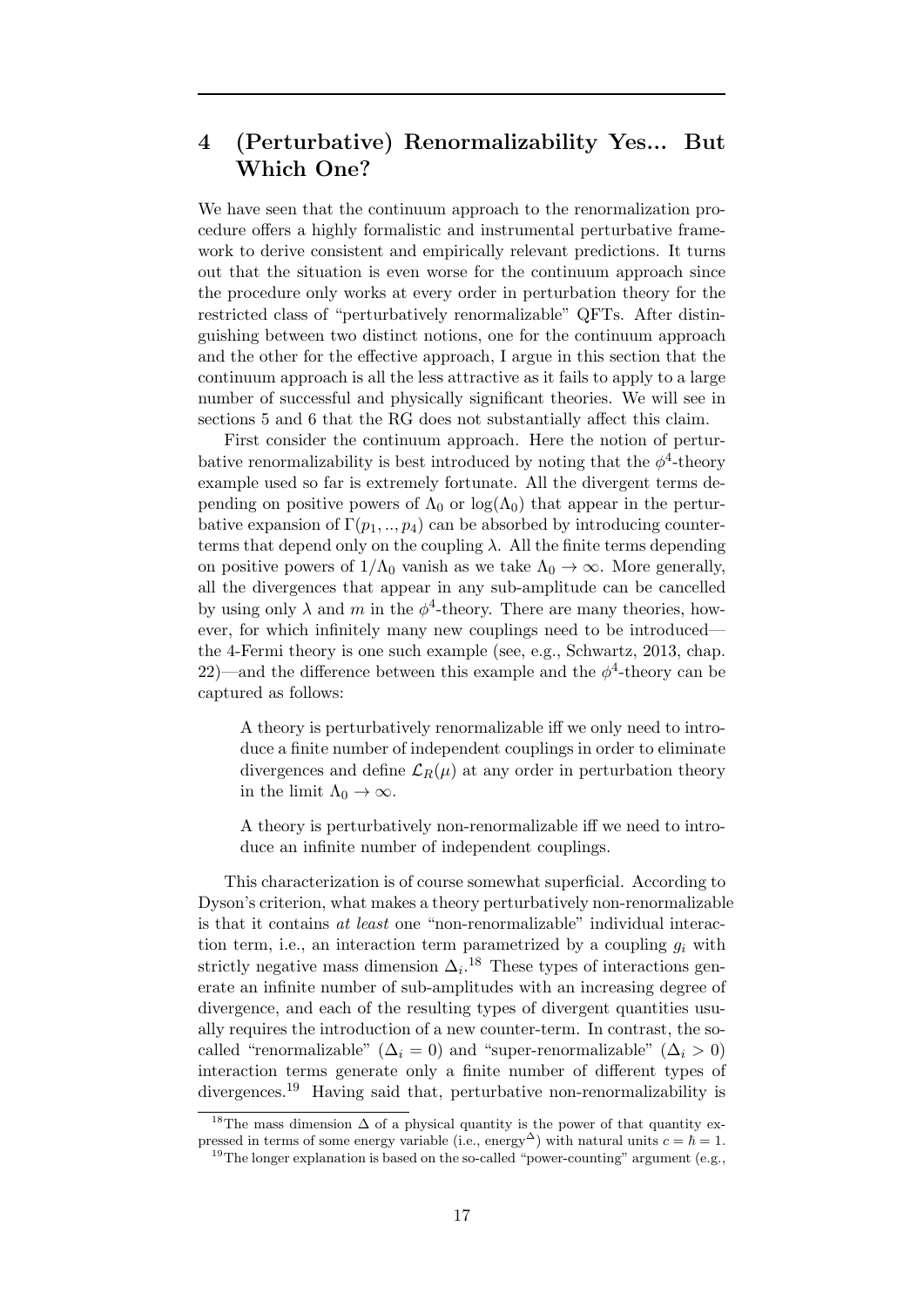# 4 (Perturbative) Renormalizability Yes... But Which One?

We have seen that the continuum approach to the renormalization procedure offers a highly formalistic and instrumental perturbative framework to derive consistent and empirically relevant predictions. It turns out that the situation is even worse for the continuum approach since the procedure only works at every order in perturbation theory for the restricted class of "perturbatively renormalizable" QFTs. After distinguishing between two distinct notions, one for the continuum approach and the other for the effective approach, I argue in this section that the continuum approach is all the less attractive as it fails to apply to a large number of successful and physically significant theories. We will see in sections 5 and 6 that the RG does not substantially affect this claim.

First consider the continuum approach. Here the notion of perturbative renormalizability is best introduced by noting that the  $\phi^4$ -theory example used so far is extremely fortunate. All the divergent terms depending on positive powers of  $\Lambda_0$  or  $\log(\Lambda_0)$  that appear in the perturbative expansion of  $\Gamma(p_1, ..., p_4)$  can be absorbed by introducing counterterms that depend only on the coupling  $\lambda$ . All the finite terms depending on positive powers of  $1/\Lambda_0$  vanish as we take  $\Lambda_0 \to \infty$ . More generally, all the divergences that appear in any sub-amplitude can be cancelled by using only  $\lambda$  and m in the  $\phi^4$ -theory. There are many theories, however, for which infinitely many new couplings need to be introduced the 4-Fermi theory is one such example (see, e.g., Schwartz, 2013, chap. 22)—and the difference between this example and the  $\phi^4$ -theory can be captured as follows:

A theory is perturbatively renormalizable iff we only need to introduce a finite number of independent couplings in order to eliminate divergences and define  $\mathcal{L}_R(\mu)$  at any order in perturbation theory in the limit  $\Lambda_0 \to \infty$ .

A theory is perturbatively non-renormalizable iff we need to introduce an infinite number of independent couplings.

This characterization is of course somewhat superficial. According to Dyson's criterion, what makes a theory perturbatively non-renormalizable is that it contains at least one "non-renormalizable" individual interaction term, i.e., an interaction term parametrized by a coupling  $q_i$  with strictly negative mass dimension  $\Delta_i$ .<sup>18</sup> These types of interactions generate an infinite number of sub-amplitudes with an increasing degree of divergence, and each of the resulting types of divergent quantities usually requires the introduction of a new counter-term. In contrast, the socalled "renormalizable" ( $\Delta_i = 0$ ) and "super-renormalizable" ( $\Delta_i > 0$ ) interaction terms generate only a finite number of different types of divergences.<sup>19</sup> Having said that, perturbative non-renormalizability is

<sup>&</sup>lt;sup>18</sup>The mass dimension  $\Delta$  of a physical quantity is the power of that quantity expressed in terms of some energy variable (i.e., energy<sup>△</sup>) with natural units  $c = \hbar = 1$ .

<sup>&</sup>lt;sup>19</sup>The longer explanation is based on the so-called "power-counting" argument (e.g.,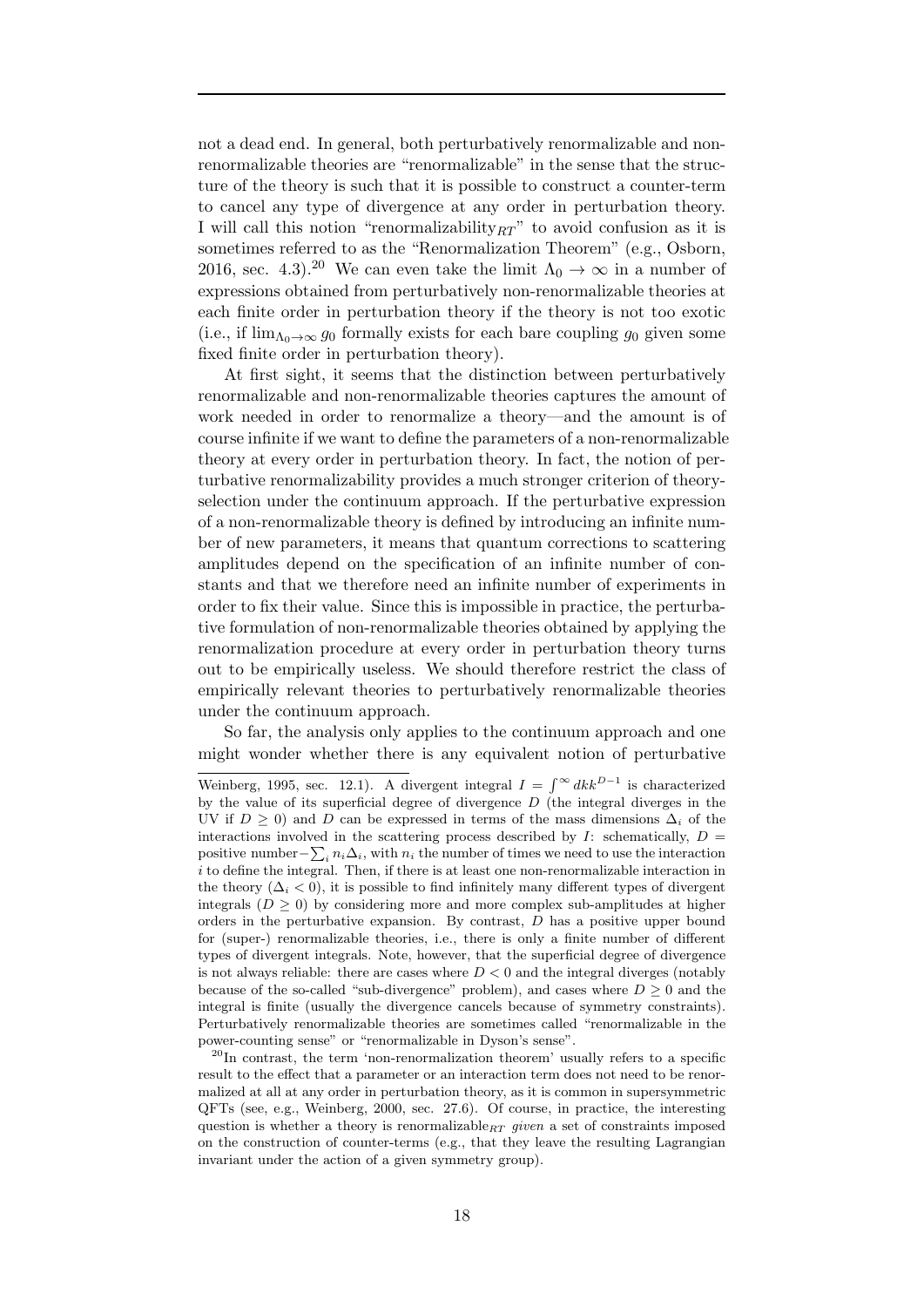not a dead end. In general, both perturbatively renormalizable and nonrenormalizable theories are "renormalizable" in the sense that the structure of the theory is such that it is possible to construct a counter-term to cancel any type of divergence at any order in perturbation theory. I will call this notion "renormalizability  $_{RT}$ " to avoid confusion as it is sometimes referred to as the "Renormalization Theorem" (e.g., Osborn, 2016, sec. 4.3).<sup>20</sup> We can even take the limit  $\Lambda_0 \rightarrow \infty$  in a number of expressions obtained from perturbatively non-renormalizable theories at each finite order in perturbation theory if the theory is not too exotic (i.e., if  $\lim_{\Delta_0 \to \infty} g_0$  formally exists for each bare coupling  $g_0$  given some fixed finite order in perturbation theory).

At first sight, it seems that the distinction between perturbatively renormalizable and non-renormalizable theories captures the amount of work needed in order to renormalize a theory—and the amount is of course infinite if we want to define the parameters of a non-renormalizable theory at every order in perturbation theory. In fact, the notion of perturbative renormalizability provides a much stronger criterion of theoryselection under the continuum approach. If the perturbative expression of a non-renormalizable theory is defined by introducing an infinite number of new parameters, it means that quantum corrections to scattering amplitudes depend on the specification of an infinite number of constants and that we therefore need an infinite number of experiments in order to fix their value. Since this is impossible in practice, the perturbative formulation of non-renormalizable theories obtained by applying the renormalization procedure at every order in perturbation theory turns out to be empirically useless. We should therefore restrict the class of empirically relevant theories to perturbatively renormalizable theories under the continuum approach.

So far, the analysis only applies to the continuum approach and one might wonder whether there is any equivalent notion of perturbative

Weinberg, 1995, sec. 12.1). A divergent integral  $I = \int_{0}^{\infty} dk k^{D-1}$  is characterized by the value of its superficial degree of divergence  $D$  (the integral diverges in the UV if  $D \geq 0$  and D can be expressed in terms of the mass dimensions  $\Delta_i$  of the interactions involved in the scattering process described by  $I$ : schematically,  $D =$ positive number $-\sum_i n_i\Delta_i$ , with  $n_i$  the number of times we need to use the interaction  $i$  to define the integral. Then, if there is at least one non-renormalizable interaction in the theory ( $\Delta_i$  < 0), it is possible to find infinitely many different types of divergent integrals  $(D \geq 0)$  by considering more and more complex sub-amplitudes at higher orders in the perturbative expansion. By contrast,  $D$  has a positive upper bound for (super-) renormalizable theories, i.e., there is only a finite number of different types of divergent integrals. Note, however, that the superficial degree of divergence is not always reliable: there are cases where  $D < 0$  and the integral diverges (notably because of the so-called "sub-divergence" problem), and cases where  $D \geq 0$  and the integral is finite (usually the divergence cancels because of symmetry constraints). Perturbatively renormalizable theories are sometimes called "renormalizable in the power-counting sense" or "renormalizable in Dyson's sense".

 $^{20}$ In contrast, the term 'non-renormalization theorem' usually refers to a specific result to the effect that a parameter or an interaction term does not need to be renormalized at all at any order in perturbation theory, as it is common in supersymmetric QFTs (see, e.g., Weinberg, 2000, sec. 27.6). Of course, in practice, the interesting question is whether a theory is renormalizable<sub>RT</sub> given a set of constraints imposed on the construction of counter-terms (e.g., that they leave the resulting Lagrangian invariant under the action of a given symmetry group).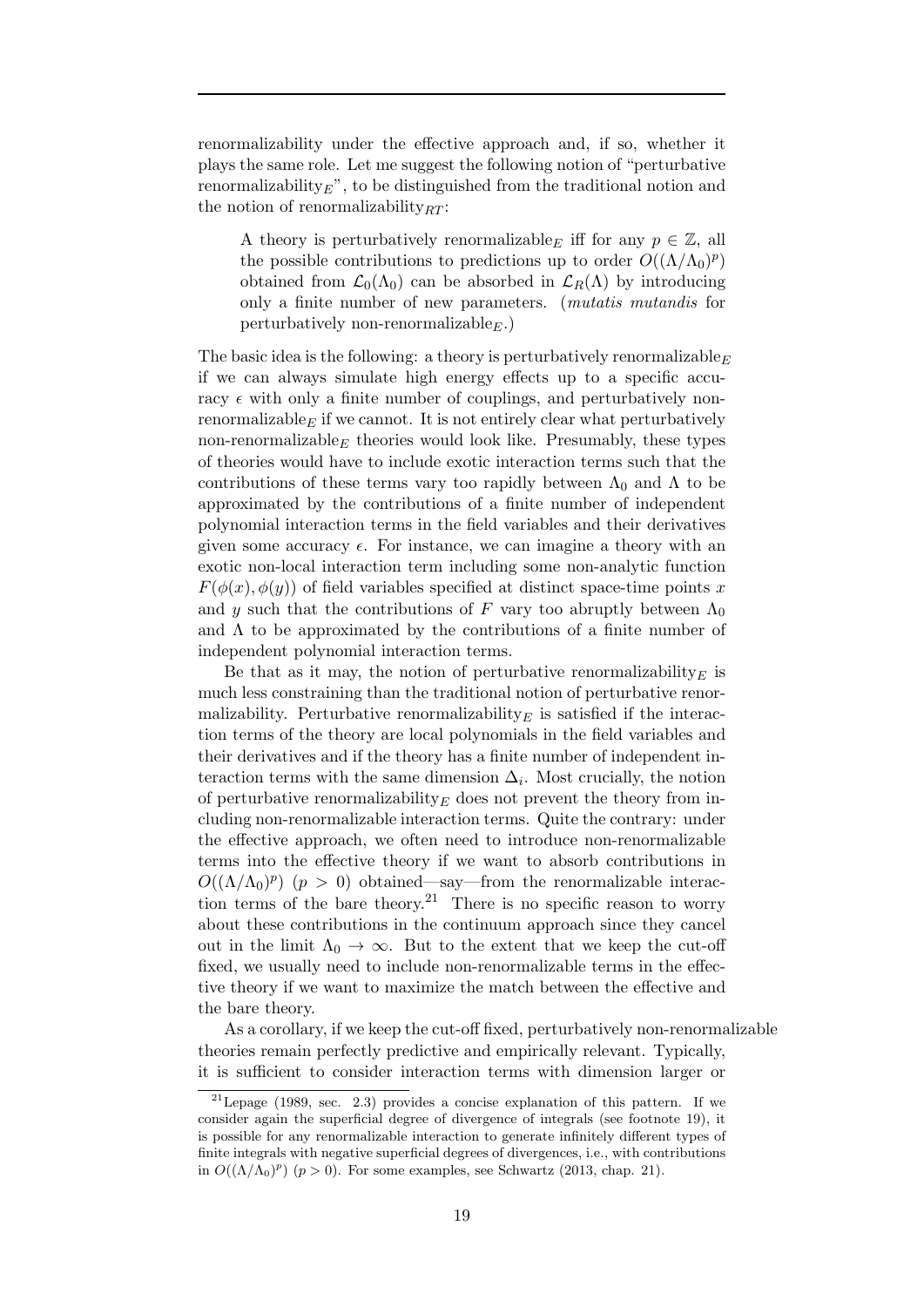renormalizability under the effective approach and, if so, whether it plays the same role. Let me suggest the following notion of "perturbative renormalizability $E^"$ , to be distinguished from the traditional notion and the notion of renormalizability  $RT$ :

A theory is perturbatively renormalizable<sub>E</sub> iff for any  $p \in \mathbb{Z}$ , all the possible contributions to predictions up to order  $O((\Lambda/\Lambda_0)^p)$ obtained from  $\mathcal{L}_0(\Lambda_0)$  can be absorbed in  $\mathcal{L}_R(\Lambda)$  by introducing only a finite number of new parameters. (mutatis mutandis for perturbatively non-renormalizable $_E$ .)

The basic idea is the following: a theory is perturbatively renormalizable  $E$ if we can always simulate high energy effects up to a specific accuracy  $\epsilon$  with only a finite number of couplings, and perturbatively nonrenormalizable $E$  if we cannot. It is not entirely clear what perturbatively non-renormalizable $_E$  theories would look like. Presumably, these types of theories would have to include exotic interaction terms such that the contributions of these terms vary too rapidly between  $\Lambda_0$  and  $\Lambda$  to be approximated by the contributions of a finite number of independent polynomial interaction terms in the field variables and their derivatives given some accuracy  $\epsilon$ . For instance, we can imagine a theory with an exotic non-local interaction term including some non-analytic function  $F(\phi(x), \phi(y))$  of field variables specified at distinct space-time points x and y such that the contributions of F vary too abruptly between  $\Lambda_0$ and  $\Lambda$  to be approximated by the contributions of a finite number of independent polynomial interaction terms.

Be that as it may, the notion of perturbative renormalizability  $E$  is much less constraining than the traditional notion of perturbative renormalizability. Perturbative renormalizability  $E$  is satisfied if the interaction terms of the theory are local polynomials in the field variables and their derivatives and if the theory has a finite number of independent interaction terms with the same dimension  $\Delta_i$ . Most crucially, the notion of perturbative renormalizability  $E$  does not prevent the theory from including non-renormalizable interaction terms. Quite the contrary: under the effective approach, we often need to introduce non-renormalizable terms into the effective theory if we want to absorb contributions in  $O((\Lambda/\Lambda_0)^p)$  ( $p > 0$ ) obtained—say—from the renormalizable interaction terms of the bare theory.<sup>21</sup> There is no specific reason to worry about these contributions in the continuum approach since they cancel out in the limit  $\Lambda_0 \to \infty$ . But to the extent that we keep the cut-off fixed, we usually need to include non-renormalizable terms in the effective theory if we want to maximize the match between the effective and the bare theory.

As a corollary, if we keep the cut-off fixed, perturbatively non-renormalizable theories remain perfectly predictive and empirically relevant. Typically, it is sufficient to consider interaction terms with dimension larger or

<sup>&</sup>lt;sup>21</sup>Lepage (1989, sec. 2.3) provides a concise explanation of this pattern. If we consider again the superficial degree of divergence of integrals (see footnote 19), it is possible for any renormalizable interaction to generate infinitely different types of finite integrals with negative superficial degrees of divergences, i.e., with contributions in  $O((\Lambda/\Lambda_0)^p)$   $(p>0)$ . For some examples, see Schwartz (2013, chap. 21).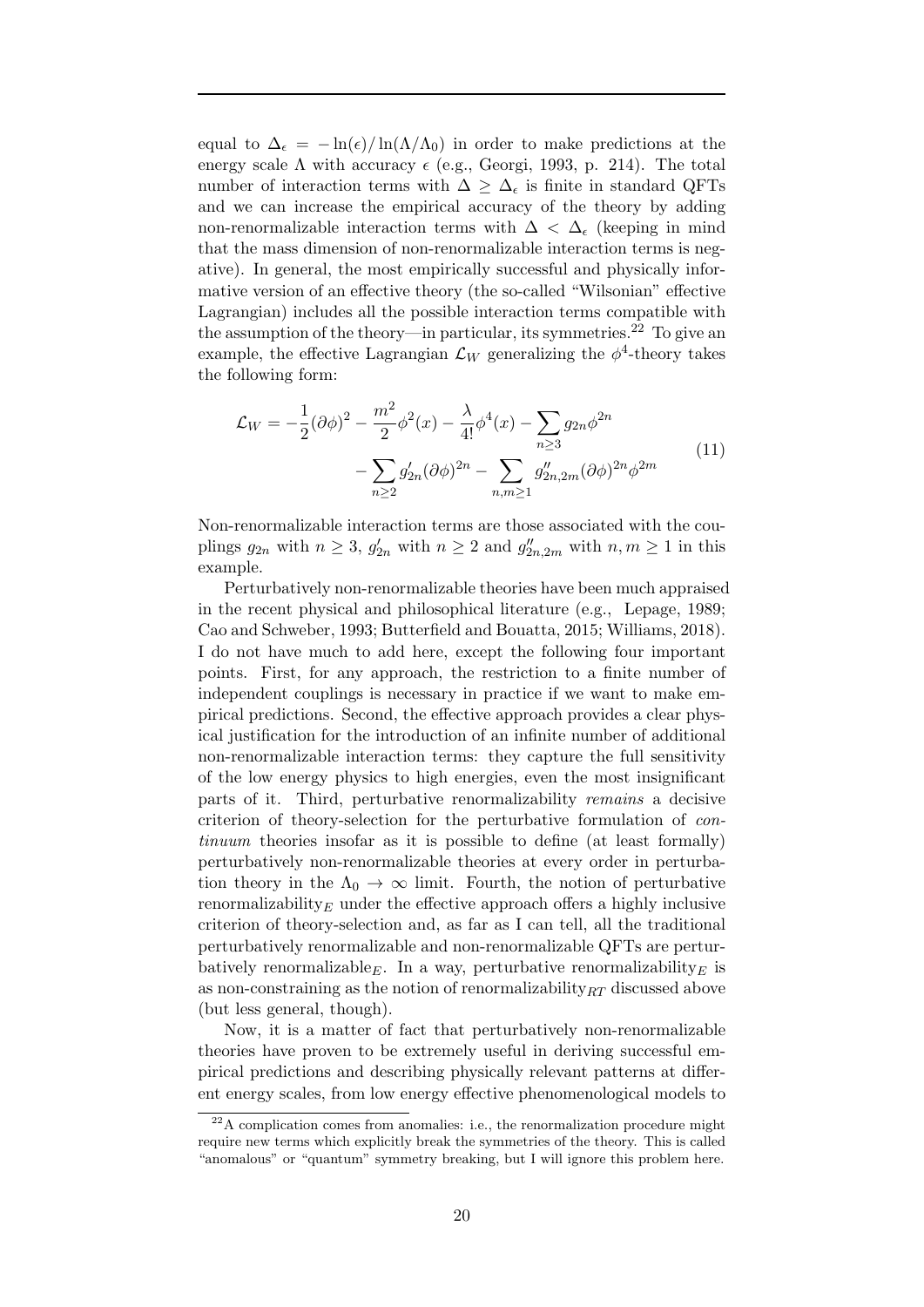equal to  $\Delta_{\epsilon} = -\ln(\epsilon)/\ln(\Lambda/\Lambda_0)$  in order to make predictions at the energy scale  $\Lambda$  with accuracy  $\epsilon$  (e.g., Georgi, 1993, p. 214). The total number of interaction terms with  $\Delta \geq \Delta_{\epsilon}$  is finite in standard QFTs and we can increase the empirical accuracy of the theory by adding non-renormalizable interaction terms with  $\Delta < \Delta_{\epsilon}$  (keeping in mind that the mass dimension of non-renormalizable interaction terms is negative). In general, the most empirically successful and physically informative version of an effective theory (the so-called "Wilsonian" effective Lagrangian) includes all the possible interaction terms compatible with the assumption of the theory—in particular, its symmetries.<sup>22</sup> To give an example, the effective Lagrangian  $\mathcal{L}_W$  generalizing the  $\phi^4$ -theory takes the following form:

$$
\mathcal{L}_W = -\frac{1}{2}(\partial \phi)^2 - \frac{m^2}{2}\phi^2(x) - \frac{\lambda}{4!}\phi^4(x) - \sum_{n \ge 3} g_{2n}\phi^{2n} - \sum_{n \ge 2} g'_{2n}(\partial \phi)^{2n} - \sum_{n,m \ge 1} g''_{2n,2m}(\partial \phi)^{2n}\phi^{2m}
$$
\n(11)

Non-renormalizable interaction terms are those associated with the couplings  $g_{2n}$  with  $n \geq 3$ ,  $g'_{2n}$  with  $n \geq 2$  and  $g''_{2n,2m}$  with  $n,m \geq 1$  in this example.

Perturbatively non-renormalizable theories have been much appraised in the recent physical and philosophical literature (e.g., Lepage, 1989; Cao and Schweber, 1993; Butterfield and Bouatta, 2015; Williams, 2018). I do not have much to add here, except the following four important points. First, for any approach, the restriction to a finite number of independent couplings is necessary in practice if we want to make empirical predictions. Second, the effective approach provides a clear physical justification for the introduction of an infinite number of additional non-renormalizable interaction terms: they capture the full sensitivity of the low energy physics to high energies, even the most insignificant parts of it. Third, perturbative renormalizability remains a decisive criterion of theory-selection for the perturbative formulation of continuum theories insofar as it is possible to define (at least formally) perturbatively non-renormalizable theories at every order in perturbation theory in the  $\Lambda_0 \to \infty$  limit. Fourth, the notion of perturbative renormalizability $E$  under the effective approach offers a highly inclusive criterion of theory-selection and, as far as I can tell, all the traditional perturbatively renormalizable and non-renormalizable QFTs are perturbatively renormalizable<sub>E</sub>. In a way, perturbative renormalizability<sub>E</sub> is as non-constraining as the notion of renormalizability  $_{RT}$  discussed above (but less general, though).

Now, it is a matter of fact that perturbatively non-renormalizable theories have proven to be extremely useful in deriving successful empirical predictions and describing physically relevant patterns at different energy scales, from low energy effective phenomenological models to

 $^{22}$ A complication comes from anomalies: i.e., the renormalization procedure might require new terms which explicitly break the symmetries of the theory. This is called "anomalous" or "quantum" symmetry breaking, but I will ignore this problem here.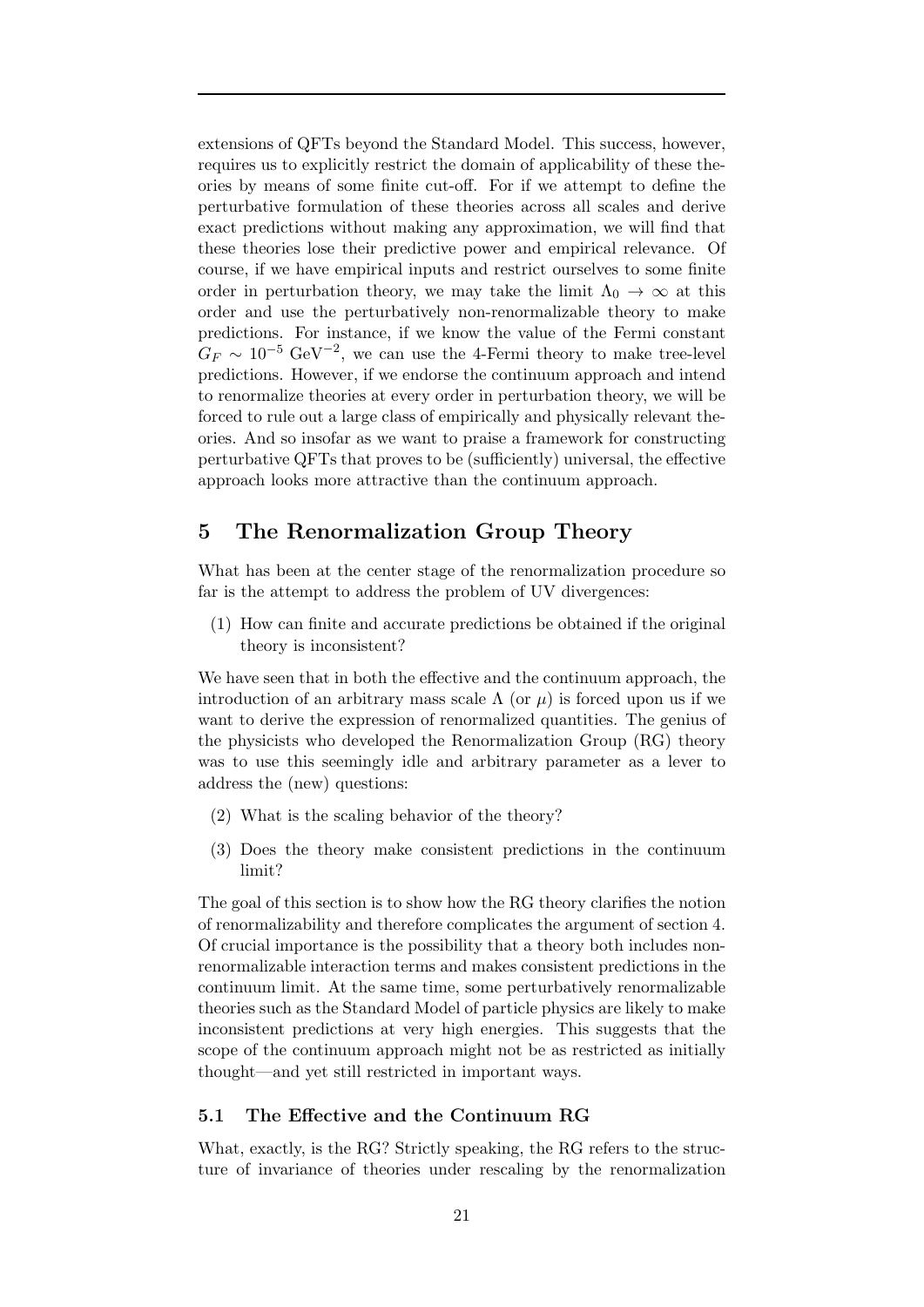extensions of QFTs beyond the Standard Model. This success, however, requires us to explicitly restrict the domain of applicability of these theories by means of some finite cut-off. For if we attempt to define the perturbative formulation of these theories across all scales and derive exact predictions without making any approximation, we will find that these theories lose their predictive power and empirical relevance. Of course, if we have empirical inputs and restrict ourselves to some finite order in perturbation theory, we may take the limit  $\Lambda_0 \rightarrow \infty$  at this order and use the perturbatively non-renormalizable theory to make predictions. For instance, if we know the value of the Fermi constant  $G_F \sim 10^{-5} \text{ GeV}^{-2}$ , we can use the 4-Fermi theory to make tree-level predictions. However, if we endorse the continuum approach and intend to renormalize theories at every order in perturbation theory, we will be forced to rule out a large class of empirically and physically relevant theories. And so insofar as we want to praise a framework for constructing perturbative QFTs that proves to be (sufficiently) universal, the effective approach looks more attractive than the continuum approach.

## 5 The Renormalization Group Theory

What has been at the center stage of the renormalization procedure so far is the attempt to address the problem of UV divergences:

(1) How can finite and accurate predictions be obtained if the original theory is inconsistent?

We have seen that in both the effective and the continuum approach, the introduction of an arbitrary mass scale  $\Lambda$  (or  $\mu$ ) is forced upon us if we want to derive the expression of renormalized quantities. The genius of the physicists who developed the Renormalization Group (RG) theory was to use this seemingly idle and arbitrary parameter as a lever to address the (new) questions:

- (2) What is the scaling behavior of the theory?
- (3) Does the theory make consistent predictions in the continuum limit?

The goal of this section is to show how the RG theory clarifies the notion of renormalizability and therefore complicates the argument of section 4. Of crucial importance is the possibility that a theory both includes nonrenormalizable interaction terms and makes consistent predictions in the continuum limit. At the same time, some perturbatively renormalizable theories such as the Standard Model of particle physics are likely to make inconsistent predictions at very high energies. This suggests that the scope of the continuum approach might not be as restricted as initially thought—and yet still restricted in important ways.

### 5.1 The Effective and the Continuum RG

What, exactly, is the RG? Strictly speaking, the RG refers to the structure of invariance of theories under rescaling by the renormalization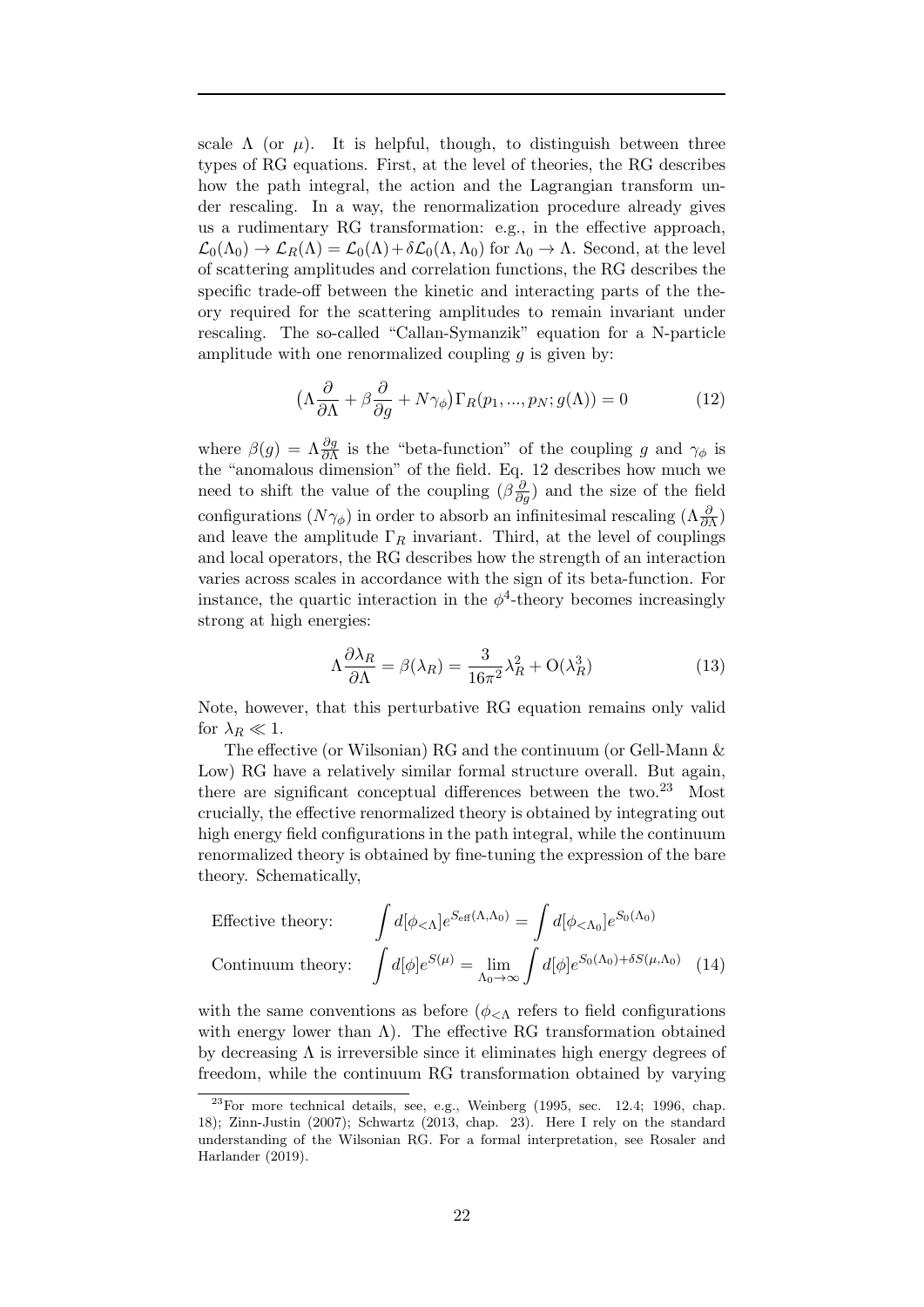scale  $\Lambda$  (or  $\mu$ ). It is helpful, though, to distinguish between three types of RG equations. First, at the level of theories, the RG describes how the path integral, the action and the Lagrangian transform under rescaling. In a way, the renormalization procedure already gives us a rudimentary RG transformation: e.g., in the effective approach,  $\mathcal{L}_0(\Lambda_0) \to \mathcal{L}_R(\Lambda) = \mathcal{L}_0(\Lambda) + \delta \mathcal{L}_0(\Lambda, \Lambda_0)$  for  $\Lambda_0 \to \Lambda$ . Second, at the level of scattering amplitudes and correlation functions, the RG describes the specific trade-off between the kinetic and interacting parts of the theory required for the scattering amplitudes to remain invariant under rescaling. The so-called "Callan-Symanzik" equation for a N-particle amplitude with one renormalized coupling  $q$  is given by:

$$
\left(\Lambda \frac{\partial}{\partial \Lambda} + \beta \frac{\partial}{\partial g} + N\gamma_{\phi}\right) \Gamma_R(p_1, ..., p_N; g(\Lambda)) = 0 \tag{12}
$$

where  $\beta(g) = \Lambda \frac{\partial g}{\partial \Lambda}$  is the "beta-function" of the coupling g and  $\gamma_{\phi}$  is where  $\rho(g) = \Lambda_{\partial\Lambda}$  is the seta-rancement of the coupling y and  $\eta_{\phi}$  is<br>the "anomalous dimension" of the field. Eq. 12 describes how much we need to shift the value of the coupling  $(\beta \frac{\partial}{\partial g})$  and the size of the field configurations  $(N\gamma_{\phi})$  in order to absorb an infinitesimal rescaling  $(\Lambda \frac{\partial}{\partial \Lambda})$ and leave the amplitude  $\Gamma_R$  invariant. Third, at the level of couplings and local operators, the RG describes how the strength of an interaction varies across scales in accordance with the sign of its beta-function. For instance, the quartic interaction in the  $\phi^4$ -theory becomes increasingly strong at high energies:

$$
\Lambda \frac{\partial \lambda_R}{\partial \Lambda} = \beta(\lambda_R) = \frac{3}{16\pi^2} \lambda_R^2 + \mathcal{O}(\lambda_R^3)
$$
 (13)

Note, however, that this perturbative RG equation remains only valid for  $\lambda_R \ll 1$ .

The effective (or Wilsonian) RG and the continuum (or Gell-Mann & Low) RG have a relatively similar formal structure overall. But again, there are significant conceptual differences between the two. $^{23}$  Most crucially, the effective renormalized theory is obtained by integrating out high energy field configurations in the path integral, while the continuum renormalized theory is obtained by fine-tuning the expression of the bare theory. Schematically,

$$
\begin{aligned}\n\text{Effective theory:} \qquad & \int d[\phi_{\leq \Lambda}] e^{S_{\text{eff}}(\Lambda, \Lambda_0)} = \int d[\phi_{\leq \Lambda_0}] e^{S_0(\Lambda_0)} \\
\text{Continuum theory:} \qquad & \int d[\phi] e^{S(\mu)} = \lim_{\Lambda_0 \to \infty} \int d[\phi] e^{S_0(\Lambda_0) + \delta S(\mu, \Lambda_0)} \quad (14)\n\end{aligned}
$$

with the same conventions as before  $(\phi_{\leq \Lambda})$  refers to field configurations with energy lower than  $\Lambda$ ). The effective RG transformation obtained by decreasing  $\Lambda$  is irreversible since it eliminates high energy degrees of freedom, while the continuum RG transformation obtained by varying

<sup>23</sup>For more technical details, see, e.g., Weinberg (1995, sec. 12.4; 1996, chap. 18); Zinn-Justin (2007); Schwartz (2013, chap. 23). Here I rely on the standard understanding of the Wilsonian RG. For a formal interpretation, see Rosaler and Harlander (2019).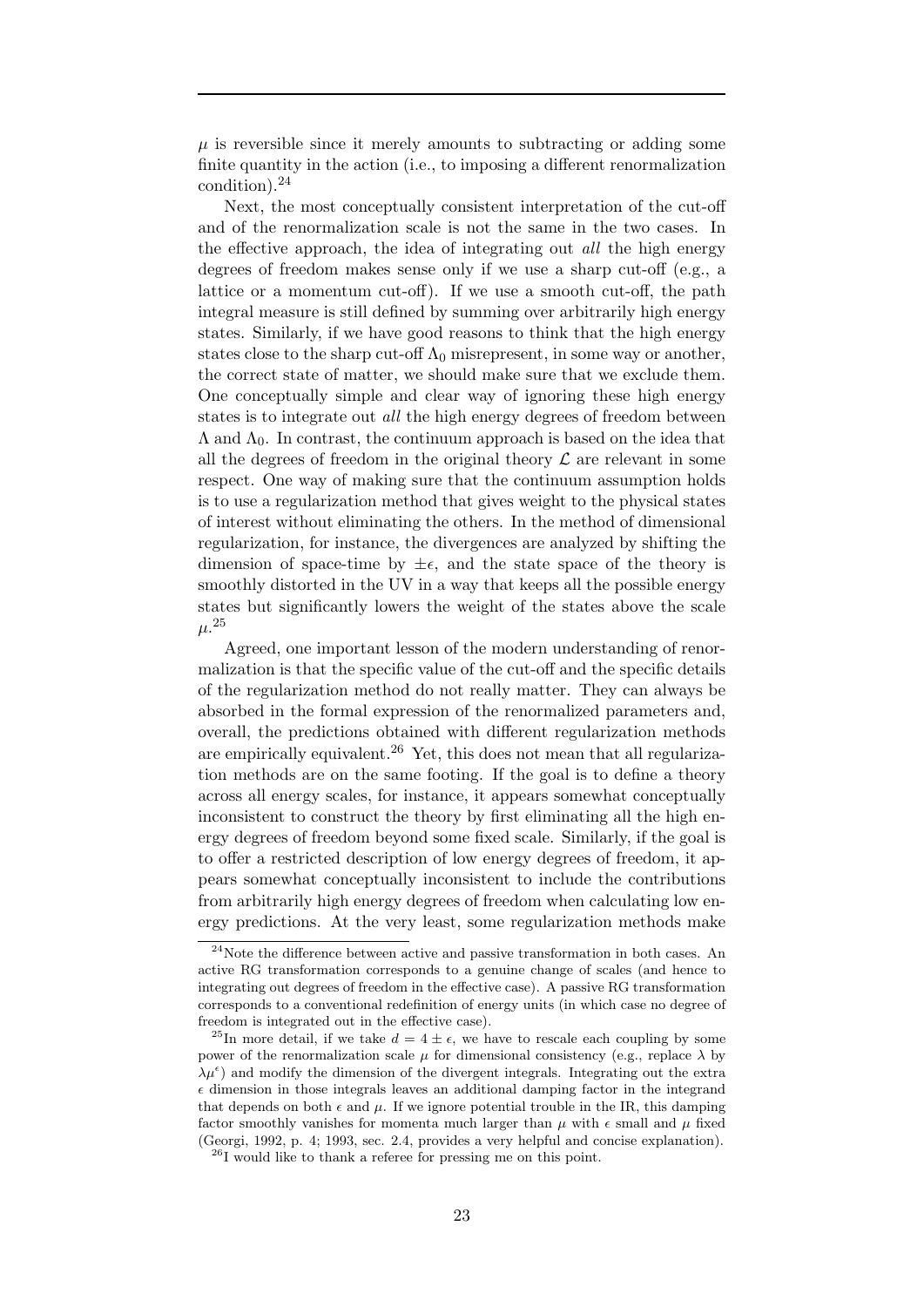$\mu$  is reversible since it merely amounts to subtracting or adding some finite quantity in the action (i.e., to imposing a different renormalization condition).<sup>24</sup>

Next, the most conceptually consistent interpretation of the cut-off and of the renormalization scale is not the same in the two cases. In the effective approach, the idea of integrating out all the high energy degrees of freedom makes sense only if we use a sharp cut-off (e.g., a lattice or a momentum cut-off). If we use a smooth cut-off, the path integral measure is still defined by summing over arbitrarily high energy states. Similarly, if we have good reasons to think that the high energy states close to the sharp cut-off  $\Lambda_0$  misrepresent, in some way or another, the correct state of matter, we should make sure that we exclude them. One conceptually simple and clear way of ignoring these high energy states is to integrate out all the high energy degrees of freedom between  $\Lambda$  and  $\Lambda_0$ . In contrast, the continuum approach is based on the idea that all the degrees of freedom in the original theory  $\mathcal L$  are relevant in some respect. One way of making sure that the continuum assumption holds is to use a regularization method that gives weight to the physical states of interest without eliminating the others. In the method of dimensional regularization, for instance, the divergences are analyzed by shifting the dimension of space-time by  $\pm \epsilon$ , and the state space of the theory is smoothly distorted in the UV in a way that keeps all the possible energy states but significantly lowers the weight of the states above the scale  $\mu.^{25}$ 

Agreed, one important lesson of the modern understanding of renormalization is that the specific value of the cut-off and the specific details of the regularization method do not really matter. They can always be absorbed in the formal expression of the renormalized parameters and, overall, the predictions obtained with different regularization methods are empirically equivalent.<sup>26</sup> Yet, this does not mean that all regularization methods are on the same footing. If the goal is to define a theory across all energy scales, for instance, it appears somewhat conceptually inconsistent to construct the theory by first eliminating all the high energy degrees of freedom beyond some fixed scale. Similarly, if the goal is to offer a restricted description of low energy degrees of freedom, it appears somewhat conceptually inconsistent to include the contributions from arbitrarily high energy degrees of freedom when calculating low energy predictions. At the very least, some regularization methods make

 $^{24}\rm{Note}$  the difference between active and passive transformation in both cases. An active RG transformation corresponds to a genuine change of scales (and hence to integrating out degrees of freedom in the effective case). A passive RG transformation corresponds to a conventional redefinition of energy units (in which case no degree of freedom is integrated out in the effective case).

<sup>&</sup>lt;sup>25</sup>In more detail, if we take  $d = 4 \pm \epsilon$ , we have to rescale each coupling by some power of the renormalization scale  $\mu$  for dimensional consistency (e.g., replace  $\lambda$  by  $\lambda \mu^{\epsilon}$  and modify the dimension of the divergent integrals. Integrating out the extra  $\epsilon$  dimension in those integrals leaves an additional damping factor in the integrand that depends on both  $\epsilon$  and  $\mu$ . If we ignore potential trouble in the IR, this damping factor smoothly vanishes for momenta much larger than  $\mu$  with  $\epsilon$  small and  $\mu$  fixed (Georgi, 1992, p. 4; 1993, sec. 2.4, provides a very helpful and concise explanation).

 $^{26}{\rm I}$  would like to thank a referee for pressing me on this point.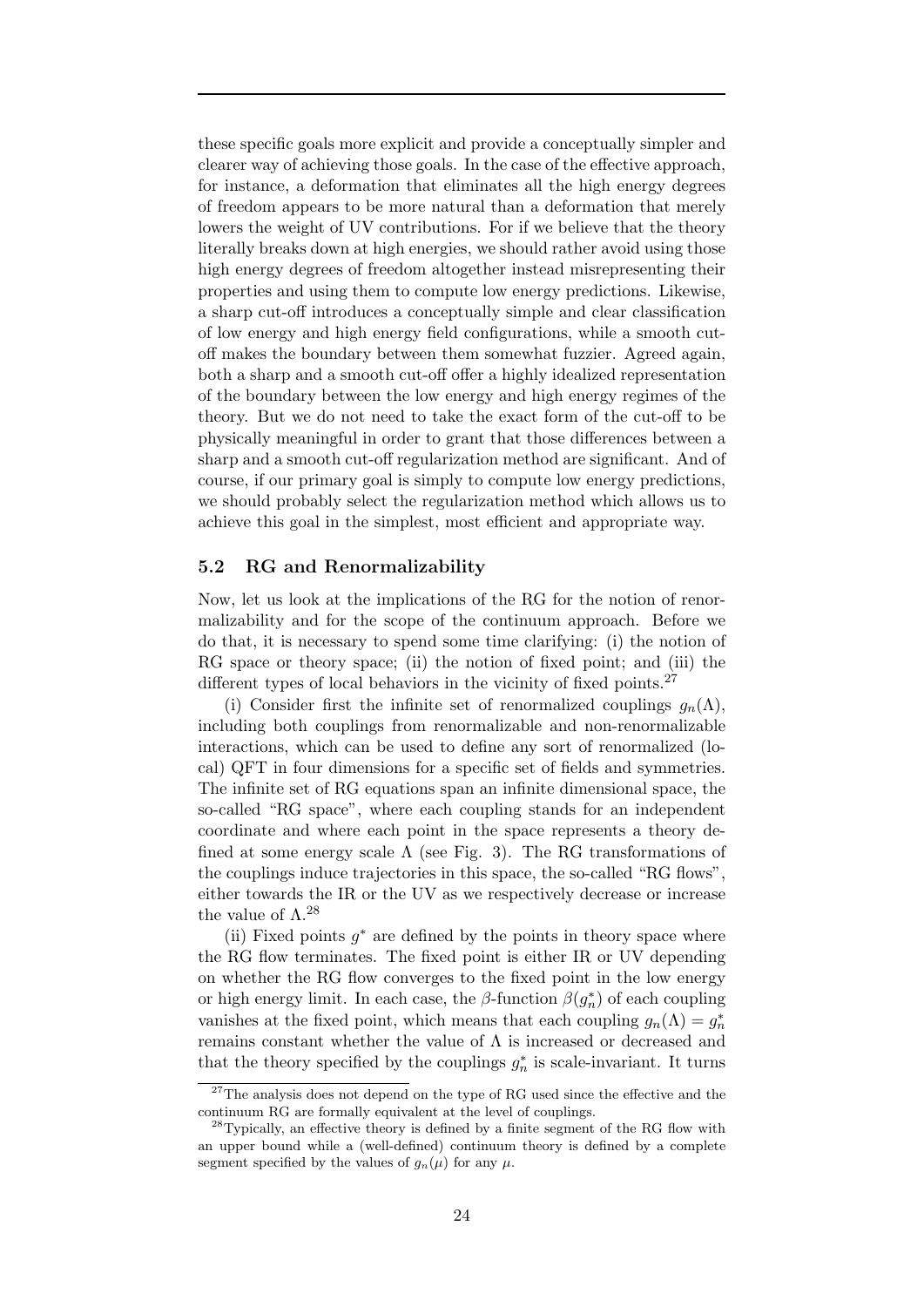these specific goals more explicit and provide a conceptually simpler and clearer way of achieving those goals. In the case of the effective approach, for instance, a deformation that eliminates all the high energy degrees of freedom appears to be more natural than a deformation that merely lowers the weight of UV contributions. For if we believe that the theory literally breaks down at high energies, we should rather avoid using those high energy degrees of freedom altogether instead misrepresenting their properties and using them to compute low energy predictions. Likewise, a sharp cut-off introduces a conceptually simple and clear classification of low energy and high energy field configurations, while a smooth cutoff makes the boundary between them somewhat fuzzier. Agreed again, both a sharp and a smooth cut-off offer a highly idealized representation of the boundary between the low energy and high energy regimes of the theory. But we do not need to take the exact form of the cut-off to be physically meaningful in order to grant that those differences between a sharp and a smooth cut-off regularization method are significant. And of course, if our primary goal is simply to compute low energy predictions, we should probably select the regularization method which allows us to achieve this goal in the simplest, most efficient and appropriate way.

### 5.2 RG and Renormalizability

Now, let us look at the implications of the RG for the notion of renormalizability and for the scope of the continuum approach. Before we do that, it is necessary to spend some time clarifying: (i) the notion of RG space or theory space; (ii) the notion of fixed point; and (iii) the different types of local behaviors in the vicinity of fixed points.<sup>27</sup>

(i) Consider first the infinite set of renormalized couplings  $g_n(\Lambda)$ , including both couplings from renormalizable and non-renormalizable interactions, which can be used to define any sort of renormalized (local) QFT in four dimensions for a specific set of fields and symmetries. The infinite set of RG equations span an infinite dimensional space, the so-called "RG space", where each coupling stands for an independent coordinate and where each point in the space represents a theory defined at some energy scale  $\Lambda$  (see Fig. 3). The RG transformations of the couplings induce trajectories in this space, the so-called "RG flows", either towards the IR or the UV as we respectively decrease or increase the value of  $\Lambda^{28}$ 

(ii) Fixed points  $g^*$  are defined by the points in theory space where the RG flow terminates. The fixed point is either IR or UV depending on whether the RG flow converges to the fixed point in the low energy or high energy limit. In each case, the  $\beta$ -function  $\beta(g_n^*)$  of each coupling vanishes at the fixed point, which means that each coupling  $g_n(\Lambda) = g_n^*$ remains constant whether the value of  $\Lambda$  is increased or decreased and that the theory specified by the couplings  $g_n^*$  is scale-invariant. It turns

 $27$ The analysis does not depend on the type of RG used since the effective and the continuum RG are formally equivalent at the level of couplings.

 $^{28}$ Typically, an effective theory is defined by a finite segment of the RG flow with an upper bound while a (well-defined) continuum theory is defined by a complete segment specified by the values of  $g_n(\mu)$  for any  $\mu$ .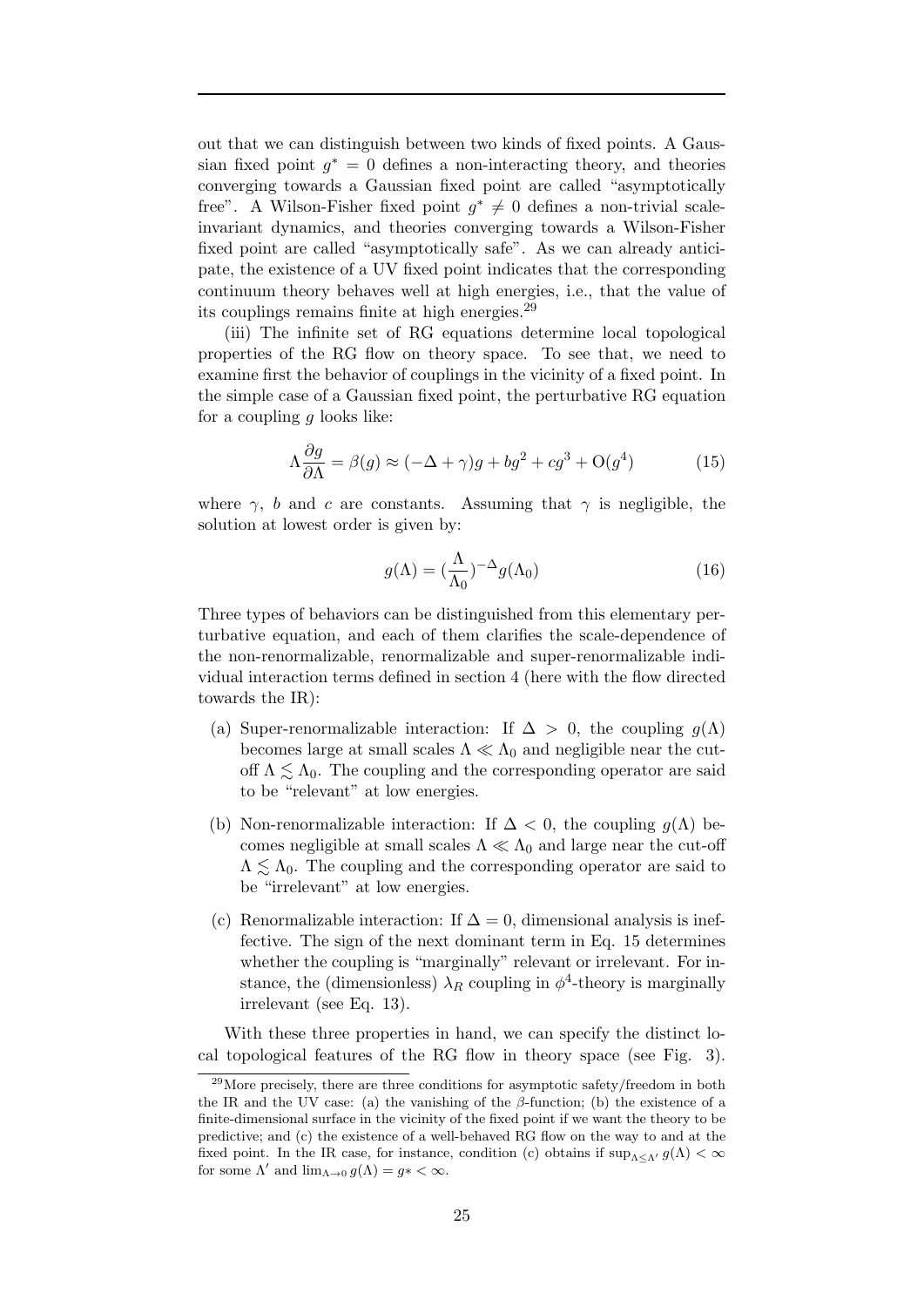out that we can distinguish between two kinds of fixed points. A Gaussian fixed point  $g^* = 0$  defines a non-interacting theory, and theories converging towards a Gaussian fixed point are called "asymptotically free". A Wilson-Fisher fixed point  $g^* \neq 0$  defines a non-trivial scaleinvariant dynamics, and theories converging towards a Wilson-Fisher fixed point are called "asymptotically safe". As we can already anticipate, the existence of a UV fixed point indicates that the corresponding continuum theory behaves well at high energies, i.e., that the value of its couplings remains finite at high energies.<sup>29</sup>

(iii) The infinite set of RG equations determine local topological properties of the RG flow on theory space. To see that, we need to examine first the behavior of couplings in the vicinity of a fixed point. In the simple case of a Gaussian fixed point, the perturbative RG equation for a coupling q looks like:

$$
\Lambda \frac{\partial g}{\partial \Lambda} = \beta(g) \approx (-\Delta + \gamma)g + bg^2 + cg^3 + O(g^4)
$$
 (15)

where  $\gamma$ , b and c are constants. Assuming that  $\gamma$  is negligible, the solution at lowest order is given by:

$$
g(\Lambda) = \left(\frac{\Lambda}{\Lambda_0}\right)^{-\Delta} g(\Lambda_0) \tag{16}
$$

Three types of behaviors can be distinguished from this elementary perturbative equation, and each of them clarifies the scale-dependence of the non-renormalizable, renormalizable and super-renormalizable individual interaction terms defined in section 4 (here with the flow directed towards the IR):

- (a) Super-renormalizable interaction: If  $\Delta > 0$ , the coupling  $q(\Lambda)$ becomes large at small scales  $\Lambda \ll \Lambda_0$  and negligible near the cutoff  $\Lambda \lesssim \Lambda_0$ . The coupling and the corresponding operator are said to be "relevant" at low energies.
- (b) Non-renormalizable interaction: If  $\Delta$  < 0, the coupling  $g(\Lambda)$  becomes negligible at small scales  $\Lambda \ll \Lambda_0$  and large near the cut-off  $\Lambda \lesssim \Lambda_0$ . The coupling and the corresponding operator are said to be "irrelevant" at low energies.
- (c) Renormalizable interaction: If  $\Delta = 0$ , dimensional analysis is ineffective. The sign of the next dominant term in Eq. 15 determines whether the coupling is "marginally" relevant or irrelevant. For instance, the (dimensionless)  $\lambda_R$  coupling in  $\phi^4$ -theory is marginally irrelevant (see Eq. 13).

With these three properties in hand, we can specify the distinct local topological features of the RG flow in theory space (see Fig. 3).

 $^{29}$ More precisely, there are three conditions for asymptotic safety/freedom in both the IR and the UV case: (a) the vanishing of the  $\beta$ -function; (b) the existence of a finite-dimensional surface in the vicinity of the fixed point if we want the theory to be predictive; and (c) the existence of a well-behaved RG flow on the way to and at the fixed point. In the IR case, for instance, condition (c) obtains if  $\sup_{\Lambda \leq \Lambda'} g(\Lambda) < \infty$ for some  $\Lambda'$  and  $\lim_{\Lambda \to 0} g(\Lambda) = g* < \infty$ .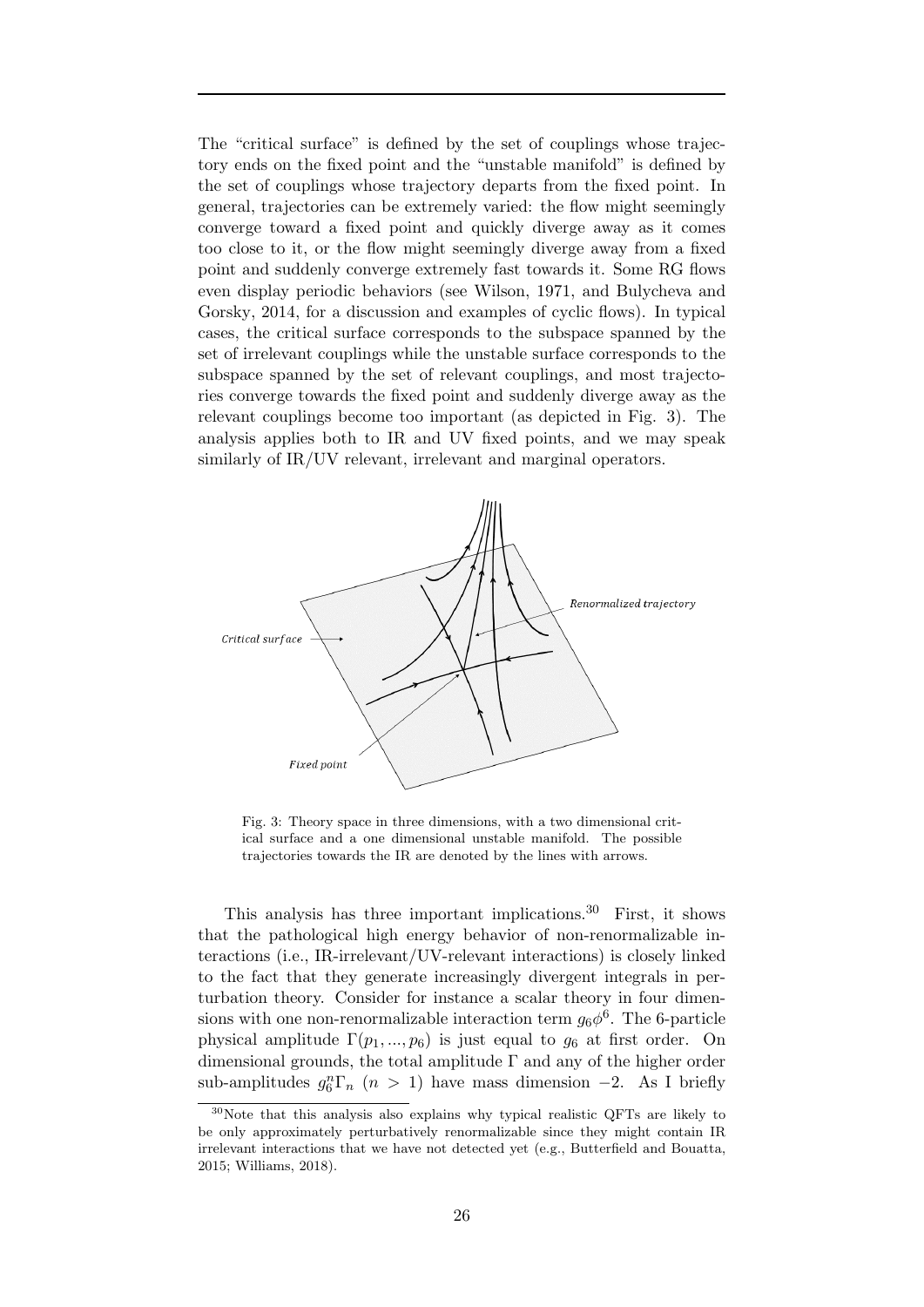The "critical surface" is defined by the set of couplings whose trajectory ends on the fixed point and the "unstable manifold" is defined by the set of couplings whose trajectory departs from the fixed point. In general, trajectories can be extremely varied: the flow might seemingly converge toward a fixed point and quickly diverge away as it comes too close to it, or the flow might seemingly diverge away from a fixed point and suddenly converge extremely fast towards it. Some RG flows even display periodic behaviors (see Wilson, 1971, and Bulycheva and Gorsky, 2014, for a discussion and examples of cyclic flows). In typical cases, the critical surface corresponds to the subspace spanned by the set of irrelevant couplings while the unstable surface corresponds to the subspace spanned by the set of relevant couplings, and most trajectories converge towards the fixed point and suddenly diverge away as the relevant couplings become too important (as depicted in Fig. 3). The analysis applies both to IR and UV fixed points, and we may speak similarly of IR/UV relevant, irrelevant and marginal operators.



Fig. 3: Theory space in three dimensions, with a two dimensional critical surface and a one dimensional unstable manifold. The possible trajectories towards the IR are denoted by the lines with arrows.

This analysis has three important implications.<sup>30</sup> First, it shows that the pathological high energy behavior of non-renormalizable interactions (i.e., IR-irrelevant/UV-relevant interactions) is closely linked to the fact that they generate increasingly divergent integrals in perturbation theory. Consider for instance a scalar theory in four dimensions with one non-renormalizable interaction term  $g_6\phi^6$ . The 6-particle physical amplitude  $\Gamma(p_1, ..., p_6)$  is just equal to  $g_6$  at first order. On dimensional grounds, the total amplitude Γ and any of the higher order sub-amplitudes  $g_6^n \Gamma_n$  ( $n > 1$ ) have mass dimension -2. As I briefly

<sup>30</sup>Note that this analysis also explains why typical realistic QFTs are likely to be only approximately perturbatively renormalizable since they might contain IR irrelevant interactions that we have not detected yet (e.g., Butterfield and Bouatta, 2015; Williams, 2018).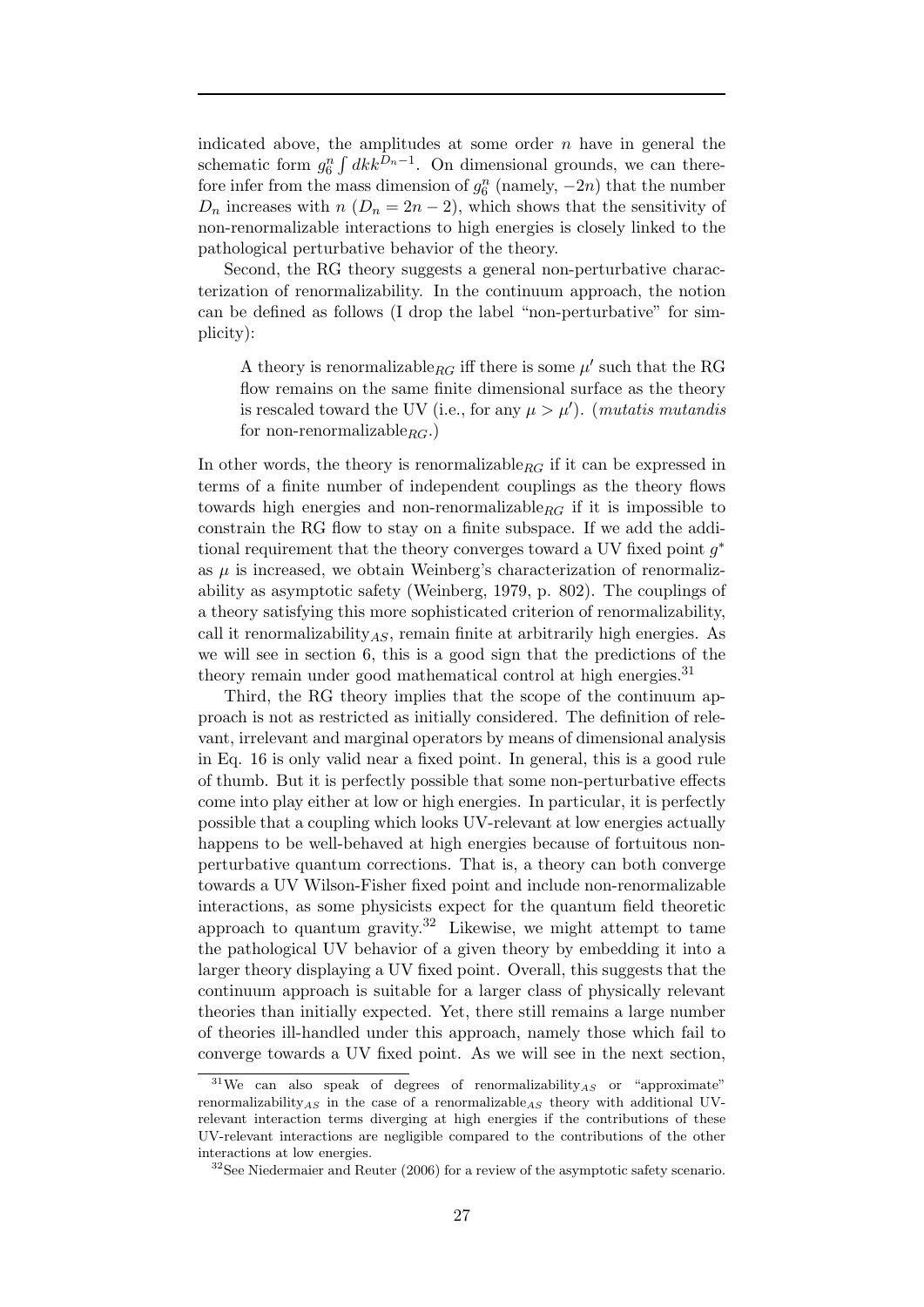indicated above, the amplitudes at some order  $n$  have in general the schematic form  $g_6^n \int dk k^{D_n-1}$ . On dimensional grounds, we can therefore infer from the mass dimension of  $g_6^n$  (namely,  $-2n$ ) that the number  $D_n$  increases with  $n (D_n = 2n - 2)$ , which shows that the sensitivity of non-renormalizable interactions to high energies is closely linked to the pathological perturbative behavior of the theory.

Second, the RG theory suggests a general non-perturbative characterization of renormalizability. In the continuum approach, the notion can be defined as follows (I drop the label "non-perturbative" for simplicity):

A theory is renormalizable RG iff there is some  $\mu'$  such that the RG flow remains on the same finite dimensional surface as the theory is rescaled toward the UV (i.e., for any  $\mu > \mu'$ ). (*mutatis mutandis* for non-renormalizable  $_{RG}$ .)

In other words, the theory is renormalizable  $_{RG}$  if it can be expressed in terms of a finite number of independent couplings as the theory flows towards high energies and non-renormalizable  $_{RG}$  if it is impossible to constrain the RG flow to stay on a finite subspace. If we add the additional requirement that the theory converges toward a UV fixed point  $g^*$ as  $\mu$  is increased, we obtain Weinberg's characterization of renormalizability as asymptotic safety (Weinberg, 1979, p. 802). The couplings of a theory satisfying this more sophisticated criterion of renormalizability, call it renormalizability $_{AS}$ , remain finite at arbitrarily high energies. As we will see in section 6, this is a good sign that the predictions of the theory remain under good mathematical control at high energies.<sup>31</sup>

Third, the RG theory implies that the scope of the continuum approach is not as restricted as initially considered. The definition of relevant, irrelevant and marginal operators by means of dimensional analysis in Eq. 16 is only valid near a fixed point. In general, this is a good rule of thumb. But it is perfectly possible that some non-perturbative effects come into play either at low or high energies. In particular, it is perfectly possible that a coupling which looks UV-relevant at low energies actually happens to be well-behaved at high energies because of fortuitous nonperturbative quantum corrections. That is, a theory can both converge towards a UV Wilson-Fisher fixed point and include non-renormalizable interactions, as some physicists expect for the quantum field theoretic approach to quantum gravity.<sup>32</sup> Likewise, we might attempt to tame the pathological UV behavior of a given theory by embedding it into a larger theory displaying a UV fixed point. Overall, this suggests that the continuum approach is suitable for a larger class of physically relevant theories than initially expected. Yet, there still remains a large number of theories ill-handled under this approach, namely those which fail to converge towards a UV fixed point. As we will see in the next section,

 $31$ We can also speak of degrees of renormalizability As or "approximate" renormalizability<sub>AS</sub> in the case of a renormalizable<sub>AS</sub> theory with additional UVrelevant interaction terms diverging at high energies if the contributions of these UV-relevant interactions are negligible compared to the contributions of the other interactions at low energies.

 $32$ See Niedermaier and Reuter (2006) for a review of the asymptotic safety scenario.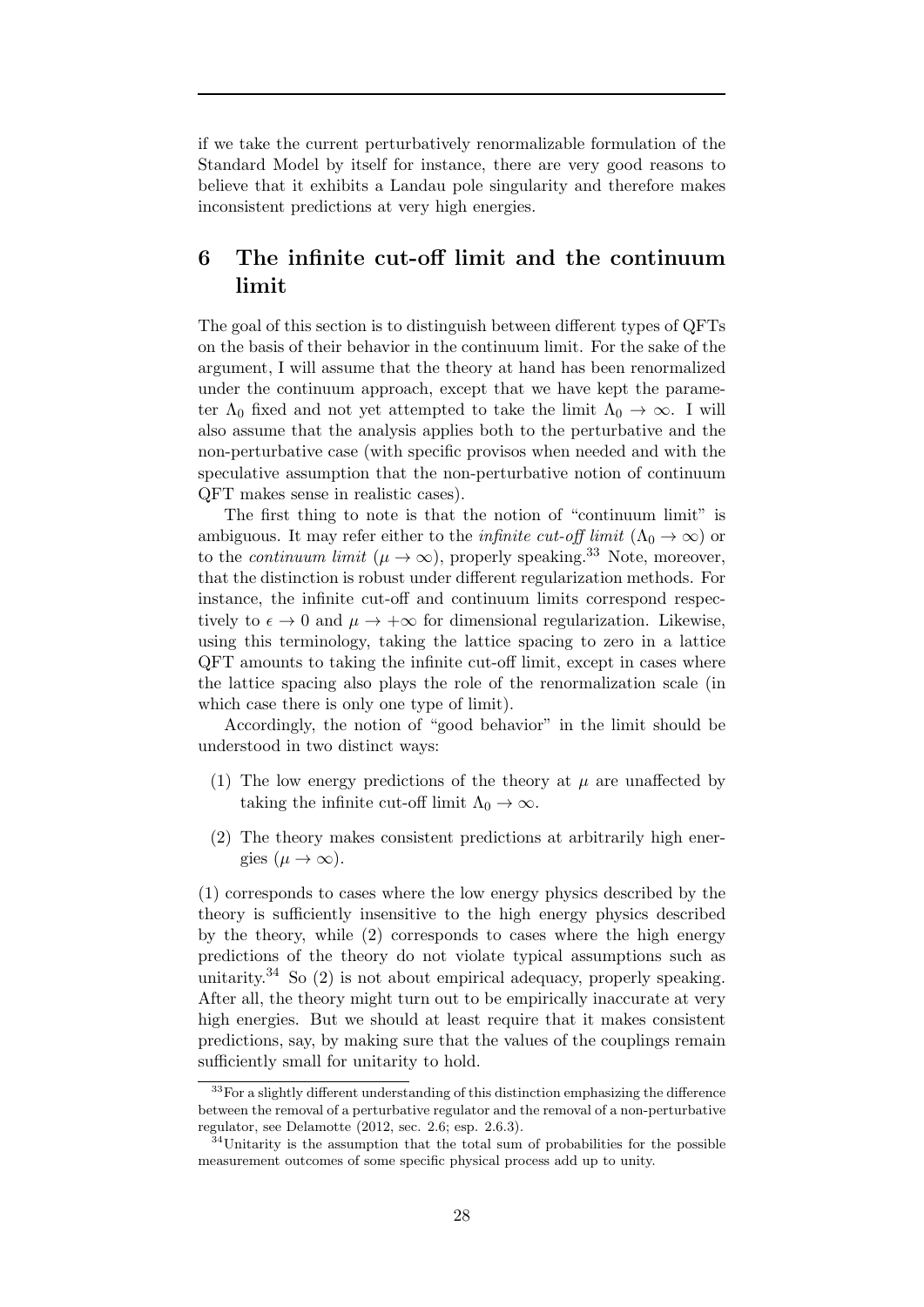if we take the current perturbatively renormalizable formulation of the Standard Model by itself for instance, there are very good reasons to believe that it exhibits a Landau pole singularity and therefore makes inconsistent predictions at very high energies.

# 6 The infinite cut-off limit and the continuum limit

The goal of this section is to distinguish between different types of QFTs on the basis of their behavior in the continuum limit. For the sake of the argument, I will assume that the theory at hand has been renormalized under the continuum approach, except that we have kept the parameter  $\Lambda_0$  fixed and not yet attempted to take the limit  $\Lambda_0 \to \infty$ . I will also assume that the analysis applies both to the perturbative and the non-perturbative case (with specific provisos when needed and with the speculative assumption that the non-perturbative notion of continuum QFT makes sense in realistic cases).

The first thing to note is that the notion of "continuum limit" is ambiguous. It may refer either to the *infinite cut-off limit*  $(Λ<sub>0</sub> → ∞)$  or to the *continuum limit* ( $\mu \to \infty$ ), properly speaking.<sup>33</sup> Note, moreover, that the distinction is robust under different regularization methods. For instance, the infinite cut-off and continuum limits correspond respectively to  $\epsilon \to 0$  and  $\mu \to +\infty$  for dimensional regularization. Likewise, using this terminology, taking the lattice spacing to zero in a lattice QFT amounts to taking the infinite cut-off limit, except in cases where the lattice spacing also plays the role of the renormalization scale (in which case there is only one type of limit).

Accordingly, the notion of "good behavior" in the limit should be understood in two distinct ways:

- (1) The low energy predictions of the theory at  $\mu$  are unaffected by taking the infinite cut-off limit  $\Lambda_0 \to \infty$ .
- (2) The theory makes consistent predictions at arbitrarily high energies  $(\mu \to \infty)$ .

(1) corresponds to cases where the low energy physics described by the theory is sufficiently insensitive to the high energy physics described by the theory, while (2) corresponds to cases where the high energy predictions of the theory do not violate typical assumptions such as unitarity.<sup>34</sup> So  $(2)$  is not about empirical adequacy, properly speaking. After all, the theory might turn out to be empirically inaccurate at very high energies. But we should at least require that it makes consistent predictions, say, by making sure that the values of the couplings remain sufficiently small for unitarity to hold.

<sup>&</sup>lt;sup>33</sup>For a slightly different understanding of this distinction emphasizing the difference between the removal of a perturbative regulator and the removal of a non-perturbative regulator, see Delamotte (2012, sec. 2.6; esp. 2.6.3).

 $34$ Unitarity is the assumption that the total sum of probabilities for the possible measurement outcomes of some specific physical process add up to unity.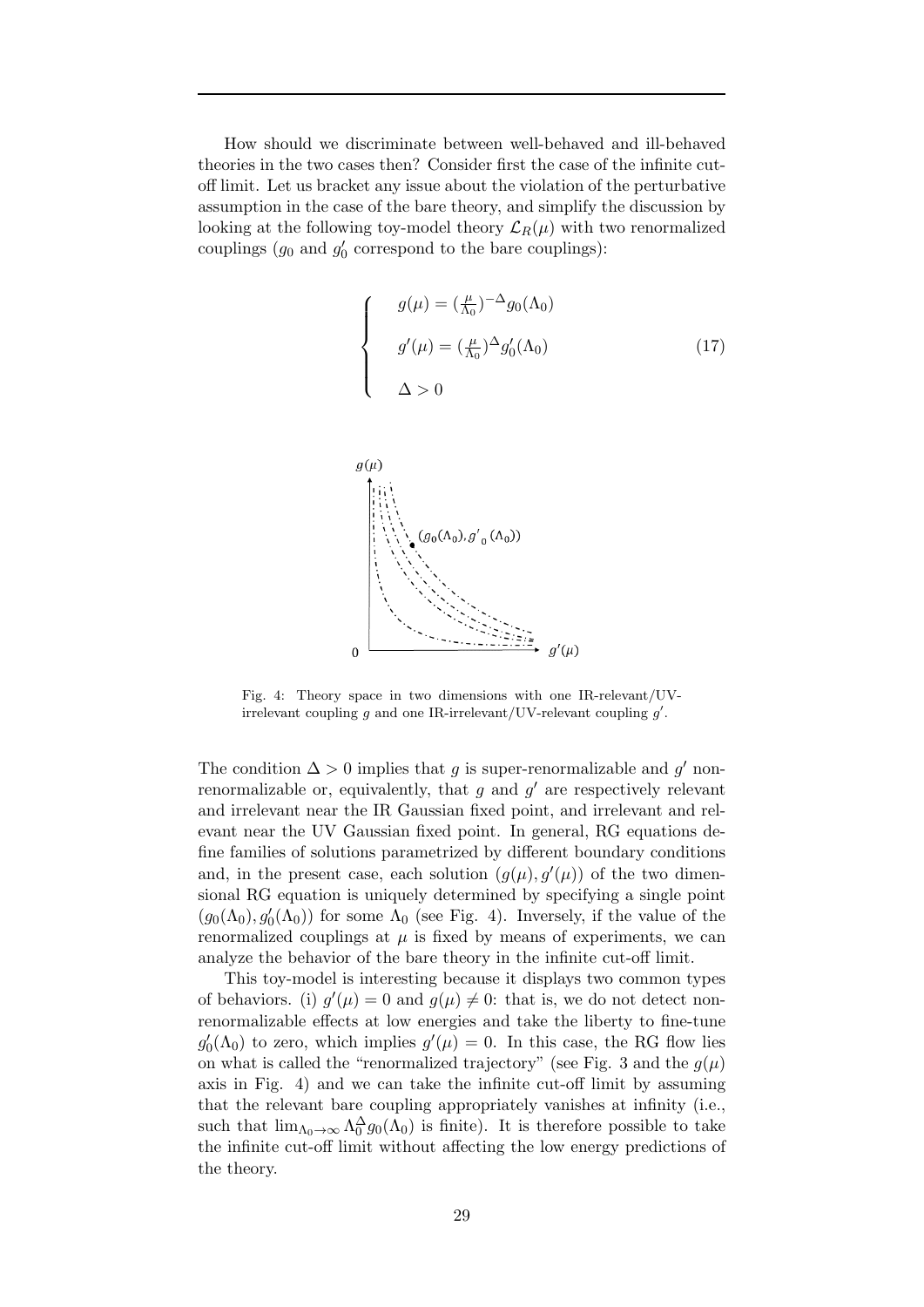How should we discriminate between well-behaved and ill-behaved theories in the two cases then? Consider first the case of the infinite cutoff limit. Let us bracket any issue about the violation of the perturbative assumption in the case of the bare theory, and simplify the discussion by looking at the following toy-model theory  $\mathcal{L}_R(\mu)$  with two renormalized couplings  $(g_0 \text{ and } g'_0 \text{ correspond to the bare couplings})$ :

$$
\begin{cases}\ng(\mu) = \left(\frac{\mu}{\Lambda_0}\right)^{-\Delta} g_0(\Lambda_0) \\
g'(\mu) = \left(\frac{\mu}{\Lambda_0}\right)^{\Delta} g'_0(\Lambda_0) \\
\Delta > 0\n\end{cases} \tag{17}
$$



Fig. 4: Theory space in two dimensions with one IR-relevant/UVirrelevant coupling g and one IR-irrelevant/UV-relevant coupling  $g'$ .

The condition  $\Delta > 0$  implies that g is super-renormalizable and g' nonrenormalizable or, equivalently, that  $g$  and  $g'$  are respectively relevant and irrelevant near the IR Gaussian fixed point, and irrelevant and relevant near the UV Gaussian fixed point. In general, RG equations define families of solutions parametrized by different boundary conditions and, in the present case, each solution  $(g(\mu), g'(\mu))$  of the two dimensional RG equation is uniquely determined by specifying a single point  $(g_0(\Lambda_0), g'_0(\Lambda_0))$  for some  $\Lambda_0$  (see Fig. 4). Inversely, if the value of the renormalized couplings at  $\mu$  is fixed by means of experiments, we can analyze the behavior of the bare theory in the infinite cut-off limit.

This toy-model is interesting because it displays two common types of behaviors. (i)  $g'(\mu) = 0$  and  $g(\mu) \neq 0$ : that is, we do not detect nonrenormalizable effects at low energies and take the liberty to fine-tune  $g'_{0}(\Lambda_{0})$  to zero, which implies  $g'(\mu)=0$ . In this case, the RG flow lies on what is called the "renormalized trajectory" (see Fig. 3 and the  $q(\mu)$ ) axis in Fig. 4) and we can take the infinite cut-off limit by assuming that the relevant bare coupling appropriately vanishes at infinity (i.e., such that  $\lim_{\Lambda_0 \to \infty} \Lambda_0^{\Delta} g_0(\Lambda_0)$  is finite). It is therefore possible to take the infinite cut-off limit without affecting the low energy predictions of the theory.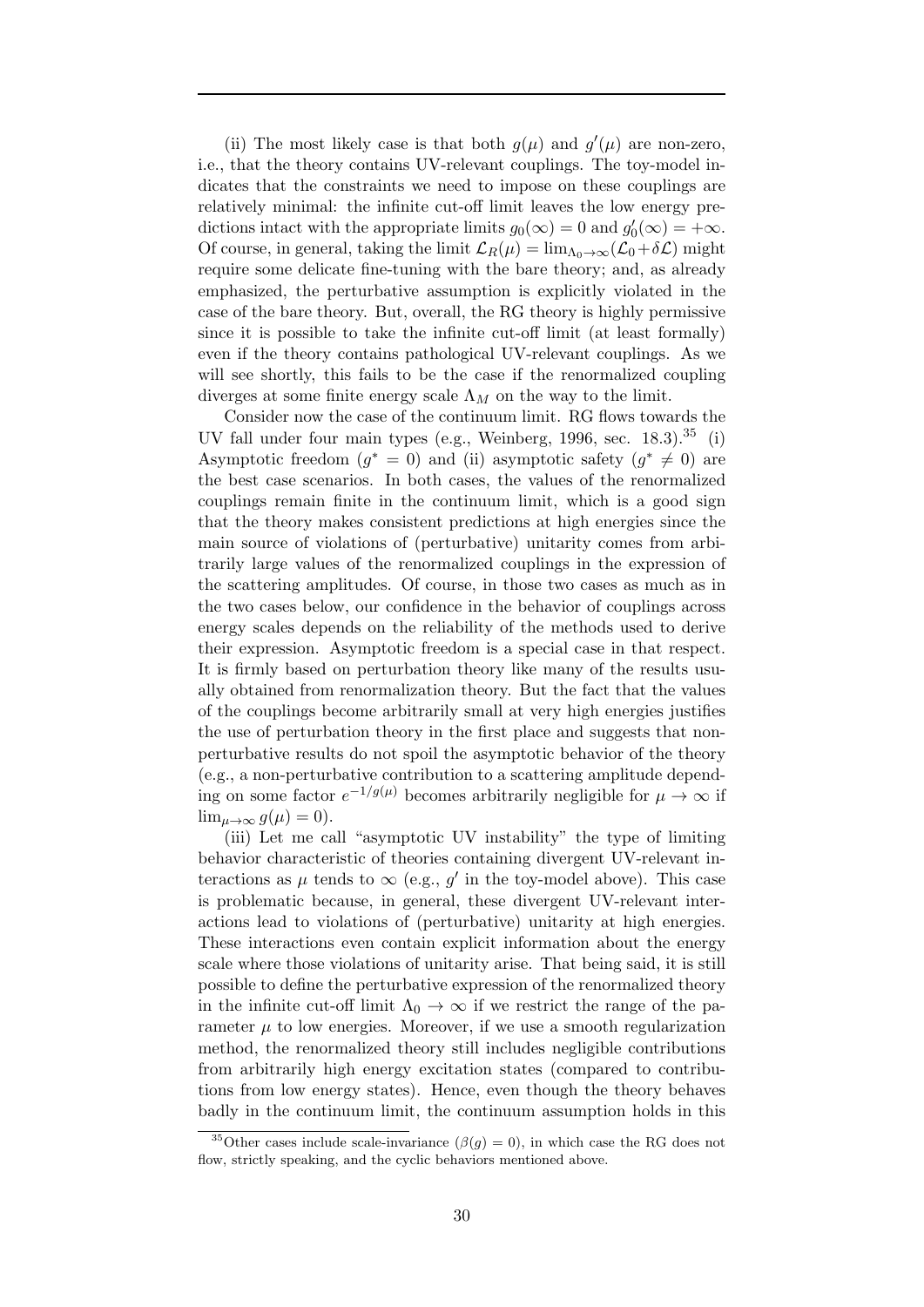(ii) The most likely case is that both  $g(\mu)$  and  $g'(\mu)$  are non-zero, i.e., that the theory contains UV-relevant couplings. The toy-model indicates that the constraints we need to impose on these couplings are relatively minimal: the infinite cut-off limit leaves the low energy predictions intact with the appropriate limits  $g_0(\infty) = 0$  and  $g'_0(\infty) = +\infty$ . Of course, in general, taking the limit  $\mathcal{L}_R(\mu) = \lim_{\Lambda_0 \to \infty} (\mathcal{L}_0 + \delta \mathcal{L})$  might require some delicate fine-tuning with the bare theory; and, as already emphasized, the perturbative assumption is explicitly violated in the case of the bare theory. But, overall, the RG theory is highly permissive since it is possible to take the infinite cut-off limit (at least formally) even if the theory contains pathological UV-relevant couplings. As we will see shortly, this fails to be the case if the renormalized coupling diverges at some finite energy scale  $\Lambda_M$  on the way to the limit.

Consider now the case of the continuum limit. RG flows towards the UV fall under four main types (e.g., Weinberg, 1996, sec. 18.3).<sup>35</sup> (i) Asymptotic freedom  $(g^* = 0)$  and (ii) asymptotic safety  $(g^* \neq 0)$  are the best case scenarios. In both cases, the values of the renormalized couplings remain finite in the continuum limit, which is a good sign that the theory makes consistent predictions at high energies since the main source of violations of (perturbative) unitarity comes from arbitrarily large values of the renormalized couplings in the expression of the scattering amplitudes. Of course, in those two cases as much as in the two cases below, our confidence in the behavior of couplings across energy scales depends on the reliability of the methods used to derive their expression. Asymptotic freedom is a special case in that respect. It is firmly based on perturbation theory like many of the results usually obtained from renormalization theory. But the fact that the values of the couplings become arbitrarily small at very high energies justifies the use of perturbation theory in the first place and suggests that nonperturbative results do not spoil the asymptotic behavior of the theory (e.g., a non-perturbative contribution to a scattering amplitude depending on some factor  $e^{-1/g(\mu)}$  becomes arbitrarily negligible for  $\mu \to \infty$  if  $\lim_{\mu\to\infty} g(\mu) = 0$ .

(iii) Let me call "asymptotic UV instability" the type of limiting behavior characteristic of theories containing divergent UV-relevant interactions as  $\mu$  tends to  $\infty$  (e.g.,  $g'$  in the toy-model above). This case is problematic because, in general, these divergent UV-relevant interactions lead to violations of (perturbative) unitarity at high energies. These interactions even contain explicit information about the energy scale where those violations of unitarity arise. That being said, it is still possible to define the perturbative expression of the renormalized theory in the infinite cut-off limit  $\Lambda_0 \to \infty$  if we restrict the range of the parameter  $\mu$  to low energies. Moreover, if we use a smooth regularization method, the renormalized theory still includes negligible contributions from arbitrarily high energy excitation states (compared to contributions from low energy states). Hence, even though the theory behaves badly in the continuum limit, the continuum assumption holds in this

<sup>&</sup>lt;sup>35</sup>Other cases include scale-invariance ( $\beta(g) = 0$ ), in which case the RG does not flow, strictly speaking, and the cyclic behaviors mentioned above.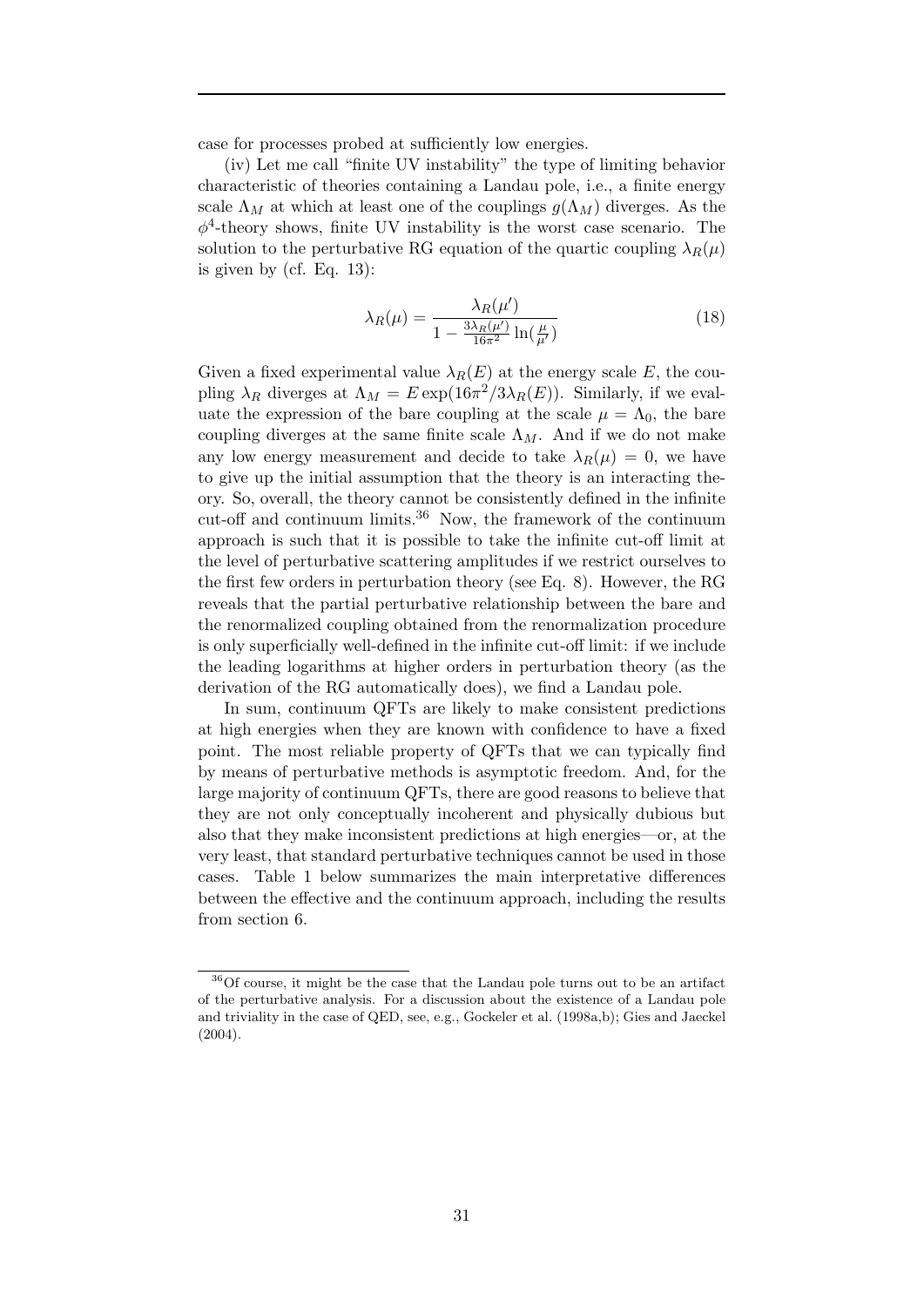case for processes probed at sufficiently low energies.

(iv) Let me call "finite UV instability" the type of limiting behavior characteristic of theories containing a Landau pole, i.e., a finite energy scale  $\Lambda_M$  at which at least one of the couplings  $g(\Lambda_M)$  diverges. As the  $\phi^4$ -theory shows, finite UV instability is the worst case scenario. The solution to the perturbative RG equation of the quartic coupling  $\lambda_R(\mu)$ is given by (cf. Eq. 13):

$$
\lambda_R(\mu) = \frac{\lambda_R(\mu')}{1 - \frac{3\lambda_R(\mu')}{16\pi^2} \ln(\frac{\mu}{\mu'})}
$$
(18)

Given a fixed experimental value  $\lambda_R(E)$  at the energy scale E, the coupling  $\lambda_R$  diverges at  $\Lambda_M = E \exp(16\pi^2/3\lambda_R(E))$ . Similarly, if we evaluate the expression of the bare coupling at the scale  $\mu = \Lambda_0$ , the bare coupling diverges at the same finite scale  $\Lambda_M$ . And if we do not make any low energy measurement and decide to take  $\lambda_R(\mu) = 0$ , we have to give up the initial assumption that the theory is an interacting theory. So, overall, the theory cannot be consistently defined in the infinite cut-off and continuum limits.<sup>36</sup> Now, the framework of the continuum approach is such that it is possible to take the infinite cut-off limit at the level of perturbative scattering amplitudes if we restrict ourselves to the first few orders in perturbation theory (see Eq. 8). However, the RG reveals that the partial perturbative relationship between the bare and the renormalized coupling obtained from the renormalization procedure is only superficially well-defined in the infinite cut-off limit: if we include the leading logarithms at higher orders in perturbation theory (as the derivation of the RG automatically does), we find a Landau pole.

In sum, continuum QFTs are likely to make consistent predictions at high energies when they are known with confidence to have a fixed point. The most reliable property of QFTs that we can typically find by means of perturbative methods is asymptotic freedom. And, for the large majority of continuum QFTs, there are good reasons to believe that they are not only conceptually incoherent and physically dubious but also that they make inconsistent predictions at high energies—or, at the very least, that standard perturbative techniques cannot be used in those cases. Table 1 below summarizes the main interpretative differences between the effective and the continuum approach, including the results from section 6.

<sup>36</sup>Of course, it might be the case that the Landau pole turns out to be an artifact of the perturbative analysis. For a discussion about the existence of a Landau pole and triviality in the case of QED, see, e.g., Gockeler et al. (1998a,b); Gies and Jaeckel (2004).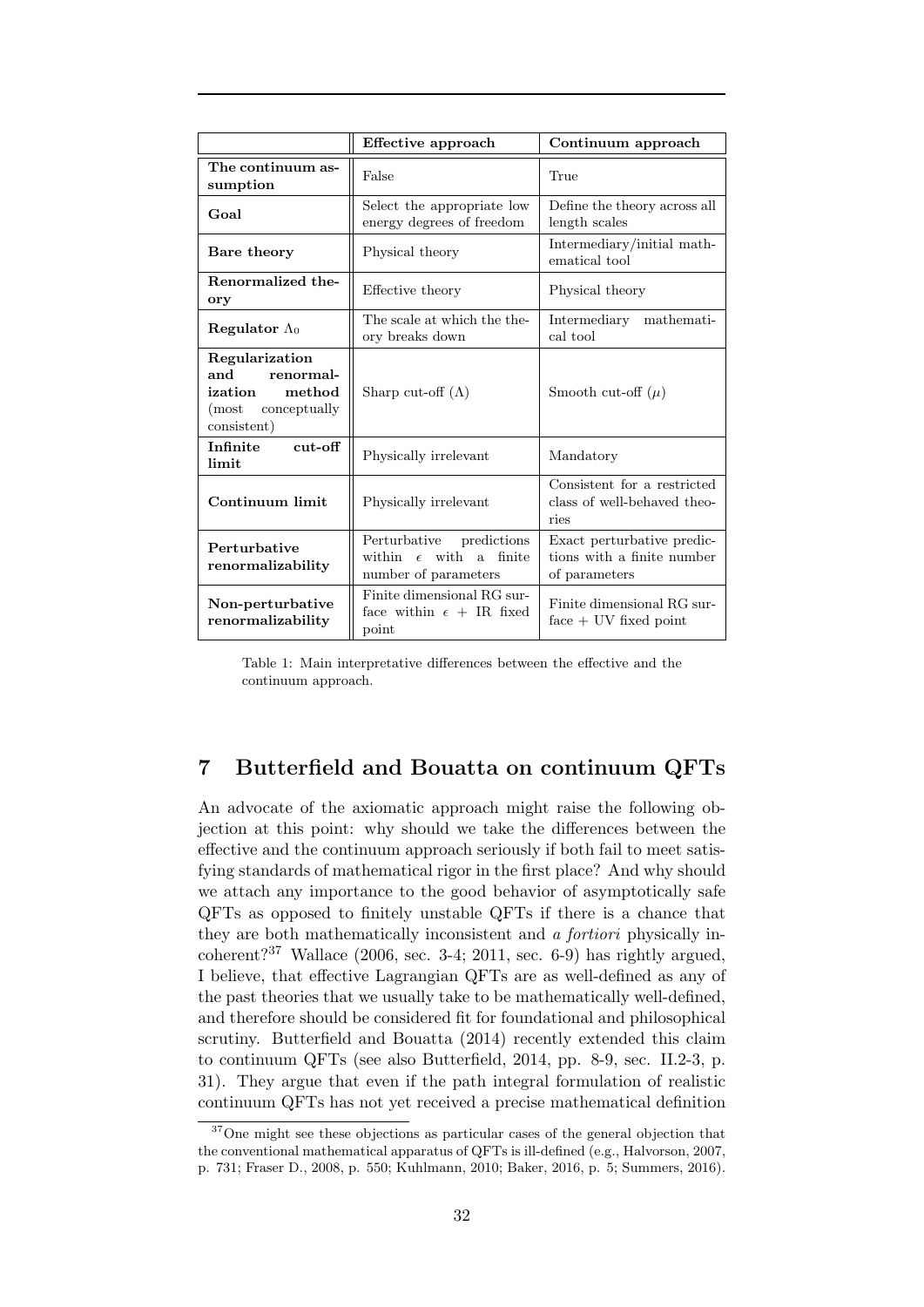|                                                                                                  | Effective approach                                                                     | Continuum approach                                                        |
|--------------------------------------------------------------------------------------------------|----------------------------------------------------------------------------------------|---------------------------------------------------------------------------|
| The continuum as-<br>sumption                                                                    | False                                                                                  | True                                                                      |
| Goal                                                                                             | Select the appropriate low<br>energy degrees of freedom                                | Define the theory across all<br>length scales                             |
| Bare theory                                                                                      | Physical theory                                                                        | Intermediary/initial math-<br>ematical tool                               |
| Renormalized the-<br>ory                                                                         | Effective theory                                                                       | Physical theory                                                           |
| Regulator $\Lambda_0$                                                                            | The scale at which the the-<br>ory breaks down                                         | mathemati-<br>Intermediary<br>cal tool                                    |
| Regularization<br>and<br>renormal-<br>ization<br>method<br>conceptually<br>(most)<br>consistent) | Sharp cut-off $(\Lambda)$                                                              | Smooth cut-off $(\mu)$                                                    |
| Infinite<br>$cut-off$<br>limit                                                                   | Physically irrelevant                                                                  | Mandatory                                                                 |
| Continuum limit                                                                                  | Physically irrelevant                                                                  | Consistent for a restricted<br>class of well-behaved theo-<br>ries        |
| Perturbative<br>renormalizability                                                                | Perturbative<br>predictions<br>within $\epsilon$ with a finite<br>number of parameters | Exact perturbative predic-<br>tions with a finite number<br>of parameters |
| Non-perturbative<br>renormalizability                                                            | Finite dimensional RG sur-<br>face within $\epsilon$ + IR fixed<br>point               | Finite dimensional RG sur-<br>$face + UV$ fixed point                     |

Table 1: Main interpretative differences between the effective and the continuum approach.

### 7 Butterfield and Bouatta on continuum QFTs

An advocate of the axiomatic approach might raise the following objection at this point: why should we take the differences between the effective and the continuum approach seriously if both fail to meet satisfying standards of mathematical rigor in the first place? And why should we attach any importance to the good behavior of asymptotically safe QFTs as opposed to finitely unstable QFTs if there is a chance that they are both mathematically inconsistent and a fortiori physically incoherent? $37$  Wallace (2006, sec. 3-4; 2011, sec. 6-9) has rightly argued, I believe, that effective Lagrangian QFTs are as well-defined as any of the past theories that we usually take to be mathematically well-defined, and therefore should be considered fit for foundational and philosophical scrutiny. Butterfield and Bouatta (2014) recently extended this claim to continuum QFTs (see also Butterfield, 2014, pp. 8-9, sec. II.2-3, p. 31). They argue that even if the path integral formulation of realistic continuum QFTs has not yet received a precise mathematical definition

<sup>&</sup>lt;sup>37</sup>One might see these objections as particular cases of the general objection that the conventional mathematical apparatus of QFTs is ill-defined (e.g., Halvorson, 2007, p. 731; Fraser D., 2008, p. 550; Kuhlmann, 2010; Baker, 2016, p. 5; Summers, 2016).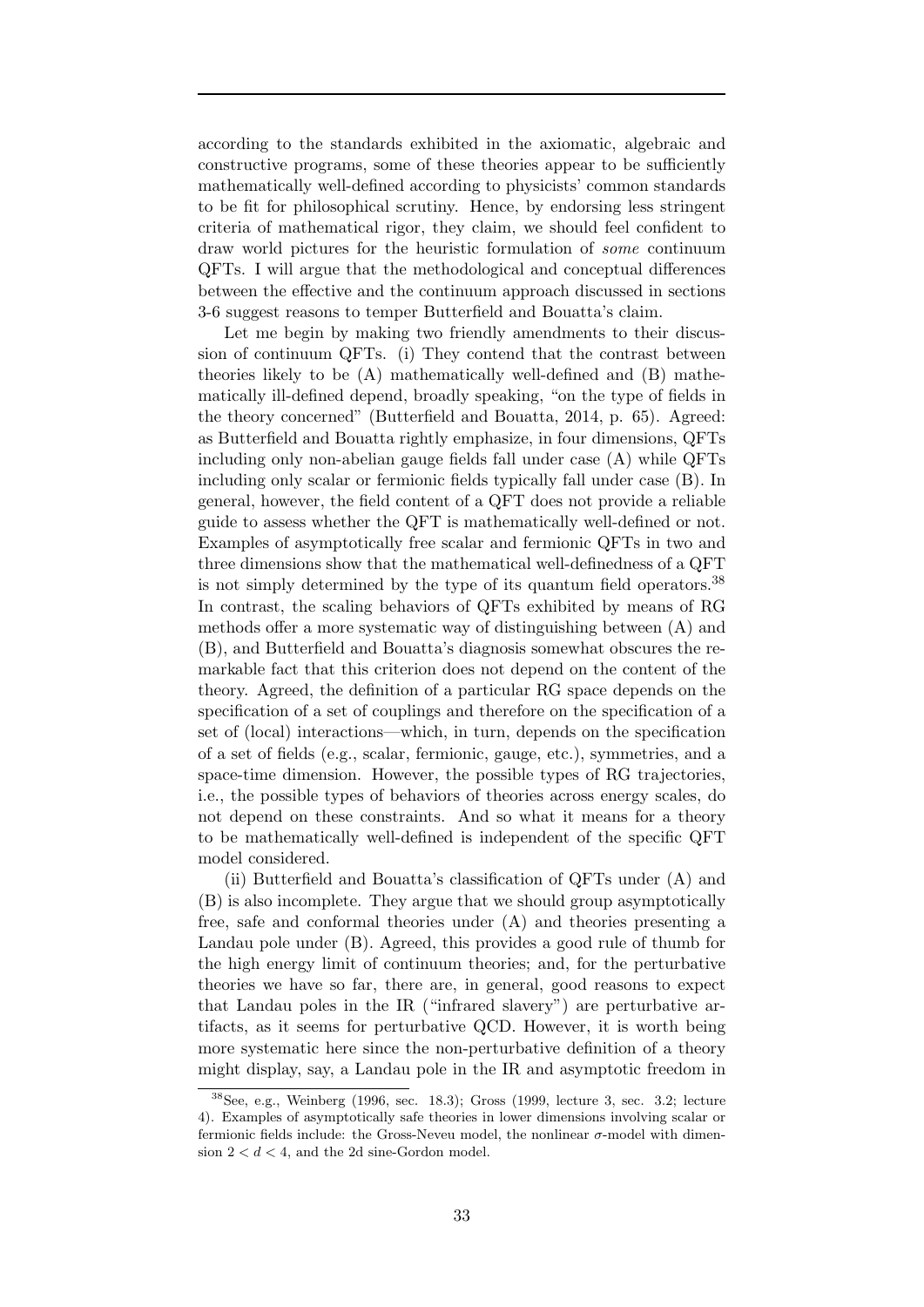according to the standards exhibited in the axiomatic, algebraic and constructive programs, some of these theories appear to be sufficiently mathematically well-defined according to physicists' common standards to be fit for philosophical scrutiny. Hence, by endorsing less stringent criteria of mathematical rigor, they claim, we should feel confident to draw world pictures for the heuristic formulation of some continuum QFTs. I will argue that the methodological and conceptual differences between the effective and the continuum approach discussed in sections 3-6 suggest reasons to temper Butterfield and Bouatta's claim.

Let me begin by making two friendly amendments to their discussion of continuum QFTs. (i) They contend that the contrast between theories likely to be (A) mathematically well-defined and (B) mathematically ill-defined depend, broadly speaking, "on the type of fields in the theory concerned" (Butterfield and Bouatta, 2014, p. 65). Agreed: as Butterfield and Bouatta rightly emphasize, in four dimensions, QFTs including only non-abelian gauge fields fall under case (A) while QFTs including only scalar or fermionic fields typically fall under case (B). In general, however, the field content of a QFT does not provide a reliable guide to assess whether the QFT is mathematically well-defined or not. Examples of asymptotically free scalar and fermionic QFTs in two and three dimensions show that the mathematical well-definedness of a QFT is not simply determined by the type of its quantum field operators.<sup>38</sup> In contrast, the scaling behaviors of QFTs exhibited by means of RG methods offer a more systematic way of distinguishing between (A) and (B), and Butterfield and Bouatta's diagnosis somewhat obscures the remarkable fact that this criterion does not depend on the content of the theory. Agreed, the definition of a particular RG space depends on the specification of a set of couplings and therefore on the specification of a set of (local) interactions—which, in turn, depends on the specification of a set of fields (e.g., scalar, fermionic, gauge, etc.), symmetries, and a space-time dimension. However, the possible types of RG trajectories, i.e., the possible types of behaviors of theories across energy scales, do not depend on these constraints. And so what it means for a theory to be mathematically well-defined is independent of the specific QFT model considered.

(ii) Butterfield and Bouatta's classification of QFTs under (A) and (B) is also incomplete. They argue that we should group asymptotically free, safe and conformal theories under (A) and theories presenting a Landau pole under (B). Agreed, this provides a good rule of thumb for the high energy limit of continuum theories; and, for the perturbative theories we have so far, there are, in general, good reasons to expect that Landau poles in the IR ("infrared slavery") are perturbative artifacts, as it seems for perturbative QCD. However, it is worth being more systematic here since the non-perturbative definition of a theory might display, say, a Landau pole in the IR and asymptotic freedom in

 $38$ See, e.g., Weinberg (1996, sec. 18.3); Gross (1999, lecture 3, sec. 3.2; lecture 4). Examples of asymptotically safe theories in lower dimensions involving scalar or fermionic fields include: the Gross-Neveu model, the nonlinear  $\sigma$ -model with dimension  $2 < d < 4$ , and the 2d sine-Gordon model.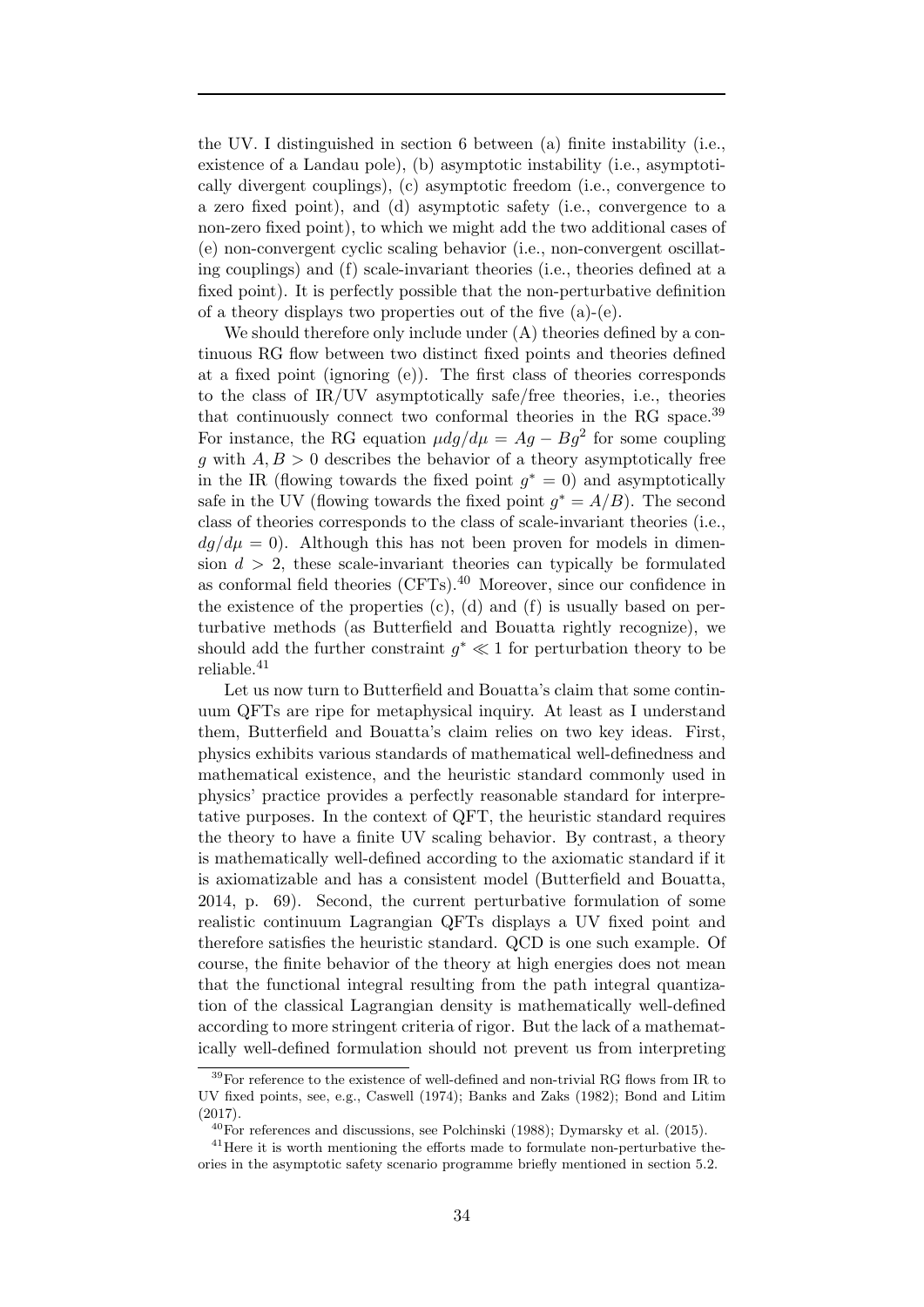the UV. I distinguished in section 6 between (a) finite instability (i.e., existence of a Landau pole), (b) asymptotic instability (i.e., asymptotically divergent couplings), (c) asymptotic freedom (i.e., convergence to a zero fixed point), and (d) asymptotic safety (i.e., convergence to a non-zero fixed point), to which we might add the two additional cases of (e) non-convergent cyclic scaling behavior (i.e., non-convergent oscillating couplings) and (f) scale-invariant theories (i.e., theories defined at a fixed point). It is perfectly possible that the non-perturbative definition of a theory displays two properties out of the five (a)-(e).

We should therefore only include under  $(A)$  theories defined by a continuous RG flow between two distinct fixed points and theories defined at a fixed point (ignoring (e)). The first class of theories corresponds to the class of IR/UV asymptotically safe/free theories, i.e., theories that continuously connect two conformal theories in the RG space.<sup>39</sup> For instance, the RG equation  $\mu dg/d\mu = Ag - Bg^2$  for some coupling g with  $A, B > 0$  describes the behavior of a theory asymptotically free in the IR (flowing towards the fixed point  $g^* = 0$ ) and asymptotically safe in the UV (flowing towards the fixed point  $g^* = A/B$ ). The second class of theories corresponds to the class of scale-invariant theories (i.e.,  $dq/d\mu = 0$ . Although this has not been proven for models in dimension  $d > 2$ , these scale-invariant theories can typically be formulated as conformal field theories (CFTs).<sup>40</sup> Moreover, since our confidence in the existence of the properties (c), (d) and (f) is usually based on perturbative methods (as Butterfield and Bouatta rightly recognize), we should add the further constraint  $g^* \ll 1$  for perturbation theory to be reliable.<sup>41</sup>

Let us now turn to Butterfield and Bouatta's claim that some continuum QFTs are ripe for metaphysical inquiry. At least as I understand them, Butterfield and Bouatta's claim relies on two key ideas. First, physics exhibits various standards of mathematical well-definedness and mathematical existence, and the heuristic standard commonly used in physics' practice provides a perfectly reasonable standard for interpretative purposes. In the context of QFT, the heuristic standard requires the theory to have a finite UV scaling behavior. By contrast, a theory is mathematically well-defined according to the axiomatic standard if it is axiomatizable and has a consistent model (Butterfield and Bouatta, 2014, p. 69). Second, the current perturbative formulation of some realistic continuum Lagrangian QFTs displays a UV fixed point and therefore satisfies the heuristic standard. QCD is one such example. Of course, the finite behavior of the theory at high energies does not mean that the functional integral resulting from the path integral quantization of the classical Lagrangian density is mathematically well-defined according to more stringent criteria of rigor. But the lack of a mathematically well-defined formulation should not prevent us from interpreting

 $\overline{{}^{39}\mathrm{For}}$  reference to the existence of well-defined and non-trivial RG flows from IR to UV fixed points, see, e.g., Caswell (1974); Banks and Zaks (1982); Bond and Litim (2017).

 $^{40}$ For references and discussions, see Polchinski (1988); Dymarsky et al. (2015).

<sup>41</sup>Here it is worth mentioning the efforts made to formulate non-perturbative theories in the asymptotic safety scenario programme briefly mentioned in section 5.2.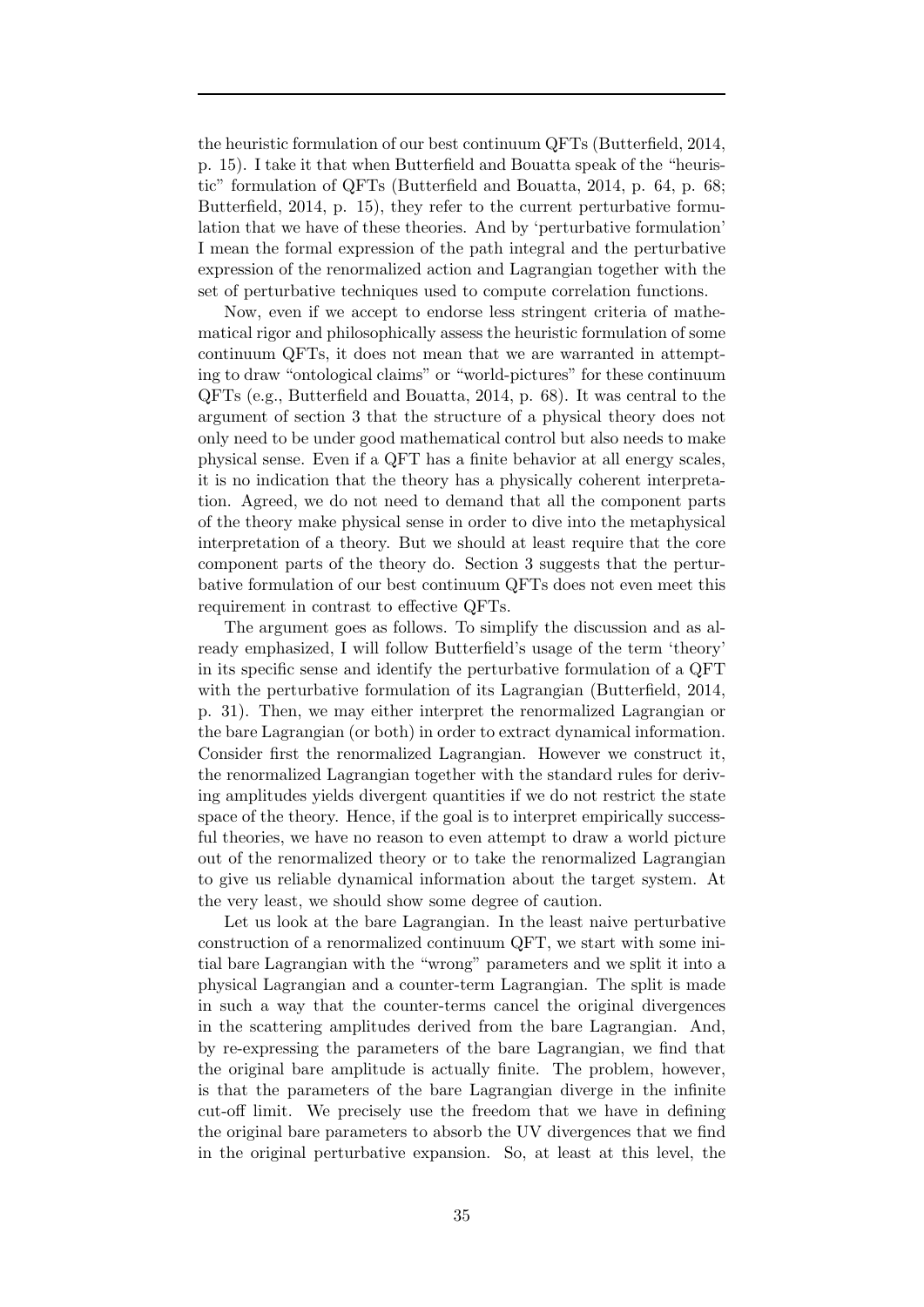the heuristic formulation of our best continuum QFTs (Butterfield, 2014, p. 15). I take it that when Butterfield and Bouatta speak of the "heuristic" formulation of QFTs (Butterfield and Bouatta, 2014, p. 64, p. 68; Butterfield, 2014, p. 15), they refer to the current perturbative formulation that we have of these theories. And by 'perturbative formulation' I mean the formal expression of the path integral and the perturbative expression of the renormalized action and Lagrangian together with the set of perturbative techniques used to compute correlation functions.

Now, even if we accept to endorse less stringent criteria of mathematical rigor and philosophically assess the heuristic formulation of some continuum QFTs, it does not mean that we are warranted in attempting to draw "ontological claims" or "world-pictures" for these continuum QFTs (e.g., Butterfield and Bouatta, 2014, p. 68). It was central to the argument of section 3 that the structure of a physical theory does not only need to be under good mathematical control but also needs to make physical sense. Even if a QFT has a finite behavior at all energy scales, it is no indication that the theory has a physically coherent interpretation. Agreed, we do not need to demand that all the component parts of the theory make physical sense in order to dive into the metaphysical interpretation of a theory. But we should at least require that the core component parts of the theory do. Section 3 suggests that the perturbative formulation of our best continuum QFTs does not even meet this requirement in contrast to effective QFTs.

The argument goes as follows. To simplify the discussion and as already emphasized, I will follow Butterfield's usage of the term 'theory' in its specific sense and identify the perturbative formulation of a QFT with the perturbative formulation of its Lagrangian (Butterfield, 2014, p. 31). Then, we may either interpret the renormalized Lagrangian or the bare Lagrangian (or both) in order to extract dynamical information. Consider first the renormalized Lagrangian. However we construct it, the renormalized Lagrangian together with the standard rules for deriving amplitudes yields divergent quantities if we do not restrict the state space of the theory. Hence, if the goal is to interpret empirically successful theories, we have no reason to even attempt to draw a world picture out of the renormalized theory or to take the renormalized Lagrangian to give us reliable dynamical information about the target system. At the very least, we should show some degree of caution.

Let us look at the bare Lagrangian. In the least naive perturbative construction of a renormalized continuum QFT, we start with some initial bare Lagrangian with the "wrong" parameters and we split it into a physical Lagrangian and a counter-term Lagrangian. The split is made in such a way that the counter-terms cancel the original divergences in the scattering amplitudes derived from the bare Lagrangian. And, by re-expressing the parameters of the bare Lagrangian, we find that the original bare amplitude is actually finite. The problem, however, is that the parameters of the bare Lagrangian diverge in the infinite cut-off limit. We precisely use the freedom that we have in defining the original bare parameters to absorb the UV divergences that we find in the original perturbative expansion. So, at least at this level, the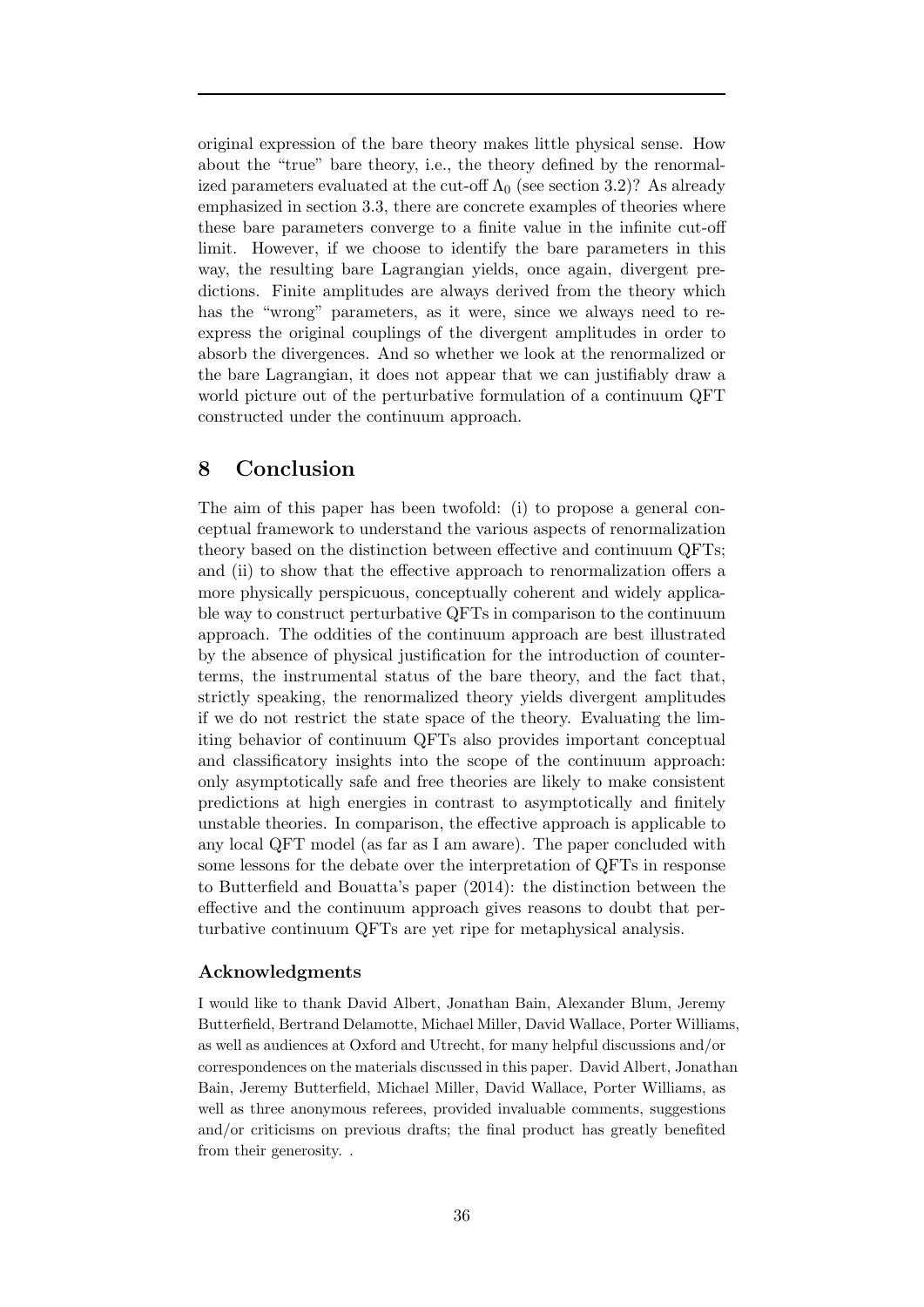original expression of the bare theory makes little physical sense. How about the "true" bare theory, i.e., the theory defined by the renormalized parameters evaluated at the cut-off  $\Lambda_0$  (see section 3.2)? As already emphasized in section 3.3, there are concrete examples of theories where these bare parameters converge to a finite value in the infinite cut-off limit. However, if we choose to identify the bare parameters in this way, the resulting bare Lagrangian yields, once again, divergent predictions. Finite amplitudes are always derived from the theory which has the "wrong" parameters, as it were, since we always need to reexpress the original couplings of the divergent amplitudes in order to absorb the divergences. And so whether we look at the renormalized or the bare Lagrangian, it does not appear that we can justifiably draw a world picture out of the perturbative formulation of a continuum QFT constructed under the continuum approach.

### 8 Conclusion

The aim of this paper has been twofold: (i) to propose a general conceptual framework to understand the various aspects of renormalization theory based on the distinction between effective and continuum QFTs; and (ii) to show that the effective approach to renormalization offers a more physically perspicuous, conceptually coherent and widely applicable way to construct perturbative QFTs in comparison to the continuum approach. The oddities of the continuum approach are best illustrated by the absence of physical justification for the introduction of counterterms, the instrumental status of the bare theory, and the fact that, strictly speaking, the renormalized theory yields divergent amplitudes if we do not restrict the state space of the theory. Evaluating the limiting behavior of continuum QFTs also provides important conceptual and classificatory insights into the scope of the continuum approach: only asymptotically safe and free theories are likely to make consistent predictions at high energies in contrast to asymptotically and finitely unstable theories. In comparison, the effective approach is applicable to any local QFT model (as far as I am aware). The paper concluded with some lessons for the debate over the interpretation of QFTs in response to Butterfield and Bouatta's paper (2014): the distinction between the effective and the continuum approach gives reasons to doubt that perturbative continuum QFTs are yet ripe for metaphysical analysis.

### Acknowledgments

I would like to thank David Albert, Jonathan Bain, Alexander Blum, Jeremy Butterfield, Bertrand Delamotte, Michael Miller, David Wallace, Porter Williams, as well as audiences at Oxford and Utrecht, for many helpful discussions and/or correspondences on the materials discussed in this paper. David Albert, Jonathan Bain, Jeremy Butterfield, Michael Miller, David Wallace, Porter Williams, as well as three anonymous referees, provided invaluable comments, suggestions and/or criticisms on previous drafts; the final product has greatly benefited from their generosity. .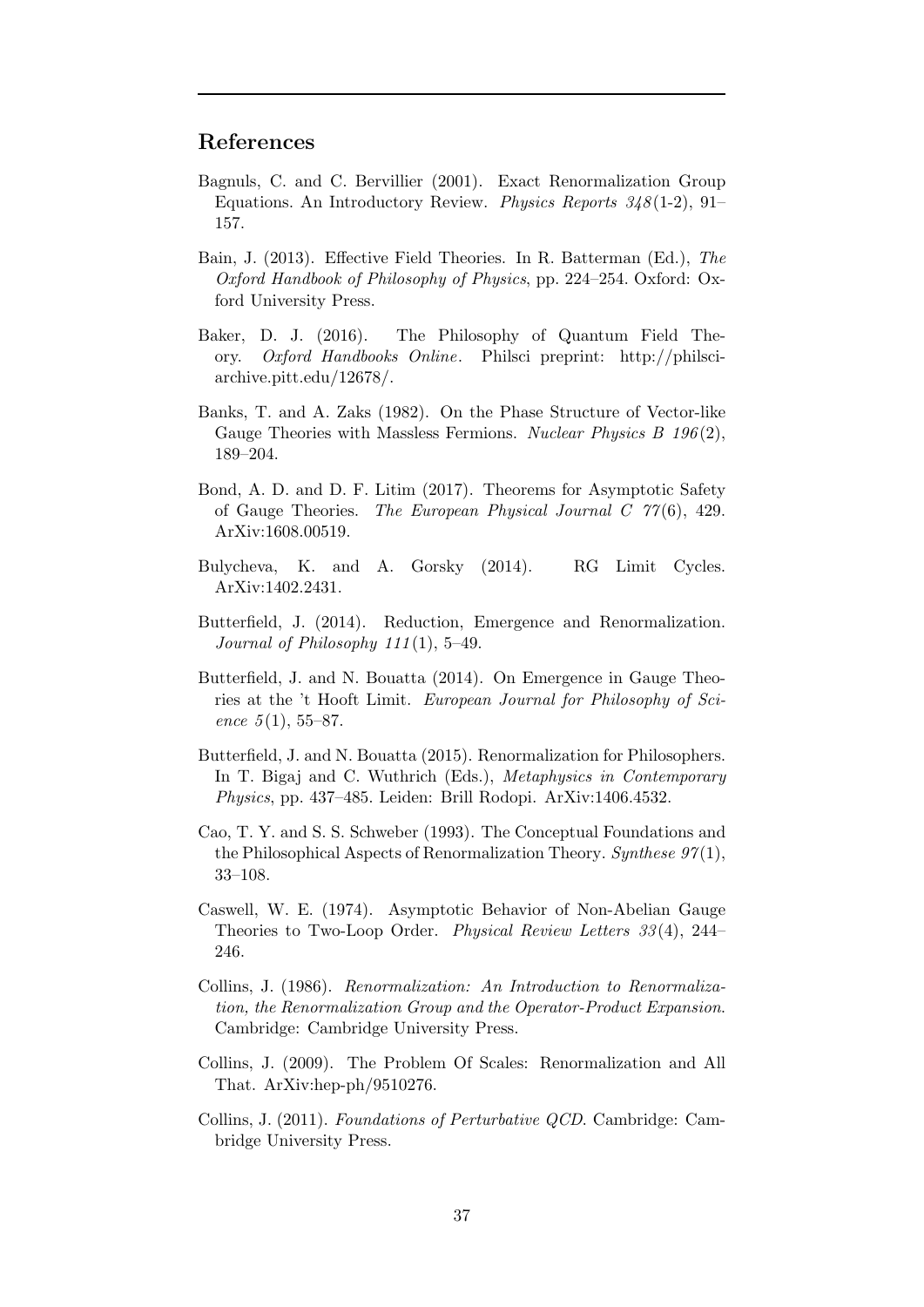### References

- Bagnuls, C. and C. Bervillier (2001). Exact Renormalization Group Equations. An Introductory Review. Physics Reports 348 (1-2), 91– 157.
- Bain, J. (2013). Effective Field Theories. In R. Batterman (Ed.), The Oxford Handbook of Philosophy of Physics, pp. 224–254. Oxford: Oxford University Press.
- Baker, D. J. (2016). The Philosophy of Quantum Field Theory. Oxford Handbooks Online. Philsci preprint: http://philsciarchive.pitt.edu/12678/.
- Banks, T. and A. Zaks (1982). On the Phase Structure of Vector-like Gauge Theories with Massless Fermions. Nuclear Physics  $B$  196(2), 189–204.
- Bond, A. D. and D. F. Litim (2017). Theorems for Asymptotic Safety of Gauge Theories. The European Physical Journal C 77 (6), 429. ArXiv:1608.00519.
- Bulycheva, K. and A. Gorsky (2014). RG Limit Cycles. ArXiv:1402.2431.
- Butterfield, J. (2014). Reduction, Emergence and Renormalization. Journal of Philosophy  $111(1)$ , 5–49.
- Butterfield, J. and N. Bouatta (2014). On Emergence in Gauge Theories at the 't Hooft Limit. European Journal for Philosophy of Science  $5(1), 55-87.$
- Butterfield, J. and N. Bouatta (2015). Renormalization for Philosophers. In T. Bigaj and C. Wuthrich (Eds.), Metaphysics in Contemporary Physics, pp. 437–485. Leiden: Brill Rodopi. ArXiv:1406.4532.
- Cao, T. Y. and S. S. Schweber (1993). The Conceptual Foundations and the Philosophical Aspects of Renormalization Theory. Synthese  $97(1)$ , 33–108.
- Caswell, W. E. (1974). Asymptotic Behavior of Non-Abelian Gauge Theories to Two-Loop Order. Physical Review Letters 33 (4), 244– 246.
- Collins, J. (1986). Renormalization: An Introduction to Renormalization, the Renormalization Group and the Operator-Product Expansion. Cambridge: Cambridge University Press.
- Collins, J. (2009). The Problem Of Scales: Renormalization and All That. ArXiv:hep-ph/9510276.
- Collins, J. (2011). Foundations of Perturbative QCD. Cambridge: Cambridge University Press.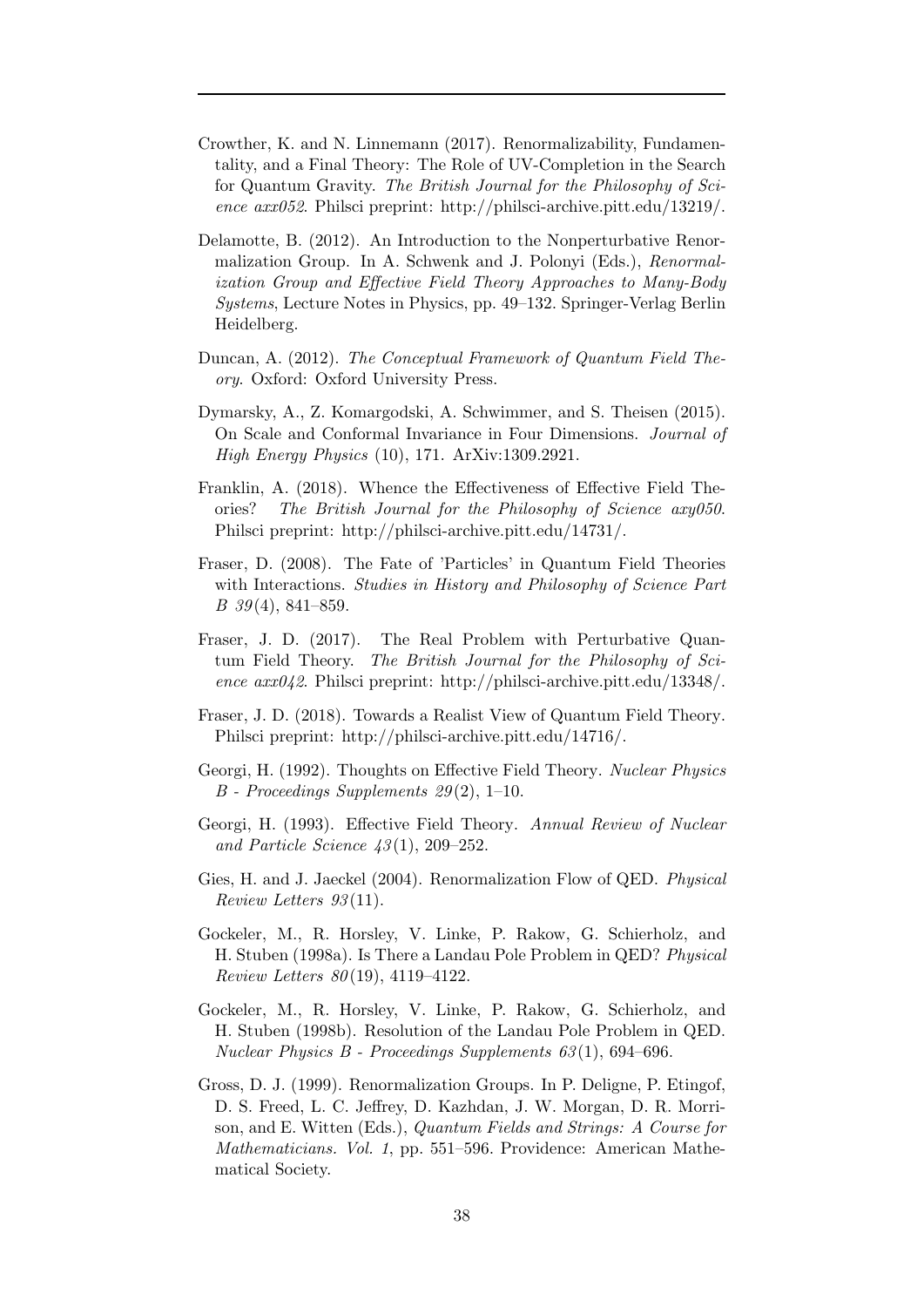- Crowther, K. and N. Linnemann (2017). Renormalizability, Fundamentality, and a Final Theory: The Role of UV-Completion in the Search for Quantum Gravity. The British Journal for the Philosophy of Science axx052. Philsci preprint: http://philsci-archive.pitt.edu/13219/.
- Delamotte, B. (2012). An Introduction to the Nonperturbative Renormalization Group. In A. Schwenk and J. Polonyi (Eds.), Renormalization Group and Effective Field Theory Approaches to Many-Body Systems, Lecture Notes in Physics, pp. 49–132. Springer-Verlag Berlin Heidelberg.
- Duncan, A. (2012). The Conceptual Framework of Quantum Field Theory. Oxford: Oxford University Press.
- Dymarsky, A., Z. Komargodski, A. Schwimmer, and S. Theisen (2015). On Scale and Conformal Invariance in Four Dimensions. Journal of High Energy Physics (10), 171. ArXiv:1309.2921.
- Franklin, A. (2018). Whence the Effectiveness of Effective Field Theories? The British Journal for the Philosophy of Science axy050. Philsci preprint: http://philsci-archive.pitt.edu/14731/.
- Fraser, D. (2008). The Fate of 'Particles' in Quantum Field Theories with Interactions. Studies in History and Philosophy of Science Part  $B$  39(4), 841–859.
- Fraser, J. D. (2017). The Real Problem with Perturbative Quantum Field Theory. The British Journal for the Philosophy of Science  $axx042$ . Philsci preprint: http://philsci-archive.pitt.edu/13348/.
- Fraser, J. D. (2018). Towards a Realist View of Quantum Field Theory. Philsci preprint: http://philsci-archive.pitt.edu/14716/.
- Georgi, H. (1992). Thoughts on Effective Field Theory. Nuclear Physics B - Proceedings Supplements 29 (2), 1–10.
- Georgi, H. (1993). Effective Field Theory. Annual Review of Nuclear and Particle Science  $43(1)$ , 209-252.
- Gies, H. and J. Jaeckel (2004). Renormalization Flow of QED. Physical Review Letters 93 (11).
- Gockeler, M., R. Horsley, V. Linke, P. Rakow, G. Schierholz, and H. Stuben (1998a). Is There a Landau Pole Problem in QED? Physical  $Review \ Letters 80(19), 4119-4122.$
- Gockeler, M., R. Horsley, V. Linke, P. Rakow, G. Schierholz, and H. Stuben (1998b). Resolution of the Landau Pole Problem in QED. Nuclear Physics B - Proceedings Supplements 63 (1), 694–696.
- Gross, D. J. (1999). Renormalization Groups. In P. Deligne, P. Etingof, D. S. Freed, L. C. Jeffrey, D. Kazhdan, J. W. Morgan, D. R. Morrison, and E. Witten (Eds.), Quantum Fields and Strings: A Course for Mathematicians. Vol. 1, pp. 551–596. Providence: American Mathematical Society.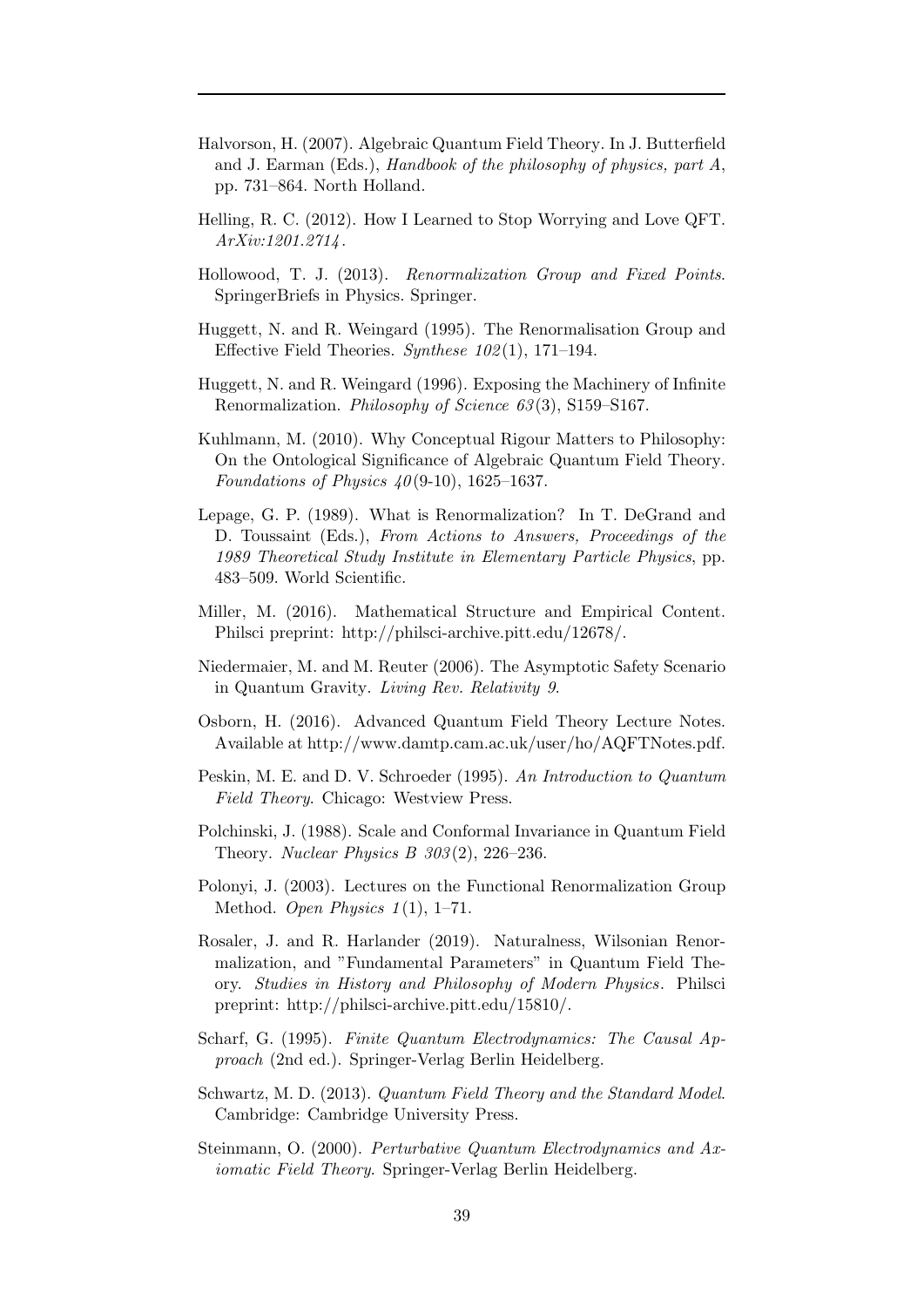- Halvorson, H. (2007). Algebraic Quantum Field Theory. In J. Butterfield and J. Earman (Eds.), Handbook of the philosophy of physics, part A, pp. 731–864. North Holland.
- Helling, R. C. (2012). How I Learned to Stop Worrying and Love QFT. ArXiv:1201.2714 .
- Hollowood, T. J. (2013). Renormalization Group and Fixed Points. SpringerBriefs in Physics. Springer.
- Huggett, N. and R. Weingard (1995). The Renormalisation Group and Effective Field Theories. Synthese  $102(1)$ , 171–194.
- Huggett, N. and R. Weingard (1996). Exposing the Machinery of Infinite Renormalization. Philosophy of Science 63 (3), S159–S167.
- Kuhlmann, M. (2010). Why Conceptual Rigour Matters to Philosophy: On the Ontological Significance of Algebraic Quantum Field Theory. Foundations of Physics  $40(9-10)$ , 1625–1637.
- Lepage, G. P. (1989). What is Renormalization? In T. DeGrand and D. Toussaint (Eds.), From Actions to Answers, Proceedings of the 1989 Theoretical Study Institute in Elementary Particle Physics, pp. 483–509. World Scientific.
- Miller, M. (2016). Mathematical Structure and Empirical Content. Philsci preprint: http://philsci-archive.pitt.edu/12678/.
- Niedermaier, M. and M. Reuter (2006). The Asymptotic Safety Scenario in Quantum Gravity. Living Rev. Relativity 9.
- Osborn, H. (2016). Advanced Quantum Field Theory Lecture Notes. Available at http://www.damtp.cam.ac.uk/user/ho/AQFTNotes.pdf.
- Peskin, M. E. and D. V. Schroeder (1995). An Introduction to Quantum Field Theory. Chicago: Westview Press.
- Polchinski, J. (1988). Scale and Conformal Invariance in Quantum Field Theory. Nuclear Physics B  $303(2)$ , 226–236.
- Polonyi, J. (2003). Lectures on the Functional Renormalization Group Method. Open Physics  $1(1)$ , 1–71.
- Rosaler, J. and R. Harlander (2019). Naturalness, Wilsonian Renormalization, and "Fundamental Parameters" in Quantum Field Theory. Studies in History and Philosophy of Modern Physics. Philsci preprint: http://philsci-archive.pitt.edu/15810/.
- Scharf, G. (1995). Finite Quantum Electrodynamics: The Causal Approach (2nd ed.). Springer-Verlag Berlin Heidelberg.
- Schwartz, M. D. (2013). Quantum Field Theory and the Standard Model. Cambridge: Cambridge University Press.
- Steinmann, O. (2000). Perturbative Quantum Electrodynamics and Axiomatic Field Theory. Springer-Verlag Berlin Heidelberg.